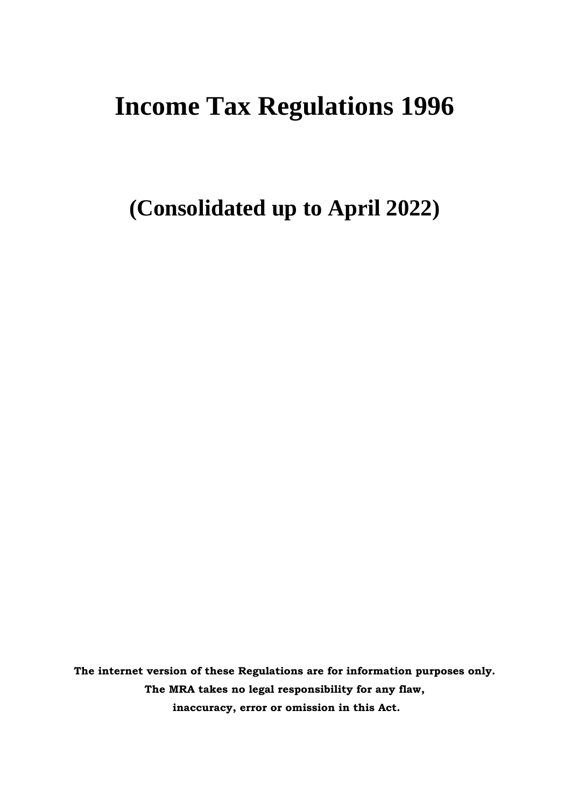# **Income Tax Regulations 1996**

**(Consolidated up to April 2022)**

**The internet version of these Regulations are for information purposes only. The MRA takes no legal responsibility for any flaw, inaccuracy, error or omission in this Act.**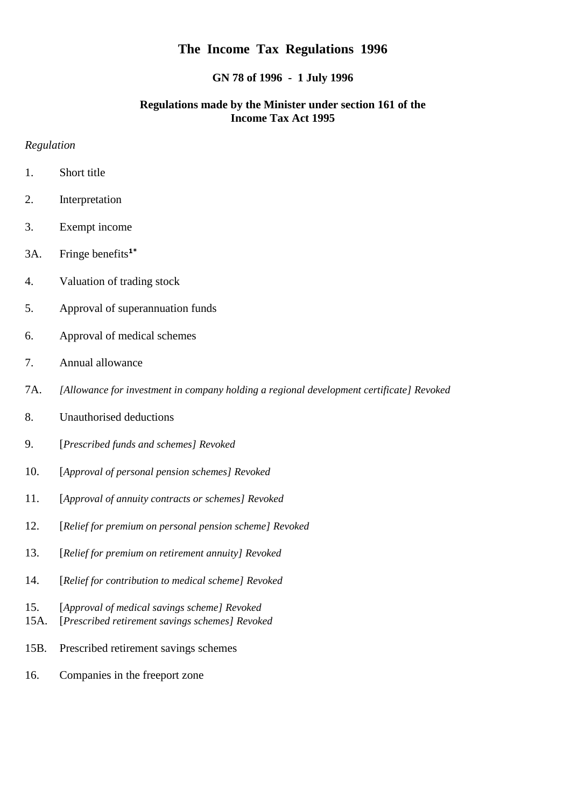# **The Income Tax Regulations 1996**

#### **GN 78 of 1996 - 1 July 1996**

## **Regulations made by the Minister under section 161 of the Income Tax Act 1995**

#### *Regulation*

- 1. Short title
- 2. Interpretation
- 3. Exempt income
- 3A. Fringe benefits**1\***
- 4. Valuation of trading stock
- 5. Approval of superannuation funds
- 6. Approval of medical schemes
- 7. Annual allowance
- 7A. *[Allowance for investment in company holding a regional development certificate] Revoked*
- 8. Unauthorised deductions
- 9. [*Prescribed funds and schemes] Revoked*
- 10. [*Approval of personal pension schemes] Revoked*
- 11. [*Approval of annuity contracts or schemes] Revoked*
- 12. [*Relief for premium on personal pension scheme] Revoked*
- 13. [*Relief for premium on retirement annuity] Revoked*
- 14. [*Relief for contribution to medical scheme] Revoked*
- 15. [*Approval of medical savings scheme] Revoked*
- 15A. [*Prescribed retirement savings schemes] Revoked*
- 15B. Prescribed retirement savings schemes
- 16. Companies in the freeport zone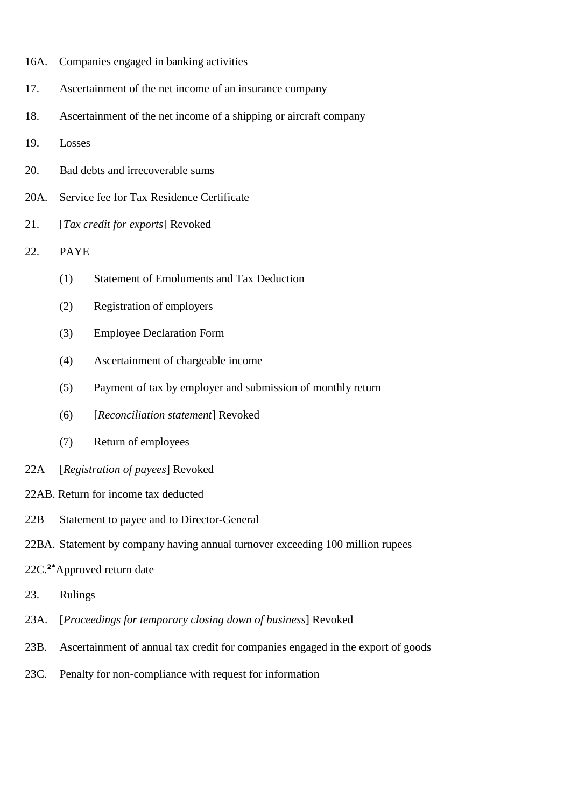- 16A. Companies engaged in banking activities
- 17. Ascertainment of the net income of an insurance company
- 18. Ascertainment of the net income of a shipping or aircraft company
- 19. Losses
- 20. Bad debts and irrecoverable sums
- 20A. Service fee for Tax Residence Certificate
- 21. [*Tax credit for exports*] Revoked
- 22. PAYE
	- (1) Statement of Emoluments and Tax Deduction
	- (2) Registration of employers
	- (3) Employee Declaration Form
	- (4) Ascertainment of chargeable income
	- (5) Payment of tax by employer and submission of monthly return
	- (6) [*Reconciliation statement*] Revoked
	- (7) Return of employees
- 22A [*Registration of payees*] Revoked
- 22AB. Return for income tax deducted
- 22B Statement to payee and to Director-General
- 22BA. Statement by company having annual turnover exceeding 100 million rupees
- 22C.**2\***Approved return date
- 23. Rulings
- 23A. [*Proceedings for temporary closing down of business*] Revoked
- 23B. Ascertainment of annual tax credit for companies engaged in the export of goods
- 23C. Penalty for non-compliance with request for information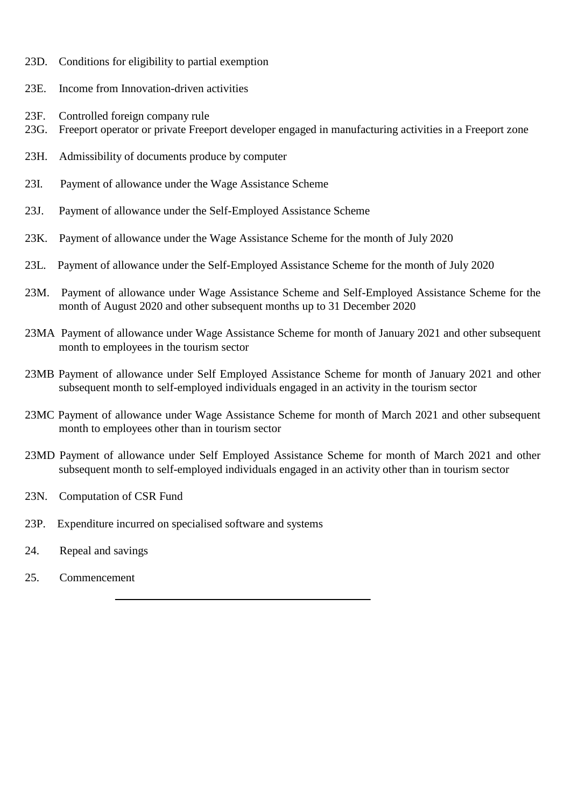- 23D. Conditions for eligibility to partial exemption
- 23E. Income from Innovation-driven activities
- 23F. Controlled foreign company rule
- 23G. Freeport operator or private Freeport developer engaged in manufacturing activities in a Freeport zone
- 23H. Admissibility of documents produce by computer
- 23I. Payment of allowance under the Wage Assistance Scheme
- 23J. Payment of allowance under the Self-Employed Assistance Scheme
- 23K. Payment of allowance under the Wage Assistance Scheme for the month of July 2020
- 23L. Payment of allowance under the Self-Employed Assistance Scheme for the month of July 2020
- 23M. Payment of allowance under Wage Assistance Scheme and Self-Employed Assistance Scheme for the month of August 2020 and other subsequent months up to 31 December 2020
- 23MA Payment of allowance under Wage Assistance Scheme for month of January 2021 and other subsequent month to employees in the tourism sector
- 23MB Payment of allowance under Self Employed Assistance Scheme for month of January 2021 and other subsequent month to self-employed individuals engaged in an activity in the tourism sector
- 23MC Payment of allowance under Wage Assistance Scheme for month of March 2021 and other subsequent month to employees other than in tourism sector
- 23MD Payment of allowance under Self Employed Assistance Scheme for month of March 2021 and other subsequent month to self-employed individuals engaged in an activity other than in tourism sector
- 23N. Computation of CSR Fund
- 23P. Expenditure incurred on specialised software and systems
- 24. Repeal and savings
- 25. Commencement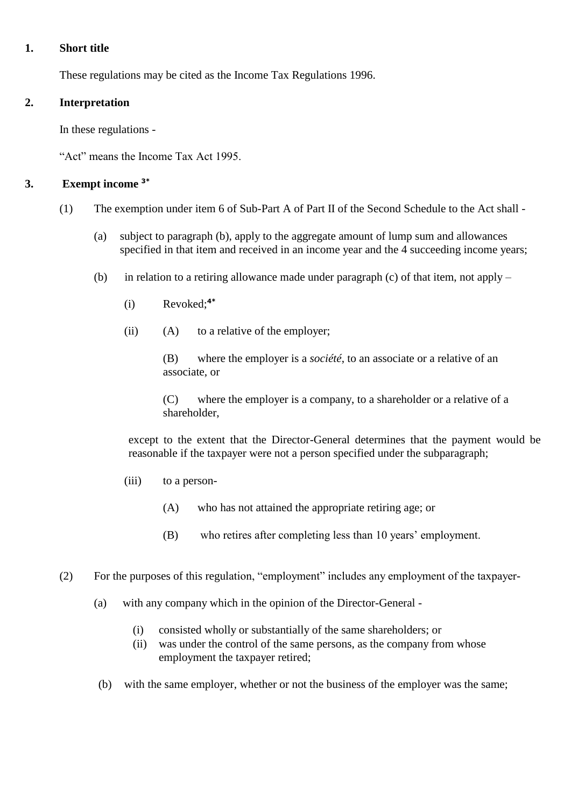## **1. Short title**

These regulations may be cited as the Income Tax Regulations 1996.

# **2. Interpretation**

In these regulations -

"Act" means the Income Tax Act 1995.

# **3. Exempt income 3\***

- (1) The exemption under item 6 of Sub-Part A of Part II of the Second Schedule to the Act shall
	- (a) subject to paragraph (b), apply to the aggregate amount of lump sum and allowances specified in that item and received in an income year and the 4 succeeding income years;
	- (b) in relation to a retiring allowance made under paragraph (c) of that item, not apply
		- (i) Revoked; **4\***
		- (ii) (A) to a relative of the employer;

(B) where the employer is a *société*, to an associate or a relative of an associate, or

(C) where the employer is a company, to a shareholder or a relative of a shareholder,

except to the extent that the Director-General determines that the payment would be reasonable if the taxpayer were not a person specified under the subparagraph;

- (iii) to a person-
	- (A) who has not attained the appropriate retiring age; or
	- (B) who retires after completing less than 10 years' employment.
- (2) For the purposes of this regulation, "employment" includes any employment of the taxpayer-
	- (a) with any company which in the opinion of the Director-General
		- (i) consisted wholly or substantially of the same shareholders; or
		- (ii) was under the control of the same persons, as the company from whose employment the taxpayer retired;
	- (b) with the same employer, whether or not the business of the employer was the same;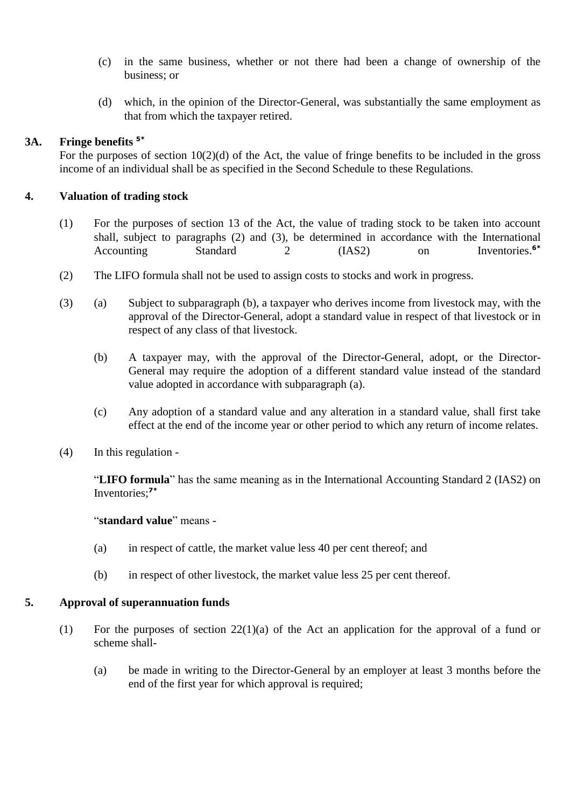- (c) in the same business, whether or not there had been a change of ownership of the business; or
- (d) which, in the opinion of the Director-General, was substantially the same employment as that from which the taxpayer retired.

# **3A. Fringe benefits 5\***

For the purposes of section  $10(2)(d)$  of the Act, the value of fringe benefits to be included in the gross income of an individual shall be as specified in the Second Schedule to these Regulations.

# **4. Valuation of trading stock**

- (1) For the purposes of section 13 of the Act, the value of trading stock to be taken into account shall, subject to paragraphs (2) and (3), be determined in accordance with the International Accounting Standard 2 (IAS2) on Inventories.<sup>6\*</sup>
- (2) The LIFO formula shall not be used to assign costs to stocks and work in progress.
- (3) (a) Subject to subparagraph (b), a taxpayer who derives income from livestock may, with the approval of the Director-General, adopt a standard value in respect of that livestock or in respect of any class of that livestock.
	- (b) A taxpayer may, with the approval of the Director-General, adopt, or the Director-General may require the adoption of a different standard value instead of the standard value adopted in accordance with subparagraph (a).
	- (c) Any adoption of a standard value and any alteration in a standard value, shall first take effect at the end of the income year or other period to which any return of income relates.
- (4) In this regulation -

"**LIFO formula**" has the same meaning as in the International Accounting Standard 2 (IAS2) on Inventories; **7\***

#### "**standard value**" means -

- (a) in respect of cattle, the market value less 40 per cent thereof; and
- (b) in respect of other livestock, the market value less 25 per cent thereof.

# **5. Approval of superannuation funds**

- (1) For the purposes of section 22(1)(a) of the Act an application for the approval of a fund or scheme shall-
	- (a) be made in writing to the Director-General by an employer at least 3 months before the end of the first year for which approval is required;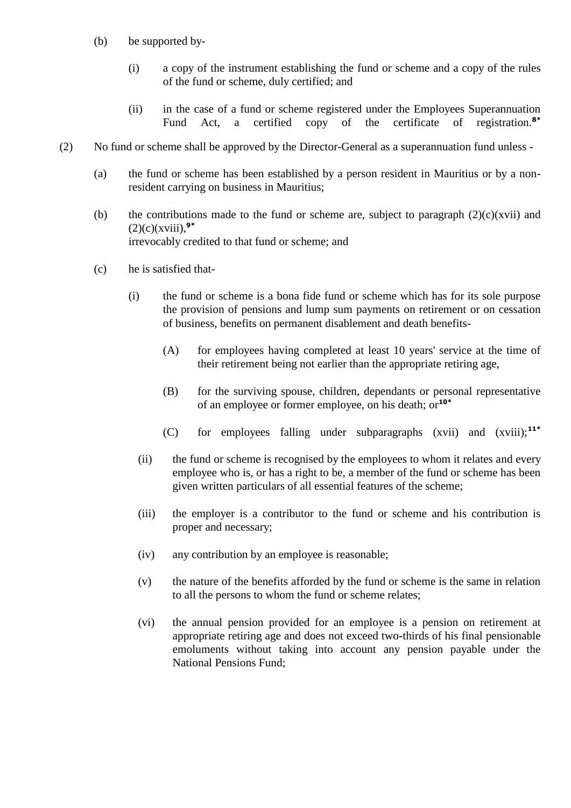- (b) be supported by-
	- (i) a copy of the instrument establishing the fund or scheme and a copy of the rules of the fund or scheme, duly certified; and
	- (ii) in the case of a fund or scheme registered under the Employees Superannuation Fund Act, a certified copy of the certificate of registration.**8\***
- (2) No fund or scheme shall be approved by the Director-General as a superannuation fund unless
	- (a) the fund or scheme has been established by a person resident in Mauritius or by a nonresident carrying on business in Mauritius;
	- (b) the contributions made to the fund or scheme are, subject to paragraph  $(2)(c)(xvi)$  and  $(2)(c)(xviii)$ , <sup>9\*</sup> irrevocably credited to that fund or scheme; and
	- (c) he is satisfied that-
		- (i) the fund or scheme is a bona fide fund or scheme which has for its sole purpose the provision of pensions and lump sum payments on retirement or on cessation of business, benefits on permanent disablement and death benefits-
			- (A) for employees having completed at least 10 years' service at the time of their retirement being not earlier than the appropriate retiring age,
			- (B) for the surviving spouse, children, dependants or personal representative of an employee or former employee, on his death; or**10\***
			- (C) for employees falling under subparagraphs (xvii) and (xviii);**11\***
			- (ii) the fund or scheme is recognised by the employees to whom it relates and every employee who is, or has a right to be, a member of the fund or scheme has been given written particulars of all essential features of the scheme;
			- (iii) the employer is a contributor to the fund or scheme and his contribution is proper and necessary;
			- (iv) any contribution by an employee is reasonable;
			- (v) the nature of the benefits afforded by the fund or scheme is the same in relation to all the persons to whom the fund or scheme relates;
			- (vi) the annual pension provided for an employee is a pension on retirement at appropriate retiring age and does not exceed two-thirds of his final pensionable emoluments without taking into account any pension payable under the National Pensions Fund;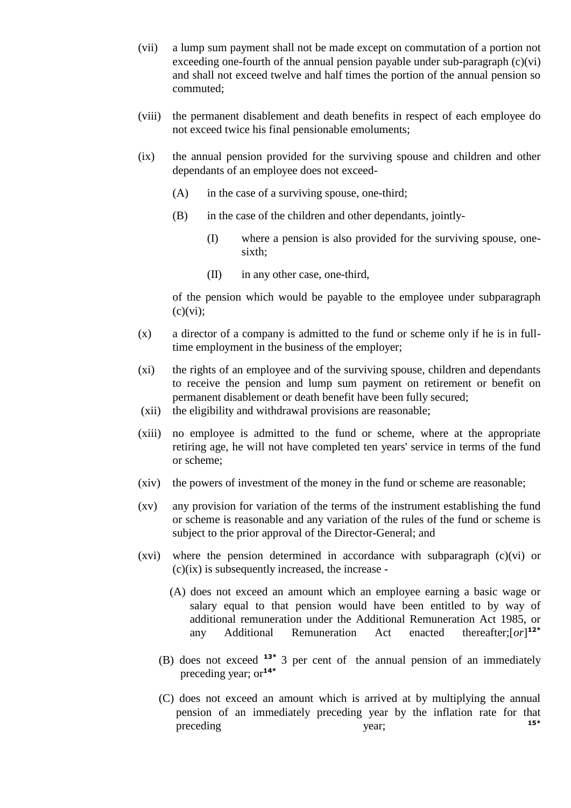- (vii) a lump sum payment shall not be made except on commutation of a portion not exceeding one-fourth of the annual pension payable under sub-paragraph  $(c)(vi)$ and shall not exceed twelve and half times the portion of the annual pension so commuted;
- (viii) the permanent disablement and death benefits in respect of each employee do not exceed twice his final pensionable emoluments;
- (ix) the annual pension provided for the surviving spouse and children and other dependants of an employee does not exceed-
	- (A) in the case of a surviving spouse, one-third;
	- (B) in the case of the children and other dependants, jointly-
		- (I) where a pension is also provided for the surviving spouse, onesixth;
		- (II) in any other case, one-third,

of the pension which would be payable to the employee under subparagraph  $(c)(vi)$ ;

- (x) a director of a company is admitted to the fund or scheme only if he is in fulltime employment in the business of the employer;
- (xi) the rights of an employee and of the surviving spouse, children and dependants to receive the pension and lump sum payment on retirement or benefit on permanent disablement or death benefit have been fully secured;
- (xii) the eligibility and withdrawal provisions are reasonable;
- (xiii) no employee is admitted to the fund or scheme, where at the appropriate retiring age, he will not have completed ten years' service in terms of the fund or scheme;
- (xiv) the powers of investment of the money in the fund or scheme are reasonable;
- (xv) any provision for variation of the terms of the instrument establishing the fund or scheme is reasonable and any variation of the rules of the fund or scheme is subject to the prior approval of the Director-General; and
- (xvi) where the pension determined in accordance with subparagraph (c)(vi) or  $(c)(ix)$  is subsequently increased, the increase -
	- (A) does not exceed an amount which an employee earning a basic wage or salary equal to that pension would have been entitled to by way of additional remuneration under the Additional Remuneration Act 1985, or any Additional Remuneration Act enacted thereafter;[*or*] **12\***
	- (B) does not exceed **13\*** 3 per cent ofthe annual pension of an immediately preceding year; or**14\***
	- (C) does not exceed an amount which is arrived at by multiplying the annual pension of an immediately preceding year by the inflation rate for that preceding year;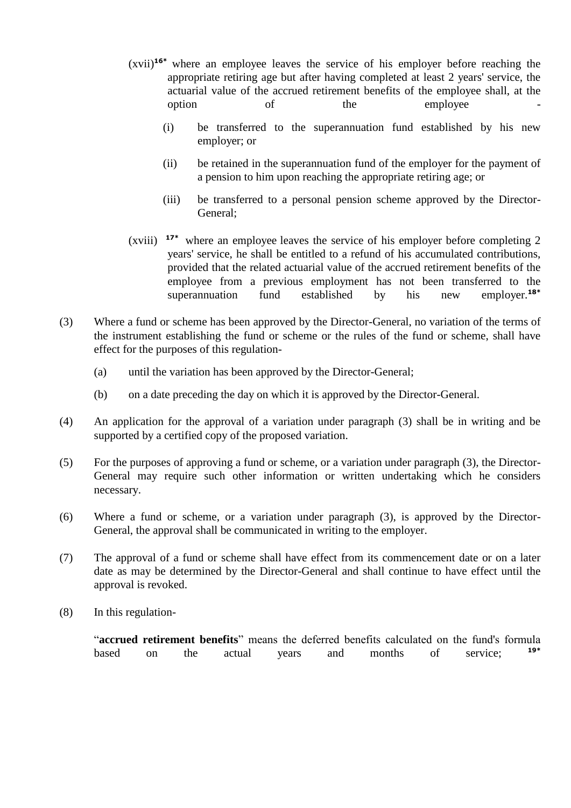- (xvii) **16\*** where an employee leaves the service of his employer before reaching the appropriate retiring age but after having completed at least 2 years' service, the actuarial value of the accrued retirement benefits of the employee shall, at the option of the employee
	- (i) be transferred to the superannuation fund established by his new employer; or
	- (ii) be retained in the superannuation fund of the employer for the payment of a pension to him upon reaching the appropriate retiring age; or
	- (iii) be transferred to a personal pension scheme approved by the Director-General;
- (xviii) **17\*** where an employee leaves the service of his employer before completing 2 years' service, he shall be entitled to a refund of his accumulated contributions, provided that the related actuarial value of the accrued retirement benefits of the employee from a previous employment has not been transferred to the superannuation fund established by his new employer.**18\***
- (3) Where a fund or scheme has been approved by the Director-General, no variation of the terms of the instrument establishing the fund or scheme or the rules of the fund or scheme, shall have effect for the purposes of this regulation-
	- (a) until the variation has been approved by the Director-General;
	- (b) on a date preceding the day on which it is approved by the Director-General.
- (4) An application for the approval of a variation under paragraph (3) shall be in writing and be supported by a certified copy of the proposed variation.
- (5) For the purposes of approving a fund or scheme, or a variation under paragraph (3), the Director-General may require such other information or written undertaking which he considers necessary.
- (6) Where a fund or scheme, or a variation under paragraph (3), is approved by the Director-General, the approval shall be communicated in writing to the employer.
- (7) The approval of a fund or scheme shall have effect from its commencement date or on a later date as may be determined by the Director-General and shall continue to have effect until the approval is revoked.
- (8) In this regulation-

"**accrued retirement benefits**" means the deferred benefits calculated on the fund's formula based on the actual years and months of service; **19\***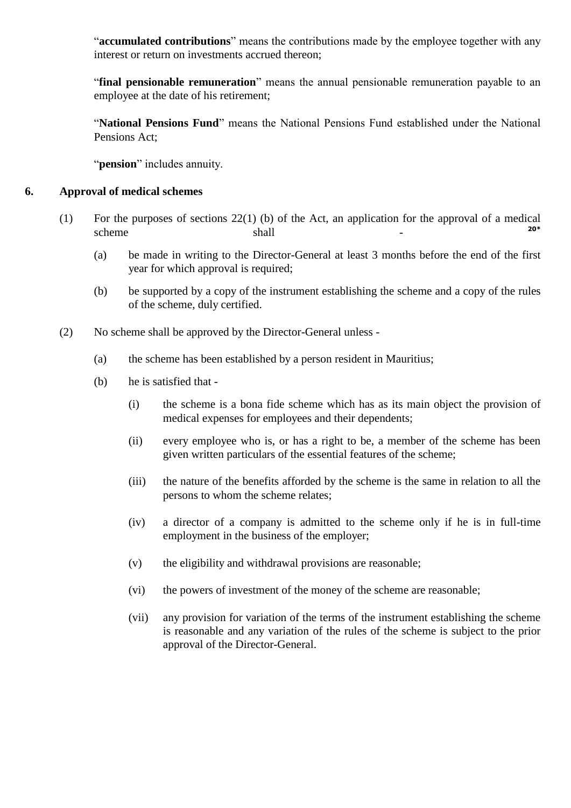"**accumulated contributions**" means the contributions made by the employee together with any interest or return on investments accrued thereon;

"**final pensionable remuneration**" means the annual pensionable remuneration payable to an employee at the date of his retirement;

"**National Pensions Fund**" means the National Pensions Fund established under the National Pensions Act;

"**pension**" includes annuity.

#### **6. Approval of medical schemes**

- (1) For the purposes of sections 22(1) (b) of the Act, an application for the approval of a medical scheme shall -**20\***
	- (a) be made in writing to the Director-General at least 3 months before the end of the first year for which approval is required;
	- (b) be supported by a copy of the instrument establishing the scheme and a copy of the rules of the scheme, duly certified.
- (2) No scheme shall be approved by the Director-General unless
	- (a) the scheme has been established by a person resident in Mauritius;
	- (b) he is satisfied that
		- (i) the scheme is a bona fide scheme which has as its main object the provision of medical expenses for employees and their dependents;
		- (ii) every employee who is, or has a right to be, a member of the scheme has been given written particulars of the essential features of the scheme;
		- (iii) the nature of the benefits afforded by the scheme is the same in relation to all the persons to whom the scheme relates;
		- (iv) a director of a company is admitted to the scheme only if he is in full-time employment in the business of the employer;
		- (v) the eligibility and withdrawal provisions are reasonable;
		- (vi) the powers of investment of the money of the scheme are reasonable;
		- (vii) any provision for variation of the terms of the instrument establishing the scheme is reasonable and any variation of the rules of the scheme is subject to the prior approval of the Director-General.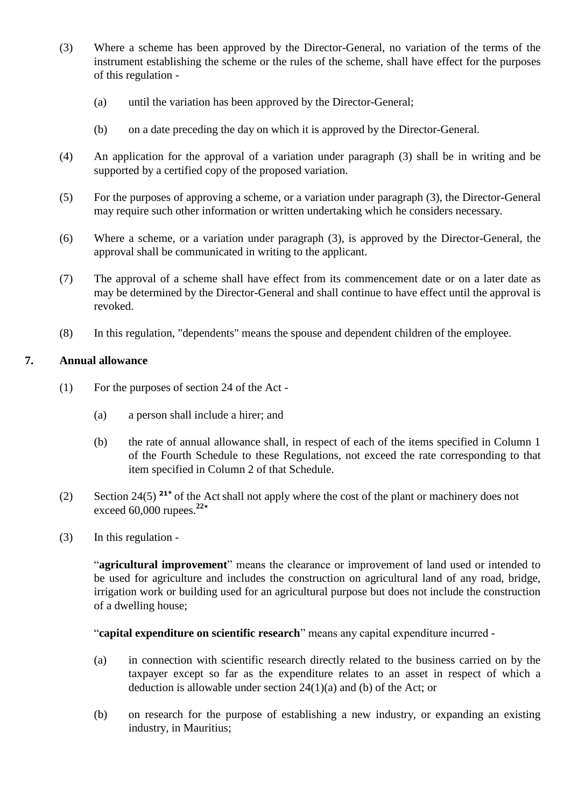- (3) Where a scheme has been approved by the Director-General, no variation of the terms of the instrument establishing the scheme or the rules of the scheme, shall have effect for the purposes of this regulation -
	- (a) until the variation has been approved by the Director-General;
	- (b) on a date preceding the day on which it is approved by the Director-General.
- (4) An application for the approval of a variation under paragraph (3) shall be in writing and be supported by a certified copy of the proposed variation.
- (5) For the purposes of approving a scheme, or a variation under paragraph (3), the Director-General may require such other information or written undertaking which he considers necessary.
- (6) Where a scheme, or a variation under paragraph (3), is approved by the Director-General, the approval shall be communicated in writing to the applicant.
- (7) The approval of a scheme shall have effect from its commencement date or on a later date as may be determined by the Director-General and shall continue to have effect until the approval is revoked.
- (8) In this regulation, "dependents" means the spouse and dependent children of the employee.

# **7. Annual allowance**

- (1) For the purposes of section 24 of the Act
	- (a) a person shall include a hirer; and
	- (b) the rate of annual allowance shall, in respect of each of the items specified in Column 1 of the Fourth Schedule to these Regulations, not exceed the rate corresponding to that item specified in Column 2 of that Schedule.
- (2) Section 24(5) **21\*** of the Actshall not apply where the cost of the plant or machinery does not exceed 60,000 rupees.**<sup>22</sup>\***
- (3) In this regulation -

"**agricultural improvement**" means the clearance or improvement of land used or intended to be used for agriculture and includes the construction on agricultural land of any road, bridge, irrigation work or building used for an agricultural purpose but does not include the construction of a dwelling house;

"**capital expenditure on scientific research**" means any capital expenditure incurred -

- (a) in connection with scientific research directly related to the business carried on by the taxpayer except so far as the expenditure relates to an asset in respect of which a deduction is allowable under section 24(1)(a) and (b) of the Act; or
- (b) on research for the purpose of establishing a new industry, or expanding an existing industry, in Mauritius;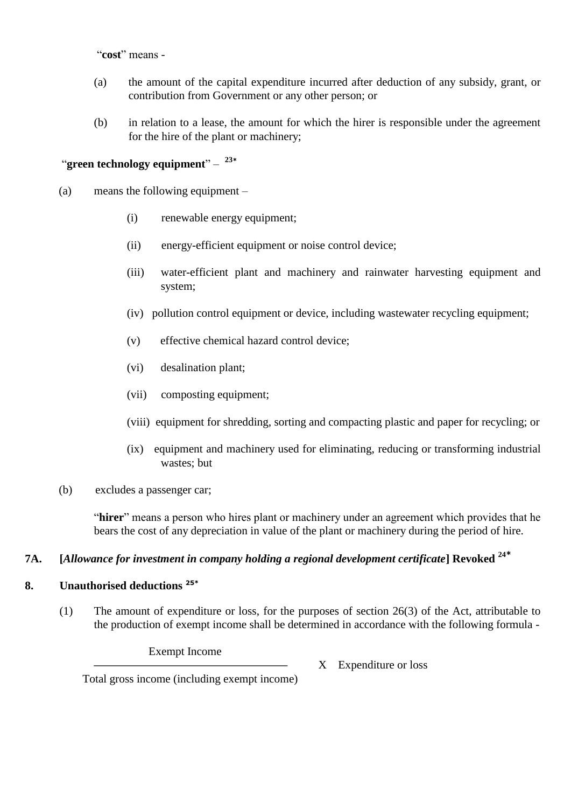"**cost**" means -

- (a) the amount of the capital expenditure incurred after deduction of any subsidy, grant, or contribution from Government or any other person; or
- (b) in relation to a lease, the amount for which the hirer is responsible under the agreement for the hire of the plant or machinery;

# "**green technology equipment**" – **23\***

- (a) means the following equipment
	- (i) renewable energy equipment;
	- (ii) energy-efficient equipment or noise control device;
	- (iii) water-efficient plant and machinery and rainwater harvesting equipment and system;
	- (iv) pollution control equipment or device, including wastewater recycling equipment;
	- (v) effective chemical hazard control device;
	- (vi) desalination plant;
	- (vii) composting equipment;
	- (viii) equipment for shredding, sorting and compacting plastic and paper for recycling; or
	- (ix) equipment and machinery used for eliminating, reducing or transforming industrial wastes; but
- (b) excludes a passenger car;

"**hirer**" means a person who hires plant or machinery under an agreement which provides that he bears the cost of any depreciation in value of the plant or machinery during the period of hire.

# **7A. [***Allowance for investment in company holding a regional development certificate***] Revoked <sup>24</sup>\***

#### **8. Unauthorised deductions 25\***

(1) The amount of expenditure or loss, for the purposes of section 26(3) of the Act, attributable to the production of exempt income shall be determined in accordance with the following formula -

Exempt Income

X Expenditure or loss

Total gross income (including exempt income)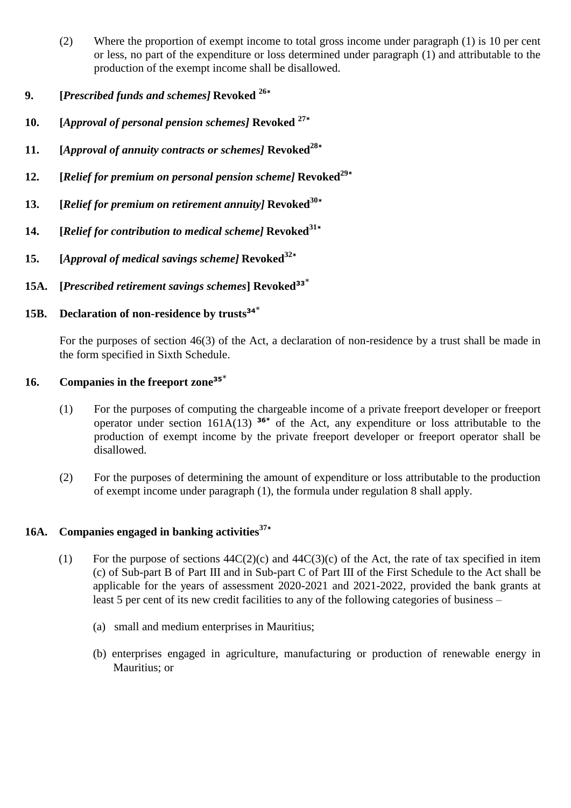- (2) Where the proportion of exempt income to total gross income under paragraph (1) is 10 per cent or less, no part of the expenditure or loss determined under paragraph (1) and attributable to the production of the exempt income shall be disallowed.
- **9. [***Prescribed funds and schemes]* **Revoked <sup>26</sup>\***
- **10. [***Approval of personal pension schemes]* **Revoked <sup>27</sup>\***
- **11. [***Approval of annuity contracts or schemes]* **Revoked<sup>28</sup>\***
- **12. [***Relief for premium on personal pension scheme]* **Revoked<sup>29</sup>\***
- **13. [***Relief for premium on retirement annuity]* **Revoked<sup>30</sup>\***
- **14. [***Relief for contribution to medical scheme]* **Revoked<sup>31</sup>\***
- **15. [***Approval of medical savings scheme]* **Revoked<sup>32</sup>\***
- **15A. [***Prescribed retirement savings schemes***] Revoked<sup>33</sup>**\*

# **15B. Declaration of non-residence by trusts<sup>34</sup>**\*

For the purposes of section 46(3) of the Act, a declaration of non-residence by a trust shall be made in the form specified in Sixth Schedule.

# **16. Companies in the freeport zone<sup>35</sup>**\*

- (1) For the purposes of computing the chargeable income of a private freeport developer or freeport operator under section  $161A(13)$  <sup>36\*</sup> of the Act, any expenditure or loss attributable to the production of exempt income by the private freeport developer or freeport operator shall be disallowed.
- (2) For the purposes of determining the amount of expenditure or loss attributable to the production of exempt income under paragraph (1), the formula under regulation 8 shall apply.

# **16A. Companies engaged in banking activities<sup>37</sup>\***

- (1) For the purpose of sections  $44C(2)(c)$  and  $44C(3)(c)$  of the Act, the rate of tax specified in item (c) of Sub-part B of Part III and in Sub-part C of Part III of the First Schedule to the Act shall be applicable for the years of assessment 2020-2021 and 2021-2022, provided the bank grants at least 5 per cent of its new credit facilities to any of the following categories of business –
	- (a) small and medium enterprises in Mauritius;
	- (b) enterprises engaged in agriculture, manufacturing or production of renewable energy in Mauritius; or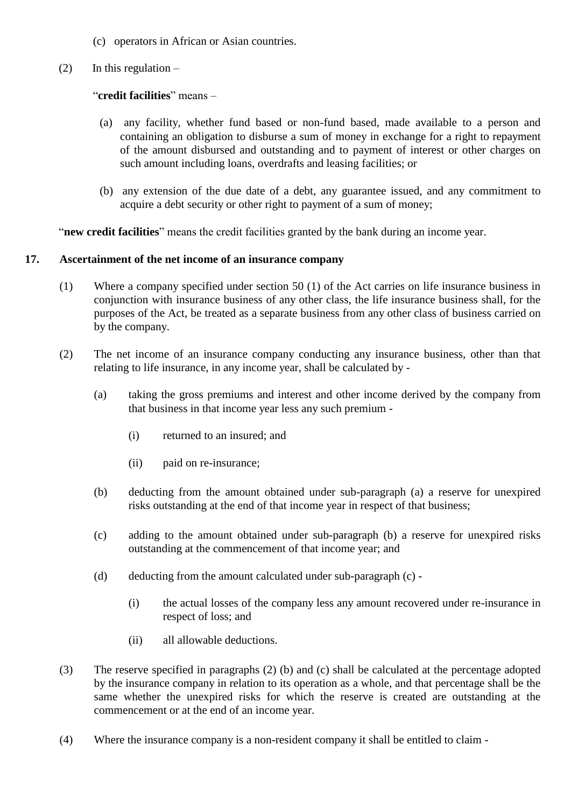- (c) operators in African or Asian countries.
- (2) In this regulation  $-$

# "**credit facilities**" means –

- (a) any facility, whether fund based or non-fund based, made available to a person and containing an obligation to disburse a sum of money in exchange for a right to repayment of the amount disbursed and outstanding and to payment of interest or other charges on such amount including loans, overdrafts and leasing facilities; or
- (b) any extension of the due date of a debt, any guarantee issued, and any commitment to acquire a debt security or other right to payment of a sum of money;

"**new credit facilities**" means the credit facilities granted by the bank during an income year.

# **17. Ascertainment of the net income of an insurance company**

- (1) Where a company specified under section 50 (1) of the Act carries on life insurance business in conjunction with insurance business of any other class, the life insurance business shall, for the purposes of the Act, be treated as a separate business from any other class of business carried on by the company.
- (2) The net income of an insurance company conducting any insurance business, other than that relating to life insurance, in any income year, shall be calculated by -
	- (a) taking the gross premiums and interest and other income derived by the company from that business in that income year less any such premium -
		- (i) returned to an insured; and
		- (ii) paid on re-insurance;
	- (b) deducting from the amount obtained under sub-paragraph (a) a reserve for unexpired risks outstanding at the end of that income year in respect of that business;
	- (c) adding to the amount obtained under sub-paragraph (b) a reserve for unexpired risks outstanding at the commencement of that income year; and
	- (d) deducting from the amount calculated under sub-paragraph (c)
		- (i) the actual losses of the company less any amount recovered under re-insurance in respect of loss; and
		- (ii) all allowable deductions.
- (3) The reserve specified in paragraphs (2) (b) and (c) shall be calculated at the percentage adopted by the insurance company in relation to its operation as a whole, and that percentage shall be the same whether the unexpired risks for which the reserve is created are outstanding at the commencement or at the end of an income year.
- (4) Where the insurance company is a non-resident company it shall be entitled to claim -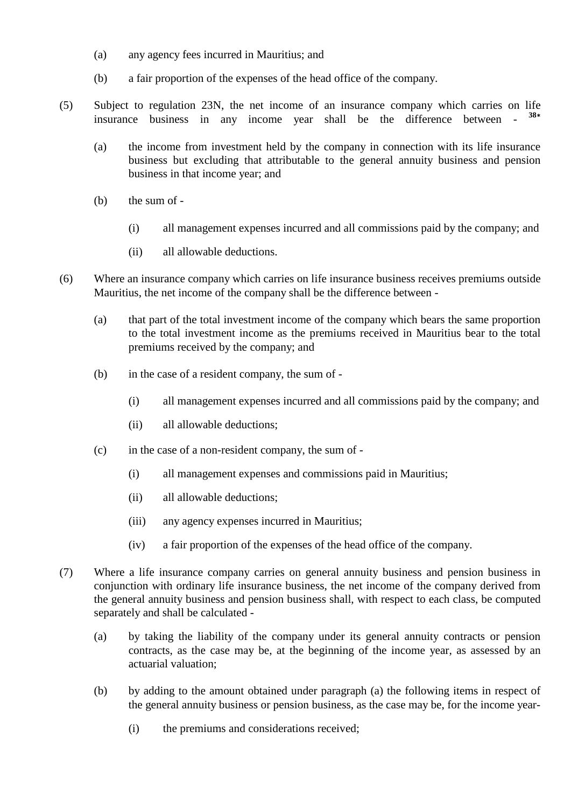- (a) any agency fees incurred in Mauritius; and
- (b) a fair proportion of the expenses of the head office of the company.
- (5) Subject to regulation 23N, the net income of an insurance company which carries on life insurance business in any income year shall be the difference between - **38\***
	- (a) the income from investment held by the company in connection with its life insurance business but excluding that attributable to the general annuity business and pension business in that income year; and
	- (b) the sum of
		- (i) all management expenses incurred and all commissions paid by the company; and
		- (ii) all allowable deductions.
- (6) Where an insurance company which carries on life insurance business receives premiums outside Mauritius, the net income of the company shall be the difference between -
	- (a) that part of the total investment income of the company which bears the same proportion to the total investment income as the premiums received in Mauritius bear to the total premiums received by the company; and
	- (b) in the case of a resident company, the sum of
		- (i) all management expenses incurred and all commissions paid by the company; and
		- (ii) all allowable deductions;
	- (c) in the case of a non-resident company, the sum of
		- (i) all management expenses and commissions paid in Mauritius;
		- (ii) all allowable deductions;
		- (iii) any agency expenses incurred in Mauritius;
		- (iv) a fair proportion of the expenses of the head office of the company.
- (7) Where a life insurance company carries on general annuity business and pension business in conjunction with ordinary life insurance business, the net income of the company derived from the general annuity business and pension business shall, with respect to each class, be computed separately and shall be calculated -
	- (a) by taking the liability of the company under its general annuity contracts or pension contracts, as the case may be, at the beginning of the income year, as assessed by an actuarial valuation;
	- (b) by adding to the amount obtained under paragraph (a) the following items in respect of the general annuity business or pension business, as the case may be, for the income year-
		- (i) the premiums and considerations received;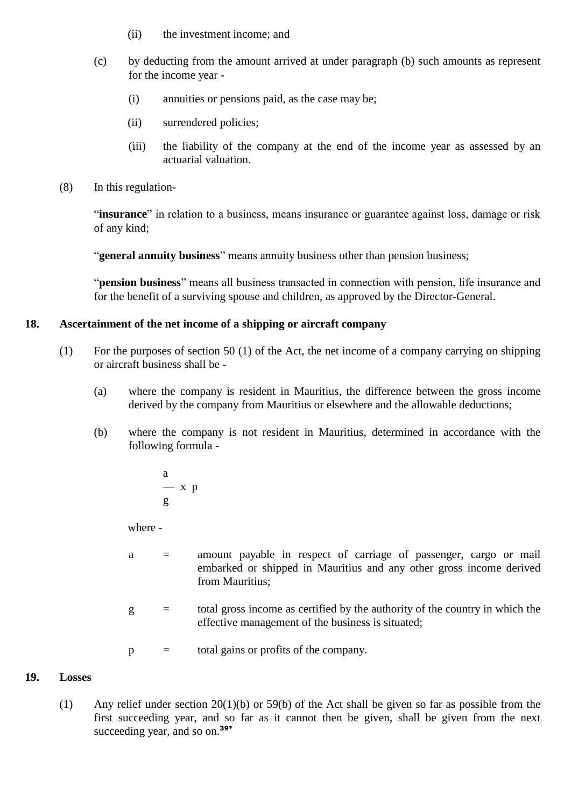- (ii) the investment income; and
- (c) by deducting from the amount arrived at under paragraph (b) such amounts as represent for the income year -
	- (i) annuities or pensions paid, as the case may be;
	- (ii) surrendered policies;
	- (iii) the liability of the company at the end of the income year as assessed by an actuarial valuation.
- (8) In this regulation-

"**insurance**" in relation to a business, means insurance or guarantee against loss, damage or risk of any kind;

"**general annuity business**" means annuity business other than pension business;

"**pension business**" means all business transacted in connection with pension, life insurance and for the benefit of a surviving spouse and children, as approved by the Director-General.

# **18. Ascertainment of the net income of a shipping or aircraft company**

- (1) For the purposes of section 50 (1) of the Act, the net income of a company carrying on shipping or aircraft business shall be -
	- (a) where the company is resident in Mauritius, the difference between the gross income derived by the company from Mauritius or elsewhere and the allowable deductions;
	- (b) where the company is not resident in Mauritius, determined in accordance with the following formula
		- a  $- x p$ g

where -

- a = amount payable in respect of carriage of passenger, cargo or mail embarked or shipped in Mauritius and any other gross income derived from Mauritius;
- $g =$  total gross income as certified by the authority of the country in which the effective management of the business is situated;
- $p =$  total gains or profits of the company.

# **19. Losses**

(1) Any relief under section 20(1)(b) or 59(b) of the Act shall be given so far as possible from the first succeeding year, and so far as it cannot then be given, shall be given from the next succeeding year, and so on.**39\***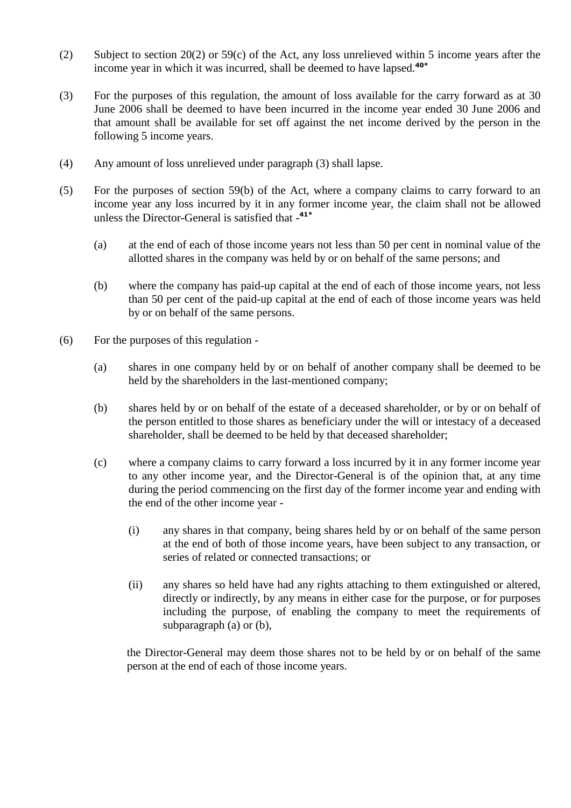- (2) Subject to section 20(2) or 59(c) of the Act, any loss unrelieved within 5 income years after the income year in which it was incurred, shall be deemed to have lapsed.**40\***
- (3) For the purposes of this regulation, the amount of loss available for the carry forward as at 30 June 2006 shall be deemed to have been incurred in the income year ended 30 June 2006 and that amount shall be available for set off against the net income derived by the person in the following 5 income years.
- (4) Any amount of loss unrelieved under paragraph (3) shall lapse.
- (5) For the purposes of section 59(b) of the Act, where a company claims to carry forward to an income year any loss incurred by it in any former income year, the claim shall not be allowed unless the Director-General is satisfied that - **41\***
	- (a) at the end of each of those income years not less than 50 per cent in nominal value of the allotted shares in the company was held by or on behalf of the same persons; and
	- (b) where the company has paid-up capital at the end of each of those income years, not less than 50 per cent of the paid-up capital at the end of each of those income years was held by or on behalf of the same persons.
- (6) For the purposes of this regulation
	- (a) shares in one company held by or on behalf of another company shall be deemed to be held by the shareholders in the last-mentioned company;
	- (b) shares held by or on behalf of the estate of a deceased shareholder, or by or on behalf of the person entitled to those shares as beneficiary under the will or intestacy of a deceased shareholder, shall be deemed to be held by that deceased shareholder;
	- (c) where a company claims to carry forward a loss incurred by it in any former income year to any other income year, and the Director-General is of the opinion that, at any time during the period commencing on the first day of the former income year and ending with the end of the other income year -
		- (i) any shares in that company, being shares held by or on behalf of the same person at the end of both of those income years, have been subject to any transaction, or series of related or connected transactions; or
		- (ii) any shares so held have had any rights attaching to them extinguished or altered, directly or indirectly, by any means in either case for the purpose, or for purposes including the purpose, of enabling the company to meet the requirements of subparagraph (a) or (b),

the Director-General may deem those shares not to be held by or on behalf of the same person at the end of each of those income years.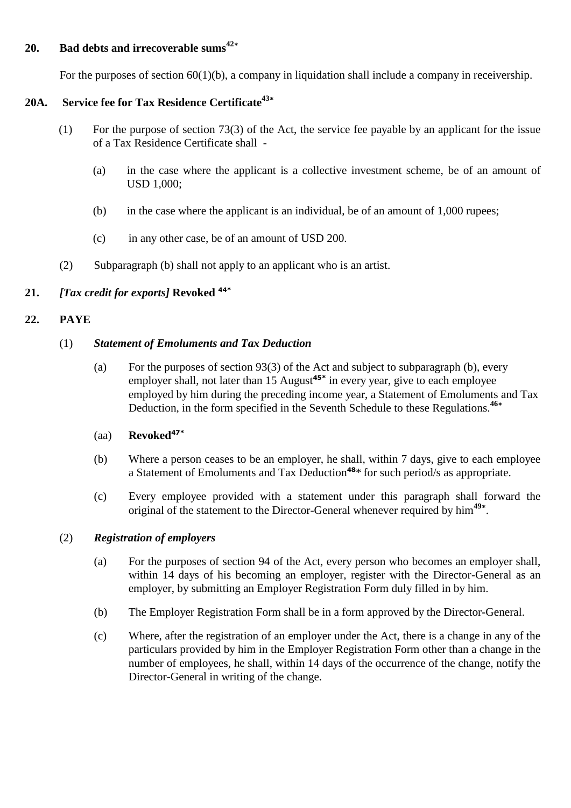# **20. Bad debts and irrecoverable sums<sup>42</sup>\***

For the purposes of section 60(1)(b), a company in liquidation shall include a company in receivership.

# **20A. Service fee for Tax Residence Certificate<sup>43</sup>\***

- (1) For the purpose of section 73(3) of the Act, the service fee payable by an applicant for the issue of a Tax Residence Certificate shall -
	- (a) in the case where the applicant is a collective investment scheme, be of an amount of USD 1,000;
	- (b) in the case where the applicant is an individual, be of an amount of 1,000 rupees;
	- (c) in any other case, be of an amount of USD 200.
- (2) Subparagraph (b) shall not apply to an applicant who is an artist.

# **21.** *[Tax credit for exports]* **Revoked 44\***

## **22. PAYE**

#### (1) *Statement of Emoluments and Tax Deduction*

(a) For the purposes of section 93(3) of the Act and subject to subparagraph (b), every employer shall, not later than 15 August**45\*** in every year, give to each employee employed by him during the preceding income year, a Statement of Emoluments and Tax Deduction, in the form specified in the Seventh Schedule to these Regulations.**<sup>46</sup>\***

#### (aa) **Revoked47\***

- (b) Where a person ceases to be an employer, he shall, within 7 days, give to each employee a Statement of Emoluments and Tax Deduction**<sup>48</sup>**\* for such period/s as appropriate.
- (c) Every employee provided with a statement under this paragraph shall forward the original of the statement to the Director-General whenever required by him**<sup>49</sup>\*** .

#### (2) *Registration of employers*

- (a) For the purposes of section 94 of the Act, every person who becomes an employer shall, within 14 days of his becoming an employer, register with the Director-General as an employer, by submitting an Employer Registration Form duly filled in by him.
- (b) The Employer Registration Form shall be in a form approved by the Director-General.
- (c) Where, after the registration of an employer under the Act, there is a change in any of the particulars provided by him in the Employer Registration Form other than a change in the number of employees, he shall, within 14 days of the occurrence of the change, notify the Director-General in writing of the change.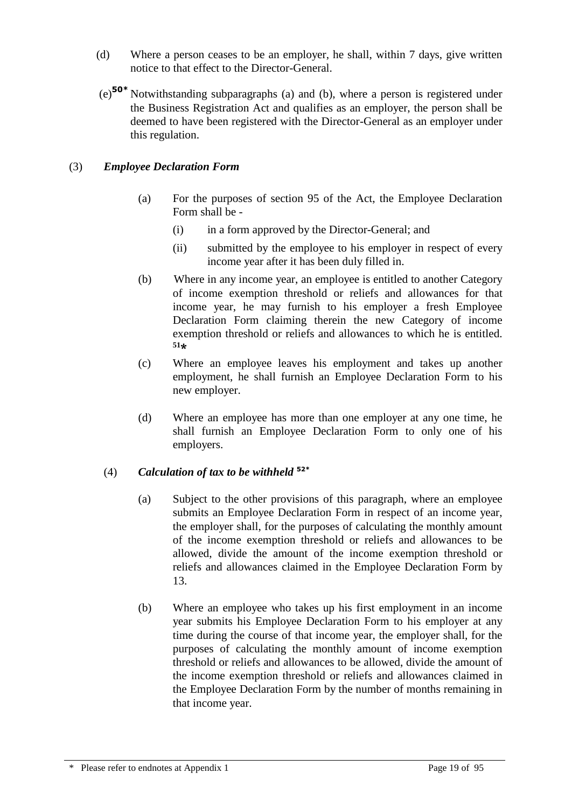- (d) Where a person ceases to be an employer, he shall, within 7 days, give written notice to that effect to the Director-General.
- (e)**50\*** Notwithstanding subparagraphs (a) and (b), where a person is registered under the Business Registration Act and qualifies as an employer, the person shall be deemed to have been registered with the Director-General as an employer under this regulation.

# (3) *Employee Declaration Form*

- (a) For the purposes of section 95 of the Act, the Employee Declaration Form shall be -
	- (i) in a form approved by the Director-General; and
	- (ii) submitted by the employee to his employer in respect of every income year after it has been duly filled in.
- (b) Where in any income year, an employee is entitled to another Category of income exemption threshold or reliefs and allowances for that income year, he may furnish to his employer a fresh Employee Declaration Form claiming therein the new Category of income exemption threshold or reliefs and allowances to which he is entitled. **51\***
- (c) Where an employee leaves his employment and takes up another employment, he shall furnish an Employee Declaration Form to his new employer.
- (d) Where an employee has more than one employer at any one time, he shall furnish an Employee Declaration Form to only one of his employers.

# (4) *Calculation of tax to be withheld* **52\***

- (a) Subject to the other provisions of this paragraph, where an employee submits an Employee Declaration Form in respect of an income year, the employer shall, for the purposes of calculating the monthly amount of the income exemption threshold or reliefs and allowances to be allowed, divide the amount of the income exemption threshold or reliefs and allowances claimed in the Employee Declaration Form by 13.
- (b) Where an employee who takes up his first employment in an income year submits his Employee Declaration Form to his employer at any time during the course of that income year, the employer shall, for the purposes of calculating the monthly amount of income exemption threshold or reliefs and allowances to be allowed, divide the amount of the income exemption threshold or reliefs and allowances claimed in the Employee Declaration Form by the number of months remaining in that income year.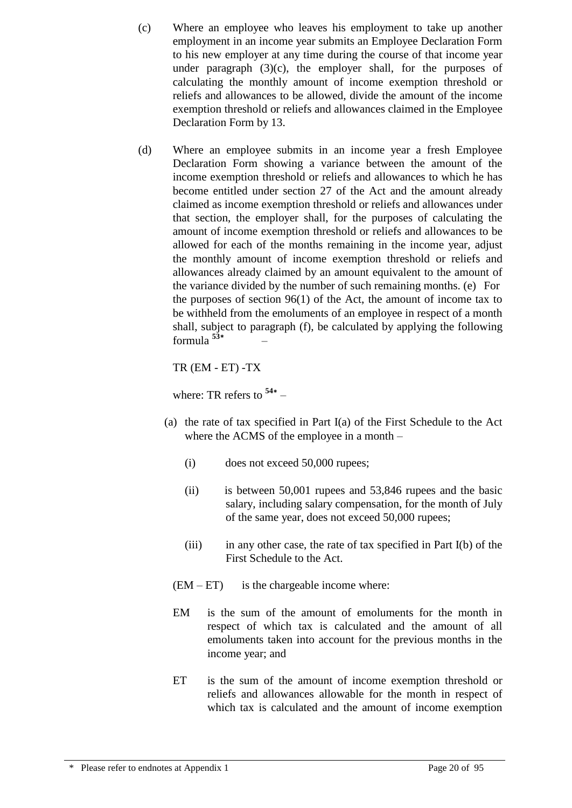- (c) Where an employee who leaves his employment to take up another employment in an income year submits an Employee Declaration Form to his new employer at any time during the course of that income year under paragraph  $(3)(c)$ , the employer shall, for the purposes of calculating the monthly amount of income exemption threshold or reliefs and allowances to be allowed, divide the amount of the income exemption threshold or reliefs and allowances claimed in the Employee Declaration Form by 13.
- (d) Where an employee submits in an income year a fresh Employee Declaration Form showing a variance between the amount of the income exemption threshold or reliefs and allowances to which he has become entitled under section 27 of the Act and the amount already claimed as income exemption threshold or reliefs and allowances under that section, the employer shall, for the purposes of calculating the amount of income exemption threshold or reliefs and allowances to be allowed for each of the months remaining in the income year, adjust the monthly amount of income exemption threshold or reliefs and allowances already claimed by an amount equivalent to the amount of the variance divided by the number of such remaining months. (e) For the purposes of section 96(1) of the Act, the amount of income tax to be withheld from the emoluments of an employee in respect of a month shall, subject to paragraph (f), be calculated by applying the following formula **<sup>53</sup>\***  $\sim$

TR (EM - ET) -TX

where: TR refers to **<sup>54</sup>\*** –

- (a) the rate of tax specified in Part I(a) of the First Schedule to the Act where the ACMS of the employee in a month –
	- (i) does not exceed 50,000 rupees;
	- (ii) is between 50,001 rupees and 53,846 rupees and the basic salary, including salary compensation, for the month of July of the same year, does not exceed 50,000 rupees;
	- (iii) in any other case, the rate of tax specified in Part I(b) of the First Schedule to the Act.
	- $(EM ET)$  is the chargeable income where:
	- EM is the sum of the amount of emoluments for the month in respect of which tax is calculated and the amount of all emoluments taken into account for the previous months in the income year; and
	- ET is the sum of the amount of income exemption threshold or reliefs and allowances allowable for the month in respect of which tax is calculated and the amount of income exemption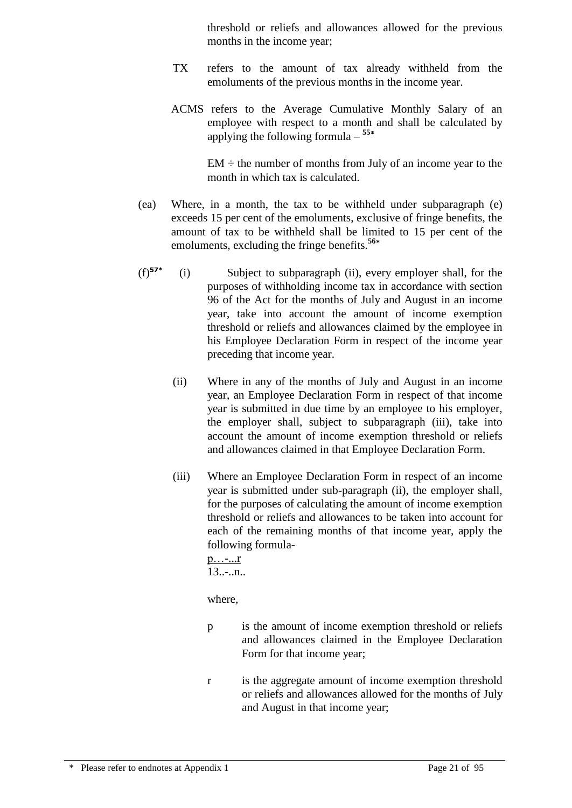threshold or reliefs and allowances allowed for the previous months in the income year;

- TX refers to the amount of tax already withheld from the emoluments of the previous months in the income year.
- ACMS refers to the Average Cumulative Monthly Salary of an employee with respect to a month and shall be calculated by applying the following formula – **55\***

 $EM \div the number of months from July of an income year to the$ month in which tax is calculated.

- (ea) Where, in a month, the tax to be withheld under subparagraph (e) exceeds 15 per cent of the emoluments, exclusive of fringe benefits, the amount of tax to be withheld shall be limited to 15 per cent of the emoluments, excluding the fringe benefits.**<sup>56</sup>\***
- (f)**57\*** (i)Subject to subparagraph (ii), every employer shall, for the purposes of withholding income tax in accordance with section 96 of the Act for the months of July and August in an income year, take into account the amount of income exemption threshold or reliefs and allowances claimed by the employee in his Employee Declaration Form in respect of the income year preceding that income year.
	- (ii) Where in any of the months of July and August in an income year, an Employee Declaration Form in respect of that income year is submitted in due time by an employee to his employer, the employer shall, subject to subparagraph (iii), take into account the amount of income exemption threshold or reliefs and allowances claimed in that Employee Declaration Form.
	- (iii) Where an Employee Declaration Form in respect of an income year is submitted under sub-paragraph (ii), the employer shall, for the purposes of calculating the amount of income exemption threshold or reliefs and allowances to be taken into account for each of the remaining months of that income year, apply the following formula-

p…-...r  $13......n$ ..

where,

- p is the amount of income exemption threshold or reliefs and allowances claimed in the Employee Declaration Form for that income year;
- r is the aggregate amount of income exemption threshold or reliefs and allowances allowed for the months of July and August in that income year;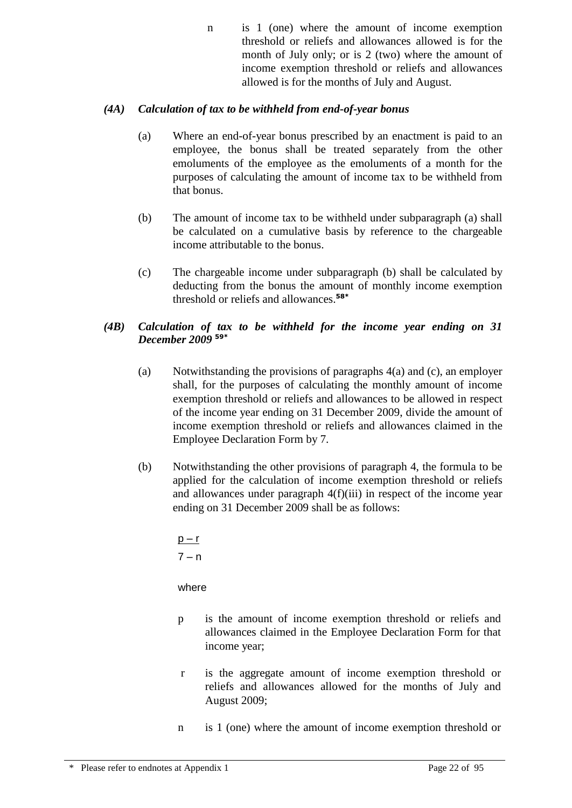n is 1 (one) where the amount of income exemption threshold or reliefs and allowances allowed is for the month of July only; or is 2 (two) where the amount of income exemption threshold or reliefs and allowances allowed is for the months of July and August.

# *(4A) Calculation of tax to be withheld from end-of-year bonus*

- (a) Where an end-of-year bonus prescribed by an enactment is paid to an employee, the bonus shall be treated separately from the other emoluments of the employee as the emoluments of a month for the purposes of calculating the amount of income tax to be withheld from that bonus.
- (b) The amount of income tax to be withheld under subparagraph (a) shall be calculated on a cumulative basis by reference to the chargeable income attributable to the bonus.
- (c) The chargeable income under subparagraph (b) shall be calculated by deducting from the bonus the amount of monthly income exemption threshold or reliefs and allowances. **58\***

# *(4B) Calculation of tax to be withheld for the income year ending on 31 December 2009* **59\***

- (a) Notwithstanding the provisions of paragraphs 4(a) and (c), an employer shall, for the purposes of calculating the monthly amount of income exemption threshold or reliefs and allowances to be allowed in respect of the income year ending on 31 December 2009, divide the amount of income exemption threshold or reliefs and allowances claimed in the Employee Declaration Form by 7.
- (b) Notwithstanding the other provisions of paragraph 4, the formula to be applied for the calculation of income exemption threshold or reliefs and allowances under paragraph 4(f)(iii) in respect of the income year ending on 31 December 2009 shall be as follows:

 $p - r$  $7 - n$ 

where

- p is the amount of income exemption threshold or reliefs and allowances claimed in the Employee Declaration Form for that income year;
- r is the aggregate amount of income exemption threshold or reliefs and allowances allowed for the months of July and August 2009;
- n is 1 (one) where the amount of income exemption threshold or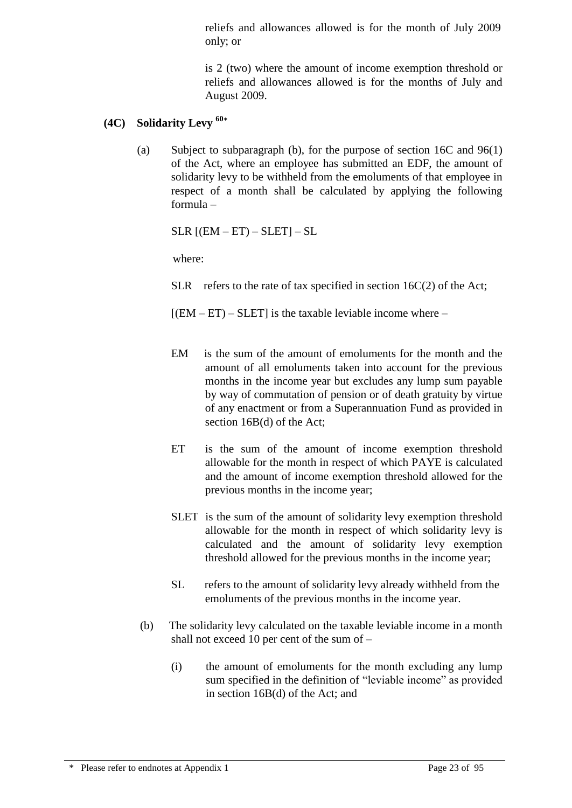reliefs and allowances allowed is for the month of July 2009 only; or

is 2 (two) where the amount of income exemption threshold or reliefs and allowances allowed is for the months of July and August 2009.

# **(4C) Solidarity Levy <sup>60</sup>\***

(a) Subject to subparagraph (b), for the purpose of section 16C and 96(1) of the Act, where an employee has submitted an EDF, the amount of solidarity levy to be withheld from the emoluments of that employee in respect of a month shall be calculated by applying the following formula –

 $SLR$   $[(EM - ET) - SLET] - SL$ 

where:

SLR refers to the rate of tax specified in section  $16C(2)$  of the Act;

 $[(EM - ET) - SLET]$  is the taxable leviable income where –

- EM is the sum of the amount of emoluments for the month and the amount of all emoluments taken into account for the previous months in the income year but excludes any lump sum payable by way of commutation of pension or of death gratuity by virtue of any enactment or from a Superannuation Fund as provided in section 16B(d) of the Act;
- ET is the sum of the amount of income exemption threshold allowable for the month in respect of which PAYE is calculated and the amount of income exemption threshold allowed for the previous months in the income year;
- SLET is the sum of the amount of solidarity levy exemption threshold allowable for the month in respect of which solidarity levy is calculated and the amount of solidarity levy exemption threshold allowed for the previous months in the income year;
- SL refers to the amount of solidarity levy already withheld from the emoluments of the previous months in the income year.
- (b) The solidarity levy calculated on the taxable leviable income in a month shall not exceed 10 per cent of the sum of –
	- (i) the amount of emoluments for the month excluding any lump sum specified in the definition of "leviable income" as provided in section 16B(d) of the Act; and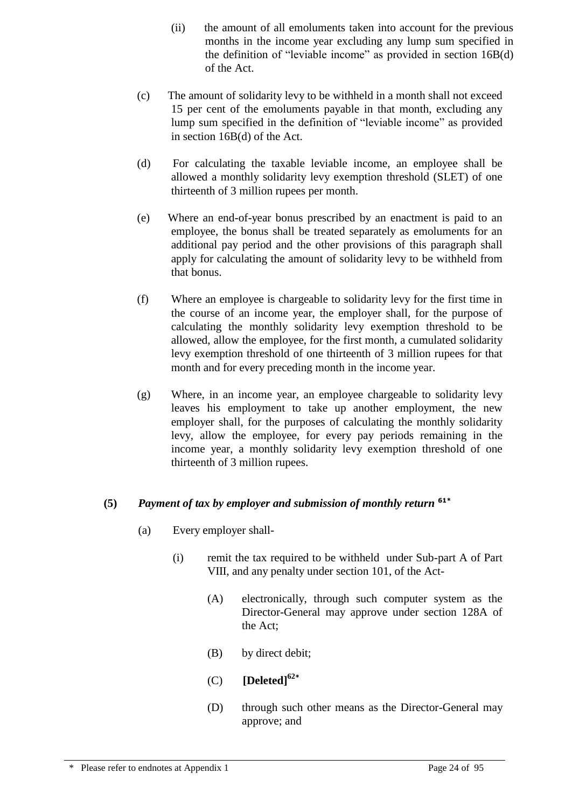- (ii) the amount of all emoluments taken into account for the previous months in the income year excluding any lump sum specified in the definition of "leviable income" as provided in section 16B(d) of the Act.
- (c) The amount of solidarity levy to be withheld in a month shall not exceed 15 per cent of the emoluments payable in that month, excluding any lump sum specified in the definition of "leviable income" as provided in section 16B(d) of the Act.
- (d) For calculating the taxable leviable income, an employee shall be allowed a monthly solidarity levy exemption threshold (SLET) of one thirteenth of 3 million rupees per month.
- (e) Where an end-of-year bonus prescribed by an enactment is paid to an employee, the bonus shall be treated separately as emoluments for an additional pay period and the other provisions of this paragraph shall apply for calculating the amount of solidarity levy to be withheld from that bonus.
- (f) Where an employee is chargeable to solidarity levy for the first time in the course of an income year, the employer shall, for the purpose of calculating the monthly solidarity levy exemption threshold to be allowed, allow the employee, for the first month, a cumulated solidarity levy exemption threshold of one thirteenth of 3 million rupees for that month and for every preceding month in the income year.
- (g) Where, in an income year, an employee chargeable to solidarity levy leaves his employment to take up another employment, the new employer shall, for the purposes of calculating the monthly solidarity levy, allow the employee, for every pay periods remaining in the income year, a monthly solidarity levy exemption threshold of one thirteenth of 3 million rupees.

# **(5)** *Payment of tax by employer and submission of monthly return* **61\***

- (a) Every employer shall-
	- (i) remit the tax required to be withheld under Sub-part A of Part VIII, and any penalty under section 101, of the Act-
		- (A) electronically, through such computer system as the Director-General may approve under section 128A of the Act;
		- (B) by direct debit;
		- (C) **[Deleted]<sup>62</sup>\***
		- (D) through such other means as the Director-General may approve; and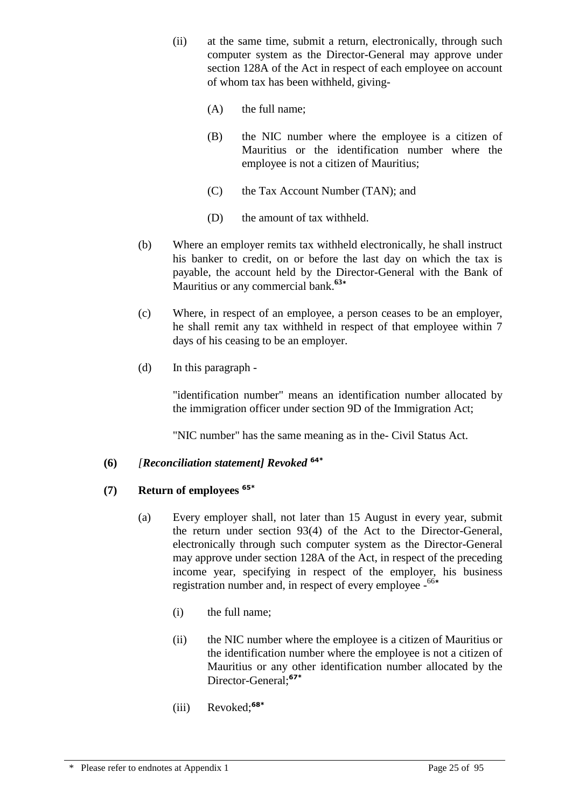- (ii) at the same time, submit a return, electronically, through such computer system as the Director-General may approve under section 128A of the Act in respect of each employee on account of whom tax has been withheld, giving-
	- (A) the full name;
	- (B) the NIC number where the employee is a citizen of Mauritius or the identification number where the employee is not a citizen of Mauritius;
	- (C) the Tax Account Number (TAN); and
	- (D) the amount of tax withheld.
- (b) Where an employer remits tax withheld electronically, he shall instruct his banker to credit, on or before the last day on which the tax is payable, the account held by the Director-General with the Bank of Mauritius or any commercial bank. **63\***
- (c) Where, in respect of an employee, a person ceases to be an employer, he shall remit any tax withheld in respect of that employee within 7 days of his ceasing to be an employer.
- (d) In this paragraph -

"identification number" means an identification number allocated by the immigration officer under section 9D of the Immigration Act;

"NIC number" has the same meaning as in the- Civil Status Act.

# **(6)** *[Reconciliation statement] Revoked* **64\***

# **(7) Return of employees 65\***

- (a) Every employer shall, not later than 15 August in every year, submit the return under section 93(4) of the Act to the Director-General, electronically through such computer system as the Director-General may approve under section 128A of the Act, in respect of the preceding income year, specifying in respect of the employer, his business registration number and, in respect of every employee - 66**\***
	- (i) the full name;
	- (ii) the NIC number where the employee is a citizen of Mauritius or the identification number where the employee is not a citizen of Mauritius or any other identification number allocated by the Director-General; **67\***
	- (iii) Revoked; **68\***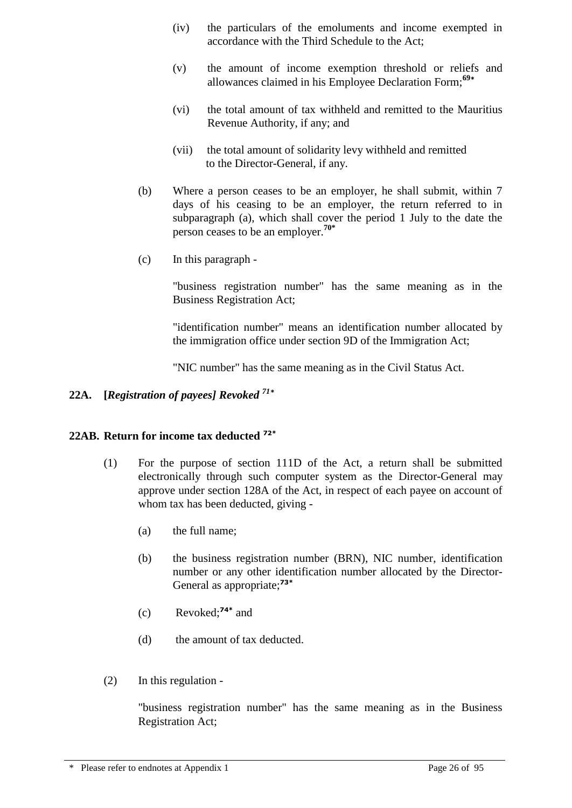- (iv) the particulars of the emoluments and income exempted in accordance with the Third Schedule to the Act;
- (v) the amount of income exemption threshold or reliefs and allowances claimed in his Employee Declaration Form;**<sup>69</sup>\***
- (vi) the total amount of tax withheld and remitted to the Mauritius Revenue Authority, if any; and
- (vii) the total amount of solidarity levy withheld and remitted to the Director-General, if any.
- (b) Where a person ceases to be an employer, he shall submit, within 7 days of his ceasing to be an employer, the return referred to in subparagraph (a), which shall cover the period 1 July to the date the person ceases to be an employer.**70\***
- (c) In this paragraph -

"business registration number" has the same meaning as in the Business Registration Act;

"identification number" means an identification number allocated by the immigration office under section 9D of the Immigration Act;

"NIC number" has the same meaning as in the Civil Status Act.

# **22A. [***Registration of payees] Revoked <sup>71</sup>\**

# **22AB. Return for income tax deducted 72\***

- (1) For the purpose of section 111D of the Act, a return shall be submitted electronically through such computer system as the Director-General may approve under section 128A of the Act, in respect of each payee on account of whom tax has been deducted, giving -
	- (a) the full name;
	- (b) the business registration number (BRN), NIC number, identification number or any other identification number allocated by the Director-General as appropriate;**73\***
	- (c) Revoked; **74\*** and
	- (d) the amount of tax deducted.
- (2) In this regulation -

"business registration number" has the same meaning as in the Business Registration Act;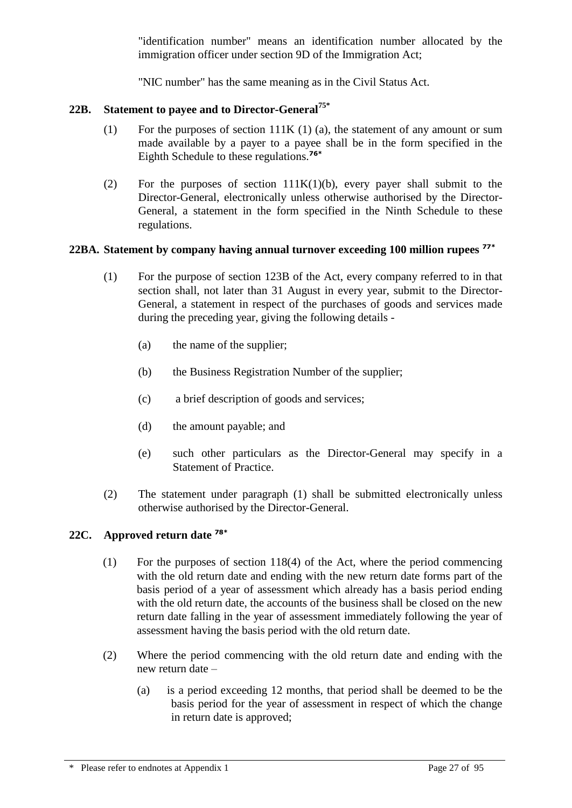"identification number" means an identification number allocated by the immigration officer under section 9D of the Immigration Act;

"NIC number" has the same meaning as in the Civil Status Act.

# **22B. Statement to payee and to Director-General75\***

- (1) For the purposes of section 111K (1) (a), the statement of any amount or sum made available by a payer to a payee shall be in the form specified in the Eighth Schedule to these regulations.**76\***
- (2) For the purposes of section 111K(1)(b), every payer shall submit to the Director-General, electronically unless otherwise authorised by the Director-General, a statement in the form specified in the Ninth Schedule to these regulations.

# **22BA. Statement by company having annual turnover exceeding 100 million rupees 77\***

- (1) For the purpose of section 123B of the Act, every company referred to in that section shall, not later than 31 August in every year, submit to the Director-General, a statement in respect of the purchases of goods and services made during the preceding year, giving the following details -
	- (a) the name of the supplier;
	- (b) the Business Registration Number of the supplier;
	- (c) a brief description of goods and services;
	- (d) the amount payable; and
	- (e) such other particulars as the Director-General may specify in a Statement of Practice.
- (2) The statement under paragraph (1) shall be submitted electronically unless otherwise authorised by the Director-General.

#### **22C. Approved return date 78\***

- (1) For the purposes of section 118(4) of the Act, where the period commencing with the old return date and ending with the new return date forms part of the basis period of a year of assessment which already has a basis period ending with the old return date, the accounts of the business shall be closed on the new return date falling in the year of assessment immediately following the year of assessment having the basis period with the old return date.
- (2) Where the period commencing with the old return date and ending with the new return date –
	- (a) is a period exceeding 12 months, that period shall be deemed to be the basis period for the year of assessment in respect of which the change in return date is approved;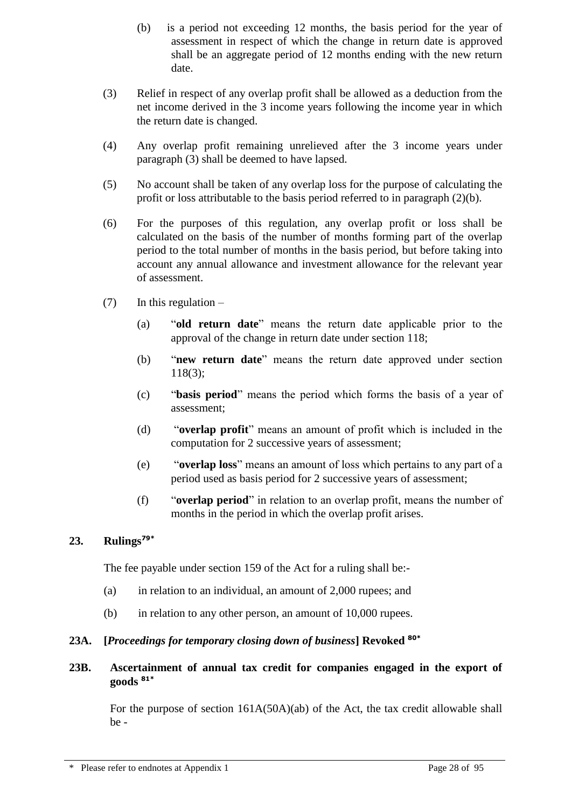- (b) is a period not exceeding 12 months, the basis period for the year of assessment in respect of which the change in return date is approved shall be an aggregate period of 12 months ending with the new return date.
- (3) Relief in respect of any overlap profit shall be allowed as a deduction from the net income derived in the 3 income years following the income year in which the return date is changed.
- (4) Any overlap profit remaining unrelieved after the 3 income years under paragraph (3) shall be deemed to have lapsed.
- (5) No account shall be taken of any overlap loss for the purpose of calculating the profit or loss attributable to the basis period referred to in paragraph (2)(b).
- (6) For the purposes of this regulation, any overlap profit or loss shall be calculated on the basis of the number of months forming part of the overlap period to the total number of months in the basis period, but before taking into account any annual allowance and investment allowance for the relevant year of assessment.
- $(7)$  In this regulation
	- (a) "**old return date**" means the return date applicable prior to the approval of the change in return date under section 118;
	- (b) "**new return date**" means the return date approved under section 118(3);
	- (c) "**basis period**" means the period which forms the basis of a year of assessment;
	- (d) "**overlap profit**" means an amount of profit which is included in the computation for 2 successive years of assessment;
	- (e) "**overlap loss**" means an amount of loss which pertains to any part of a period used as basis period for 2 successive years of assessment;
	- (f) "**overlap period**" in relation to an overlap profit, means the number of months in the period in which the overlap profit arises.

# **23. Rulings79\***

The fee payable under section 159 of the Act for a ruling shall be:-

- (a) in relation to an individual, an amount of 2,000 rupees; and
- (b) in relation to any other person, an amount of 10,000 rupees.

# **23A. [***Proceedings for temporary closing down of business***] Revoked 80\***

**23B. Ascertainment of annual tax credit for companies engaged in the export of goods 81\***

For the purpose of section 161A(50A)(ab) of the Act, the tax credit allowable shall be -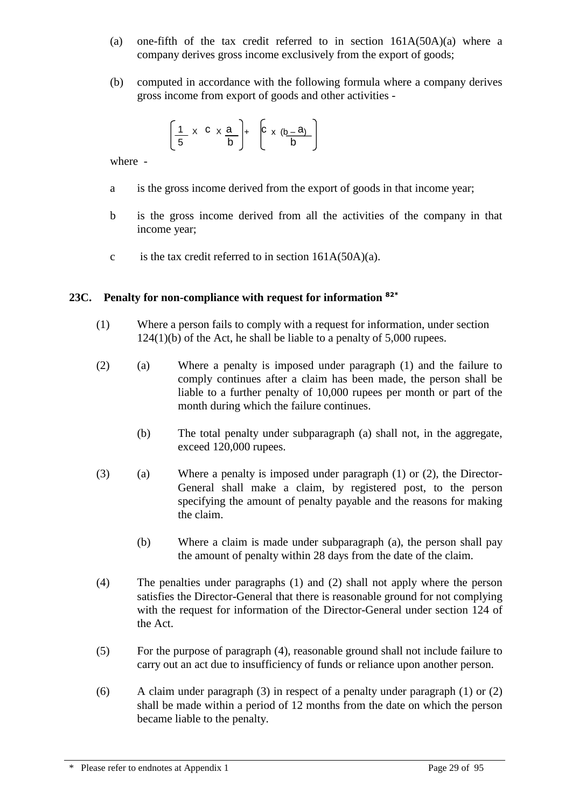- (a) one-fifth of the tax credit referred to in section  $161A(50A)(a)$  where a company derives gross income exclusively from the export of goods;
- (b) computed in accordance with the following formula where a company derives gross income from export of goods and other activities -

$$
\left[\frac{1}{5} \times C \times \frac{a}{b}\right] + \left[C \times \left(\underline{b} - \underline{a}\right)\right]
$$

where -

- a is the gross income derived from the export of goods in that income year;
- b is the gross income derived from all the activities of the company in that income year;
- c is the tax credit referred to in section  $161A(50A)(a)$ .

# **23C. Penalty for non-compliance with request for information 82\***

- (1) Where a person fails to comply with a request for information, under section 124(1)(b) of the Act, he shall be liable to a penalty of 5,000 rupees.
- (2) (a) Where a penalty is imposed under paragraph (1) and the failure to comply continues after a claim has been made, the person shall be liable to a further penalty of 10,000 rupees per month or part of the month during which the failure continues.
	- (b) The total penalty under subparagraph (a) shall not, in the aggregate, exceed 120,000 rupees.
- (3) (a) Where a penalty is imposed under paragraph (1) or (2), the Director-General shall make a claim, by registered post, to the person specifying the amount of penalty payable and the reasons for making the claim.
	- (b) Where a claim is made under subparagraph (a), the person shall pay the amount of penalty within 28 days from the date of the claim.
- (4) The penalties under paragraphs (1) and (2) shall not apply where the person satisfies the Director-General that there is reasonable ground for not complying with the request for information of the Director-General under section 124 of the Act.
- (5) For the purpose of paragraph (4), reasonable ground shall not include failure to carry out an act due to insufficiency of funds or reliance upon another person.
- (6) A claim under paragraph (3) in respect of a penalty under paragraph (1) or (2) shall be made within a period of 12 months from the date on which the person became liable to the penalty.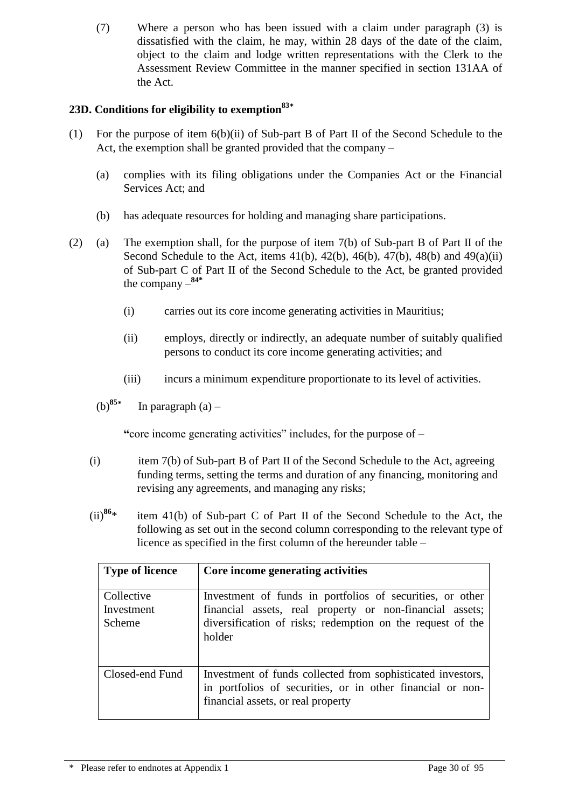(7) Where a person who has been issued with a claim under paragraph (3) is dissatisfied with the claim, he may, within 28 days of the date of the claim, object to the claim and lodge written representations with the Clerk to the Assessment Review Committee in the manner specified in section 131AA of the Act.

# **23D. Conditions for eligibility to exemption<sup>83</sup>\***

- (1) For the purpose of item 6(b)(ii) of Sub-part B of Part II of the Second Schedule to the Act, the exemption shall be granted provided that the company –
	- (a) complies with its filing obligations under the Companies Act or the Financial Services Act; and
	- (b) has adequate resources for holding and managing share participations.
- (2) (a) The exemption shall, for the purpose of item 7(b) of Sub-part B of Part II of the Second Schedule to the Act, items  $41(b)$ ,  $42(b)$ ,  $46(b)$ ,  $47(b)$ ,  $48(b)$  and  $49(a)(ii)$ of Sub-part C of Part II of the Second Schedule to the Act, be granted provided the company – **84\***
	- (i) carries out its core income generating activities in Mauritius;
	- (ii) employs, directly or indirectly, an adequate number of suitably qualified persons to conduct its core income generating activities; and
	- (iii) incurs a minimum expenditure proportionate to its level of activities.
	- (b)**<sup>85</sup>\*** In paragraph  $(a)$  –

**"**core income generating activities" includes, for the purpose of –

- (i) item 7(b) of Sub-part B of Part II of the Second Schedule to the Act, agreeing funding terms, setting the terms and duration of any financing, monitoring and revising any agreements, and managing any risks;
- $(ii)^{86*}$ item 41(b) of Sub-part C of Part II of the Second Schedule to the Act, the following as set out in the second column corresponding to the relevant type of licence as specified in the first column of the hereunder table –

| <b>Type of licence</b>             | Core income generating activities                                                                                                                                                             |
|------------------------------------|-----------------------------------------------------------------------------------------------------------------------------------------------------------------------------------------------|
| Collective<br>Investment<br>Scheme | Investment of funds in portfolios of securities, or other<br>financial assets, real property or non-financial assets;<br>diversification of risks; redemption on the request of the<br>holder |
| Closed-end Fund                    | Investment of funds collected from sophisticated investors,<br>in portfolios of securities, or in other financial or non-<br>financial assets, or real property                               |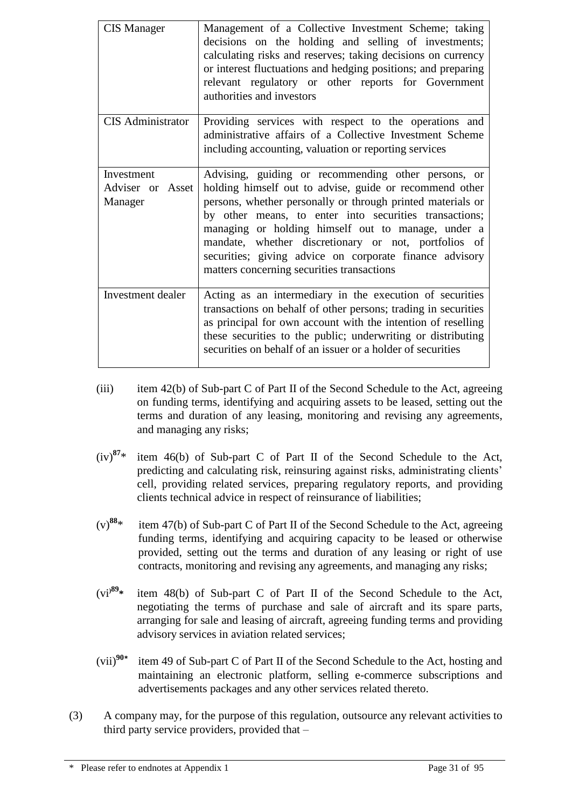| <b>CIS Manager</b>                        | Management of a Collective Investment Scheme; taking<br>decisions on the holding and selling of investments;<br>calculating risks and reserves; taking decisions on currency<br>or interest fluctuations and hedging positions; and preparing<br>relevant regulatory or other reports for Government<br>authorities and investors                                                                                                                              |
|-------------------------------------------|----------------------------------------------------------------------------------------------------------------------------------------------------------------------------------------------------------------------------------------------------------------------------------------------------------------------------------------------------------------------------------------------------------------------------------------------------------------|
| <b>CIS</b> Administrator                  | Providing services with respect to the operations and<br>administrative affairs of a Collective Investment Scheme<br>including accounting, valuation or reporting services                                                                                                                                                                                                                                                                                     |
| Investment<br>Adviser or Asset<br>Manager | Advising, guiding or recommending other persons, or<br>holding himself out to advise, guide or recommend other<br>persons, whether personally or through printed materials or<br>by other means, to enter into securities transactions;<br>managing or holding himself out to manage, under a<br>mandate, whether discretionary or not, portfolios of<br>securities; giving advice on corporate finance advisory<br>matters concerning securities transactions |
| Investment dealer                         | Acting as an intermediary in the execution of securities<br>transactions on behalf of other persons; trading in securities<br>as principal for own account with the intention of reselling<br>these securities to the public; underwriting or distributing<br>securities on behalf of an issuer or a holder of securities                                                                                                                                      |

- (iii) item 42(b) of Sub-part C of Part II of the Second Schedule to the Act, agreeing on funding terms, identifying and acquiring assets to be leased, setting out the terms and duration of any leasing, monitoring and revising any agreements, and managing any risks;
- $(iv)^{87*}$ **<sup>87</sup>**\* item 46(b) of Sub-part C of Part II of the Second Schedule to the Act, predicting and calculating risk, reinsuring against risks, administrating clients' cell, providing related services, preparing regulatory reports, and providing clients technical advice in respect of reinsurance of liabilities;
- $(v)^{88*}$ item 47(b) of Sub-part C of Part II of the Second Schedule to the Act, agreeing funding terms, identifying and acquiring capacity to be leased or otherwise provided, setting out the terms and duration of any leasing or right of use contracts, monitoring and revising any agreements, and managing any risks;
- (vi**)89\*** item 48(b) of Sub-part C of Part II of the Second Schedule to the Act, negotiating the terms of purchase and sale of aircraft and its spare parts, arranging for sale and leasing of aircraft, agreeing funding terms and providing advisory services in aviation related services;
- $(vii)^{90*}$ item 49 of Sub-part C of Part II of the Second Schedule to the Act, hosting and maintaining an electronic platform, selling e-commerce subscriptions and advertisements packages and any other services related thereto.
- (3) A company may, for the purpose of this regulation, outsource any relevant activities to third party service providers, provided that –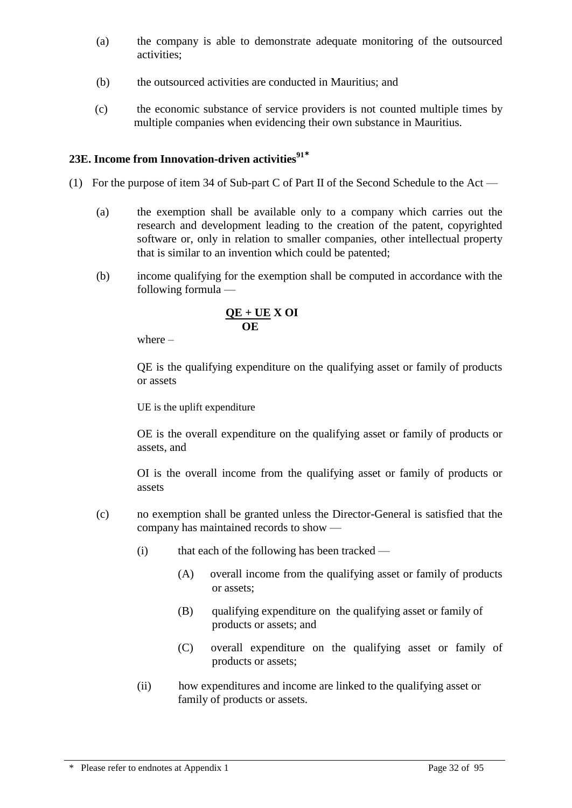- (a) the company is able to demonstrate adequate monitoring of the outsourced activities;
- (b) the outsourced activities are conducted in Mauritius; and
- (c) the economic substance of service providers is not counted multiple times by multiple companies when evidencing their own substance in Mauritius.

# **23E. Income from Innovation-driven activities<sup>91</sup>\***

- (1) For the purpose of item 34 of Sub-part C of Part II of the Second Schedule to the Act
	- (a) the exemption shall be available only to a company which carries out the research and development leading to the creation of the patent, copyrighted software or, only in relation to smaller companies, other intellectual property that is similar to an invention which could be patented;
	- (b) income qualifying for the exemption shall be computed in accordance with the following formula —

$$
\frac{QE + UE}{OE} X OI
$$

where –

QE is the qualifying expenditure on the qualifying asset or family of products or assets

UE is the uplift expenditure

OE is the overall expenditure on the qualifying asset or family of products or assets, and

OI is the overall income from the qualifying asset or family of products or assets

- (c) no exemption shall be granted unless the Director-General is satisfied that the company has maintained records to show —
	- $(i)$  that each of the following has been tracked
		- (A) overall income from the qualifying asset or family of products or assets;
		- (B) qualifying expenditure on the qualifying asset or family of products or assets; and
		- (C) overall expenditure on the qualifying asset or family of products or assets;
	- (ii) how expenditures and income are linked to the qualifying asset or family of products or assets.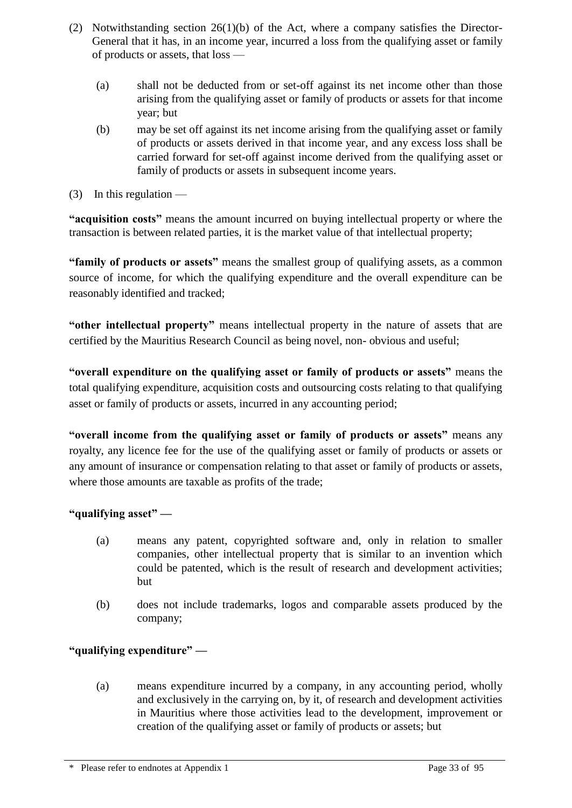- (2) Notwithstanding section 26(1)(b) of the Act, where a company satisfies the Director-General that it has, in an income year, incurred a loss from the qualifying asset or family of products or assets, that loss —
	- (a) shall not be deducted from or set-off against its net income other than those arising from the qualifying asset or family of products or assets for that income year; but
	- (b) may be set off against its net income arising from the qualifying asset or family of products or assets derived in that income year, and any excess loss shall be carried forward for set-off against income derived from the qualifying asset or family of products or assets in subsequent income years.
- (3) In this regulation —

**"acquisition costs"** means the amount incurred on buying intellectual property or where the transaction is between related parties, it is the market value of that intellectual property;

**"family of products or assets"** means the smallest group of qualifying assets, as a common source of income, for which the qualifying expenditure and the overall expenditure can be reasonably identified and tracked;

**"other intellectual property"** means intellectual property in the nature of assets that are certified by the Mauritius Research Council as being novel, non- obvious and useful;

**"overall expenditure on the qualifying asset or family of products or assets"** means the total qualifying expenditure, acquisition costs and outsourcing costs relating to that qualifying asset or family of products or assets, incurred in any accounting period;

**"overall income from the qualifying asset or family of products or assets"** means any royalty, any licence fee for the use of the qualifying asset or family of products or assets or any amount of insurance or compensation relating to that asset or family of products or assets, where those amounts are taxable as profits of the trade;

# **"qualifying asset" —**

- (a) means any patent, copyrighted software and, only in relation to smaller companies, other intellectual property that is similar to an invention which could be patented, which is the result of research and development activities; but
- (b) does not include trademarks, logos and comparable assets produced by the company;

# **"qualifying expenditure" —**

(a) means expenditure incurred by a company, in any accounting period, wholly and exclusively in the carrying on, by it, of research and development activities in Mauritius where those activities lead to the development, improvement or creation of the qualifying asset or family of products or assets; but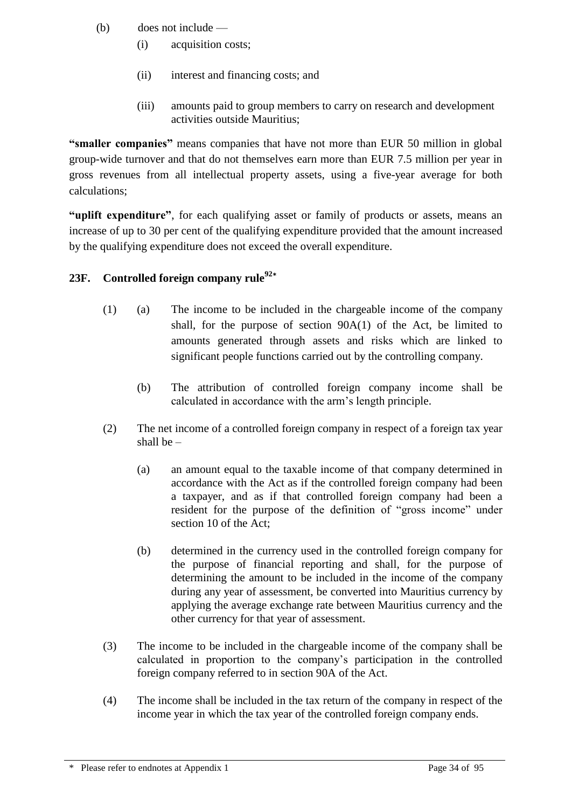- (b) does not include
	- (i) acquisition costs;
	- (ii) interest and financing costs; and
	- (iii) amounts paid to group members to carry on research and development activities outside Mauritius;

**"smaller companies"** means companies that have not more than EUR 50 million in global group-wide turnover and that do not themselves earn more than EUR 7.5 million per year in gross revenues from all intellectual property assets, using a five-year average for both calculations;

**"uplift expenditure"**, for each qualifying asset or family of products or assets, means an increase of up to 30 per cent of the qualifying expenditure provided that the amount increased by the qualifying expenditure does not exceed the overall expenditure.

# **23F. Controlled foreign company rule<sup>92</sup>\***

- (1) (a) The income to be included in the chargeable income of the company shall, for the purpose of section 90A(1) of the Act, be limited to amounts generated through assets and risks which are linked to significant people functions carried out by the controlling company.
	- (b) The attribution of controlled foreign company income shall be calculated in accordance with the arm's length principle.
- (2) The net income of a controlled foreign company in respect of a foreign tax year shall be –
	- (a) an amount equal to the taxable income of that company determined in accordance with the Act as if the controlled foreign company had been a taxpayer, and as if that controlled foreign company had been a resident for the purpose of the definition of "gross income" under section 10 of the Act;
	- (b) determined in the currency used in the controlled foreign company for the purpose of financial reporting and shall, for the purpose of determining the amount to be included in the income of the company during any year of assessment, be converted into Mauritius currency by applying the average exchange rate between Mauritius currency and the other currency for that year of assessment.
- (3) The income to be included in the chargeable income of the company shall be calculated in proportion to the company's participation in the controlled foreign company referred to in section 90A of the Act.
- (4) The income shall be included in the tax return of the company in respect of the income year in which the tax year of the controlled foreign company ends.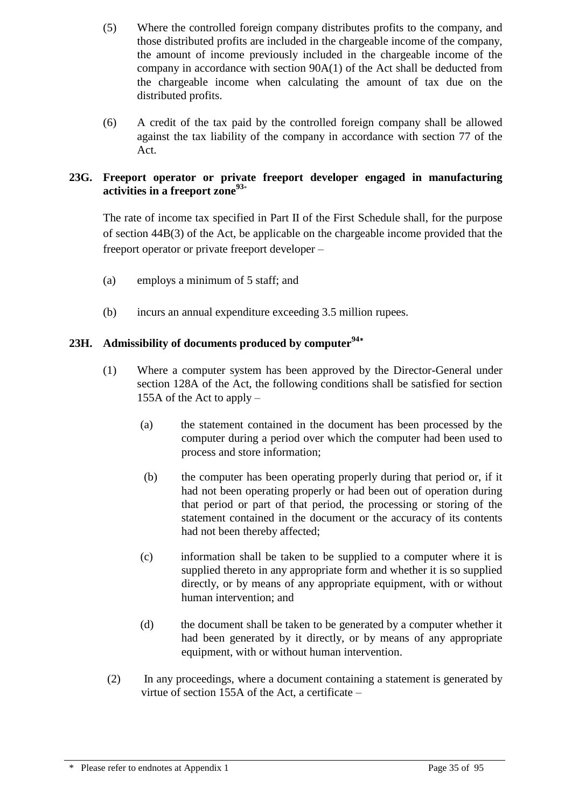- (5) Where the controlled foreign company distributes profits to the company, and those distributed profits are included in the chargeable income of the company, the amount of income previously included in the chargeable income of the company in accordance with section 90A(1) of the Act shall be deducted from the chargeable income when calculating the amount of tax due on the distributed profits.
- (6) A credit of the tax paid by the controlled foreign company shall be allowed against the tax liability of the company in accordance with section 77 of the Act.

# **23G. Freeport operator or private freeport developer engaged in manufacturing activities in a freeport zone<sup>93</sup>**\*

The rate of income tax specified in Part II of the First Schedule shall, for the purpose of section 44B(3) of the Act, be applicable on the chargeable income provided that the freeport operator or private freeport developer –

- (a) employs a minimum of 5 staff; and
- (b) incurs an annual expenditure exceeding 3.5 million rupees.

# **23H. Admissibility of documents produced by computer<sup>94</sup>\***

- (1) Where a computer system has been approved by the Director-General under section 128A of the Act, the following conditions shall be satisfied for section 155A of the Act to apply –
	- (a) the statement contained in the document has been processed by the computer during a period over which the computer had been used to process and store information;
	- (b) the computer has been operating properly during that period or, if it had not been operating properly or had been out of operation during that period or part of that period, the processing or storing of the statement contained in the document or the accuracy of its contents had not been thereby affected;
	- (c) information shall be taken to be supplied to a computer where it is supplied thereto in any appropriate form and whether it is so supplied directly, or by means of any appropriate equipment, with or without human intervention; and
	- (d) the document shall be taken to be generated by a computer whether it had been generated by it directly, or by means of any appropriate equipment, with or without human intervention.
- (2) In any proceedings, where a document containing a statement is generated by virtue of section 155A of the Act, a certificate –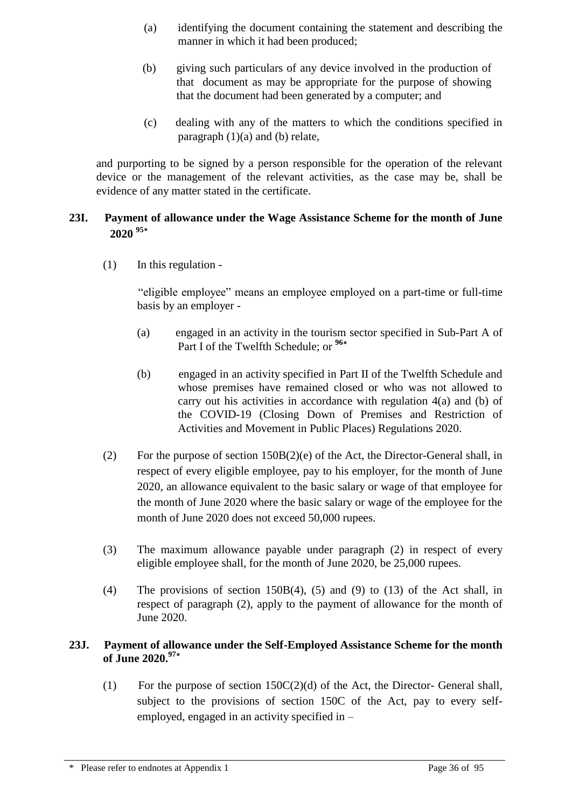- (a) identifying the document containing the statement and describing the manner in which it had been produced;
- (b) giving such particulars of any device involved in the production of that document as may be appropriate for the purpose of showing that the document had been generated by a computer; and
- (c) dealing with any of the matters to which the conditions specified in paragraph  $(1)(a)$  and  $(b)$  relate,

and purporting to be signed by a person responsible for the operation of the relevant device or the management of the relevant activities, as the case may be, shall be evidence of any matter stated in the certificate.

# **23I. Payment of allowance under the Wage Assistance Scheme for the month of June 2020 <sup>95</sup>\***

(1) In this regulation -

"eligible employee" means an employee employed on a part-time or full-time basis by an employer -

- (a) engaged in an activity in the tourism sector specified in Sub-Part A of Part I of the Twelfth Schedule; or **<sup>96</sup>\***
- (b) engaged in an activity specified in Part II of the Twelfth Schedule and whose premises have remained closed or who was not allowed to carry out his activities in accordance with regulation 4(a) and (b) of the COVID-19 (Closing Down of Premises and Restriction of Activities and Movement in Public Places) Regulations 2020.
- (2) For the purpose of section 150B(2)(e) of the Act, the Director-General shall, in respect of every eligible employee, pay to his employer, for the month of June 2020, an allowance equivalent to the basic salary or wage of that employee for the month of June 2020 where the basic salary or wage of the employee for the month of June 2020 does not exceed 50,000 rupees.
- (3) The maximum allowance payable under paragraph (2) in respect of every eligible employee shall, for the month of June 2020, be 25,000 rupees.
- (4) The provisions of section 150B(4), (5) and (9) to (13) of the Act shall, in respect of paragraph (2), apply to the payment of allowance for the month of June 2020.

# **23J. Payment of allowance under the Self-Employed Assistance Scheme for the month of June 2020.<sup>97</sup>\***

(1) For the purpose of section 150C(2)(d) of the Act, the Director- General shall, subject to the provisions of section 150C of the Act, pay to every selfemployed, engaged in an activity specified in –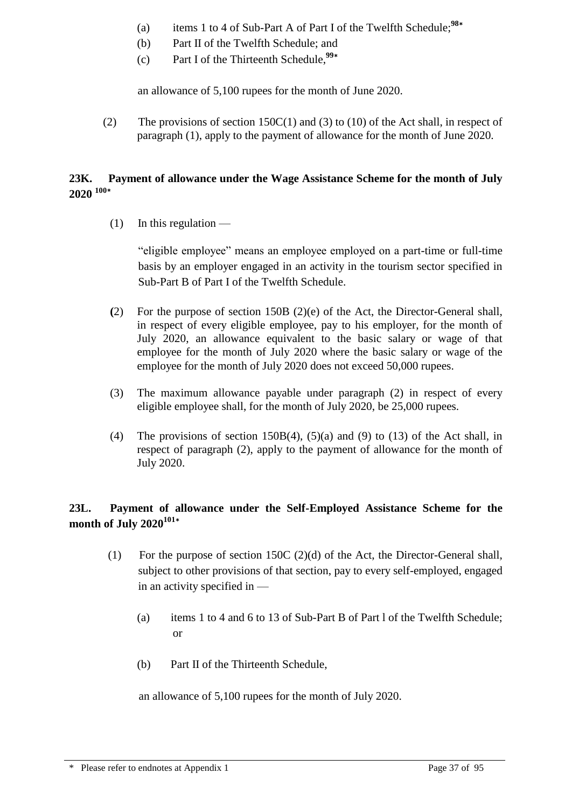- (a) items 1 to 4 of Sub-Part A of Part I of the Twelfth Schedule;**<sup>98</sup>\***
- (b) Part II of the Twelfth Schedule; and
- (c) Part I of the Thirteenth Schedule,**<sup>99</sup>\***

an allowance of 5,100 rupees for the month of June 2020.

(2) The provisions of section 150C(1) and (3) to (10) of the Act shall, in respect of paragraph (1), apply to the payment of allowance for the month of June 2020.

### **23K. Payment of allowance under the Wage Assistance Scheme for the month of July 2020 <sup>100</sup>\***

 $(1)$  In this regulation —

"eligible employee" means an employee employed on a part-time or full-time basis by an employer engaged in an activity in the tourism sector specified in Sub-Part B of Part I of the Twelfth Schedule.

- **(**2) For the purpose of section 150B (2)(e) of the Act, the Director-General shall, in respect of every eligible employee, pay to his employer, for the month of July 2020, an allowance equivalent to the basic salary or wage of that employee for the month of July 2020 where the basic salary or wage of the employee for the month of July 2020 does not exceed 50,000 rupees.
- (3) The maximum allowance payable under paragraph (2) in respect of every eligible employee shall, for the month of July 2020, be 25,000 rupees.
- (4) The provisions of section 150B(4), (5)(a) and (9) to (13) of the Act shall, in respect of paragraph (2), apply to the payment of allowance for the month of July 2020.

## **23L. Payment of allowance under the Self-Employed Assistance Scheme for the month of July 2020<sup>101</sup>\***

- (1) For the purpose of section 150C (2)(d) of the Act, the Director-General shall, subject to other provisions of that section, pay to every self-employed, engaged in an activity specified in —
	- (a) items 1 to 4 and 6 to 13 of Sub-Part B of Part l of the Twelfth Schedule; or
	- (b) Part II of the Thirteenth Schedule,

an allowance of 5,100 rupees for the month of July 2020.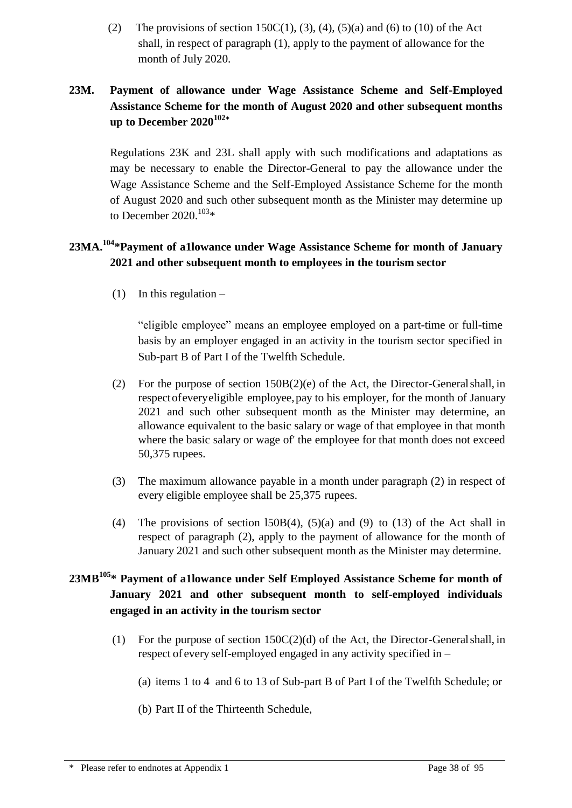(2) The provisions of section 150C(1), (3), (4), (5)(a) and (6) to (10) of the Act shall, in respect of paragraph (1), apply to the payment of allowance for the month of July 2020.

# **23M. Payment of allowance under Wage Assistance Scheme and Self-Employed Assistance Scheme for the month of August 2020 and other subsequent months up to December 2020<sup>102</sup>\***

Regulations 23K and 23L shall apply with such modifications and adaptations as may be necessary to enable the Director-General to pay the allowance under the Wage Assistance Scheme and the Self-Employed Assistance Scheme for the month of August 2020 and such other subsequent month as the Minister may determine up to December 2020.<sup>103\*</sup>

# **23MA.<sup>104</sup>\*Payment of a1lowance under Wage Assistance Scheme for month of January 2021 and other subsequent month to employees in the tourism sector**

(1) In this regulation  $-$ 

"eligible employee" means an employee employed on a part-time or full-time basis by an employer engaged in an activity in the tourism sector specified in Sub-part B of Part I of the Twelfth Schedule.

- (2) For the purpose of section 150B(2)(e) of the Act, the Director-Generalshall, in respect of every eligible employee, pay to his employer, for the month of January 2021 and such other subsequent month as the Minister may determine, an allowance equivalent to the basic salary or wage of that employee in that month where the basic salary or wage of' the employee for that month does not exceed 50,375 rupees.
- (3) The maximum allowance payable in a month under paragraph (2) in respect of every eligible employee shall be 25,375 rupees.
- (4) The provisions of section 150B(4), (5)(a) and (9) to (13) of the Act shall in respect of paragraph (2), apply to the payment of allowance for the month of January 2021 and such other subsequent month as the Minister may determine.

# **23MB<sup>105</sup>\* Payment of a1lowance under Self Employed Assistance Scheme for month of January 2021 and other subsequent month to self-employed individuals engaged in an activity in the tourism sector**

- (1) For the purpose of section  $150C(2)(d)$  of the Act, the Director-General shall, in respect of every self-employed engaged in any activity specified in –
	- (a) items 1 to 4 and 6 to 13 of Sub-part B of Part I of the Twelfth Schedule; or
	- (b) Part II of the Thirteenth Schedule,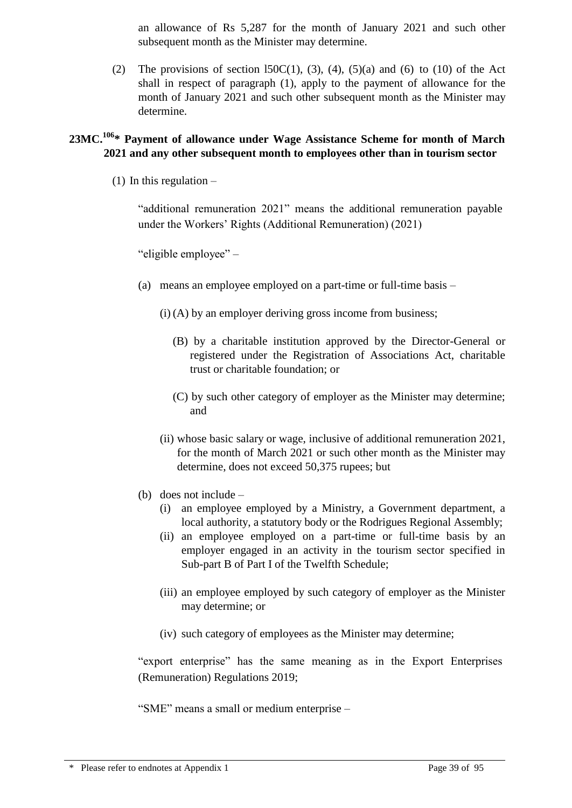an allowance of Rs 5,287 for the month of January 2021 and such other subsequent month as the Minister may determine.

(2) The provisions of section 150 $C(1)$ , (3), (4), (5)(a) and (6) to (10) of the Act shall in respect of paragraph (1), apply to the payment of allowance for the month of January 2021 and such other subsequent month as the Minister may determine.

## **23MC.<sup>106</sup>\* Payment of allowance under Wage Assistance Scheme for month of March 2021 and any other subsequent month to employees other than in tourism sector**

(1) In this regulation  $-$ 

"additional remuneration 2021" means the additional remuneration payable under the Workers' Rights (Additional Remuneration) (2021)

"eligible employee" –

- (a) means an employee employed on a part-time or full-time basis
	- (i) (A) by an employer deriving gross income from business;
		- (B) by a charitable institution approved by the Director-General or registered under the Registration of Associations Act, charitable trust or charitable foundation; or
		- (C) by such other category of employer as the Minister may determine; and
	- (ii) whose basic salary or wage, inclusive of additional remuneration 2021, for the month of March 2021 or such other month as the Minister may determine, does not exceed 50,375 rupees; but
- (b) does not include
	- (i) an employee employed by a Ministry, a Government department, a local authority, a statutory body or the Rodrigues Regional Assembly;
	- (ii) an employee employed on a part-time or full-time basis by an employer engaged in an activity in the tourism sector specified in Sub-part B of Part I of the Twelfth Schedule;
	- (iii) an employee employed by such category of employer as the Minister may determine; or
	- (iv) such category of employees as the Minister may determine;

"export enterprise" has the same meaning as in the Export Enterprises (Remuneration) Regulations 2019;

"SME" means a small or medium enterprise –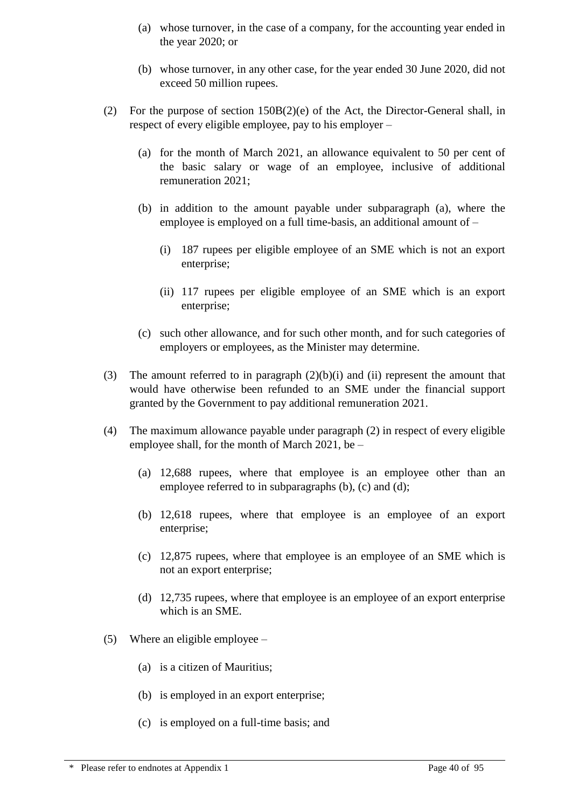- (a) whose turnover, in the case of a company, for the accounting year ended in the year 2020; or
- (b) whose turnover, in any other case, for the year ended 30 June 2020, did not exceed 50 million rupees.
- (2) For the purpose of section 150B(2)(e) of the Act, the Director-General shall, in respect of every eligible employee, pay to his employer –
	- (a) for the month of March 2021, an allowance equivalent to 50 per cent of the basic salary or wage of an employee, inclusive of additional remuneration 2021;
	- (b) in addition to the amount payable under subparagraph (a), where the employee is employed on a full time-basis, an additional amount of –
		- (i) 187 rupees per eligible employee of an SME which is not an export enterprise;
		- (ii) 117 rupees per eligible employee of an SME which is an export enterprise;
	- (c) such other allowance, and for such other month, and for such categories of employers or employees, as the Minister may determine.
- (3) The amount referred to in paragraph (2)(b)(i) and (ii) represent the amount that would have otherwise been refunded to an SME under the financial support granted by the Government to pay additional remuneration 2021.
- (4) The maximum allowance payable under paragraph (2) in respect of every eligible employee shall, for the month of March 2021, be –
	- (a) 12,688 rupees, where that employee is an employee other than an employee referred to in subparagraphs (b), (c) and (d);
	- (b) 12,618 rupees, where that employee is an employee of an export enterprise;
	- (c) 12,875 rupees, where that employee is an employee of an SME which is not an export enterprise;
	- (d) 12,735 rupees, where that employee is an employee of an export enterprise which is an SME.
- (5) Where an eligible employee  $-$ 
	- (a) is a citizen of Mauritius;
	- (b) is employed in an export enterprise;
	- (c) is employed on a full-time basis; and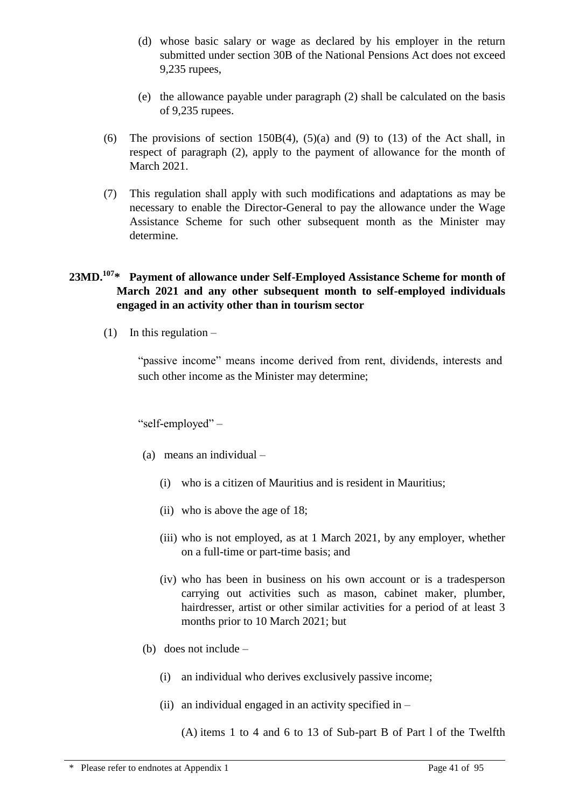- (d) whose basic salary or wage as declared by his employer in the return submitted under section 30B of the National Pensions Act does not exceed 9,235 rupees,
- (e) the allowance payable under paragraph (2) shall be calculated on the basis of 9,235 rupees.
- (6) The provisions of section 150B(4),  $(5)(a)$  and (9) to (13) of the Act shall, in respect of paragraph (2), apply to the payment of allowance for the month of March 2021.
- (7) This regulation shall apply with such modifications and adaptations as may be necessary to enable the Director-General to pay the allowance under the Wage Assistance Scheme for such other subsequent month as the Minister may determine.

## **23MD.<sup>107</sup>\* Payment of allowance under Self-Employed Assistance Scheme for month of March 2021 and any other subsequent month to self-employed individuals engaged in an activity other than in tourism sector**

(1) In this regulation  $-$ 

"passive income" means income derived from rent, dividends, interests and such other income as the Minister may determine;

"self-employed" –

- (a) means an individual
	- (i) who is a citizen of Mauritius and is resident in Mauritius;
	- (ii) who is above the age of 18;
	- (iii) who is not employed, as at 1 March 2021, by any employer, whether on a full-time or part-time basis; and
	- (iv) who has been in business on his own account or is a tradesperson carrying out activities such as mason, cabinet maker, plumber, hairdresser, artist or other similar activities for a period of at least 3 months prior to 10 March 2021; but
- (b) does not include
	- (i) an individual who derives exclusively passive income;
	- (ii) an individual engaged in an activity specified in  $-$

(A) items 1 to 4 and 6 to 13 of Sub-part B of Part l of the Twelfth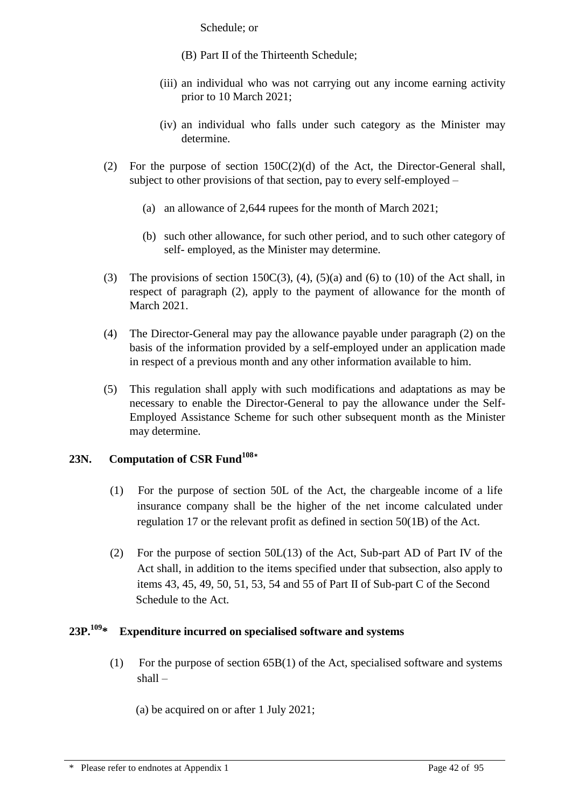Schedule; or

- (B) Part II of the Thirteenth Schedule;
- (iii) an individual who was not carrying out any income earning activity prior to 10 March 2021;
- (iv) an individual who falls under such category as the Minister may determine.
- (2) For the purpose of section  $150C(2)(d)$  of the Act, the Director-General shall, subject to other provisions of that section, pay to every self-employed –
	- (a) an allowance of 2,644 rupees for the month of March 2021;
	- (b) such other allowance, for such other period, and to such other category of self- employed, as the Minister may determine.
- (3) The provisions of section 150 $C(3)$ , (4), (5)(a) and (6) to (10) of the Act shall, in respect of paragraph (2), apply to the payment of allowance for the month of March 2021.
- (4) The Director-General may pay the allowance payable under paragraph (2) on the basis of the information provided by a self-employed under an application made in respect of a previous month and any other information available to him.
- (5) This regulation shall apply with such modifications and adaptations as may be necessary to enable the Director-General to pay the allowance under the Self-Employed Assistance Scheme for such other subsequent month as the Minister may determine.

# **23N. Computation of CSR Fund<sup>108</sup>\***

- (1) For the purpose of section 50L of the Act, the chargeable income of a life insurance company shall be the higher of the net income calculated under regulation 17 or the relevant profit as defined in section 50(1B) of the Act.
- (2) For the purpose of section 50L(13) of the Act, Sub-part AD of Part IV of the Act shall, in addition to the items specified under that subsection, also apply to items 43, 45, 49, 50, 51, 53, 54 and 55 of Part II of Sub-part C of the Second Schedule to the Act.

## **23P.<sup>109</sup>\* Expenditure incurred on specialised software and systems**

(1) For the purpose of section 65B(1) of the Act, specialised software and systems shall –

(a) be acquired on or after 1 July 2021;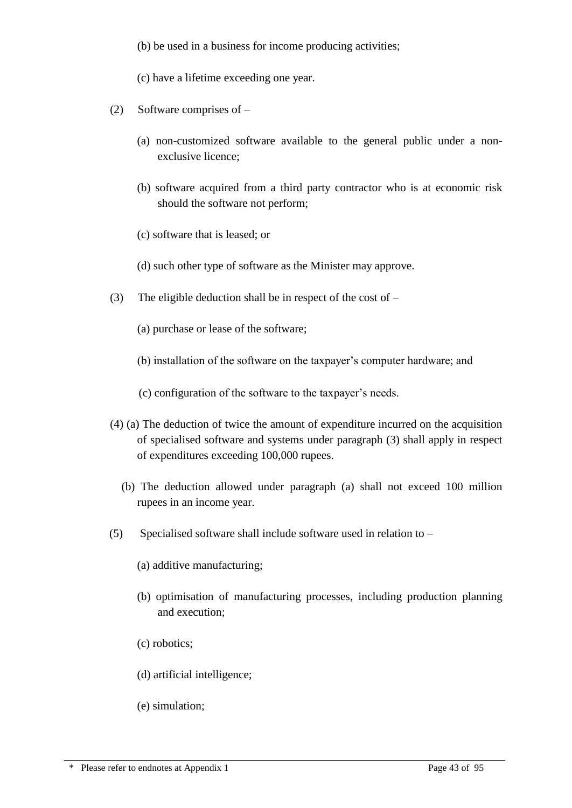(b) be used in a business for income producing activities;

(c) have a lifetime exceeding one year.

- (2) Software comprises of
	- (a) non-customized software available to the general public under a nonexclusive licence;
	- (b) software acquired from a third party contractor who is at economic risk should the software not perform;
	- (c) software that is leased; or
	- (d) such other type of software as the Minister may approve.
- (3) The eligible deduction shall be in respect of the cost of  $-$ 
	- (a) purchase or lease of the software;
	- (b) installation of the software on the taxpayer's computer hardware; and
	- (c) configuration of the software to the taxpayer's needs.
- (4) (a) The deduction of twice the amount of expenditure incurred on the acquisition of specialised software and systems under paragraph (3) shall apply in respect of expenditures exceeding 100,000 rupees.
	- (b) The deduction allowed under paragraph (a) shall not exceed 100 million rupees in an income year.
- (5) Specialised software shall include software used in relation to
	- (a) additive manufacturing;
	- (b) optimisation of manufacturing processes, including production planning and execution;
	- (c) robotics;
	- (d) artificial intelligence;
	- (e) simulation;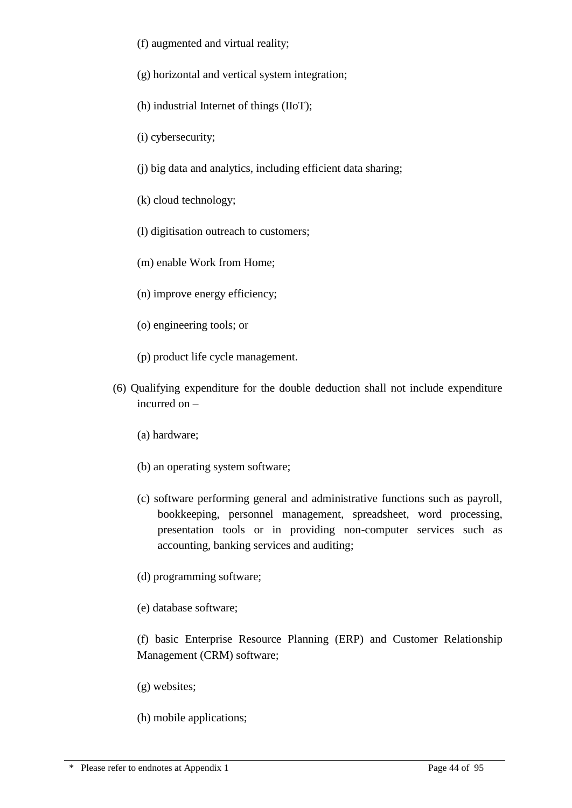- (f) augmented and virtual reality;
- (g) horizontal and vertical system integration;
- (h) industrial Internet of things (IIoT);
- (i) cybersecurity;
- (j) big data and analytics, including efficient data sharing;
- (k) cloud technology;
- (l) digitisation outreach to customers;
- (m) enable Work from Home;
- (n) improve energy efficiency;
- (o) engineering tools; or
- (p) product life cycle management.
- (6) Qualifying expenditure for the double deduction shall not include expenditure incurred on –
	- (a) hardware;
	- (b) an operating system software;
	- (c) software performing general and administrative functions such as payroll, bookkeeping, personnel management, spreadsheet, word processing, presentation tools or in providing non-computer services such as accounting, banking services and auditing;
	- (d) programming software;
	- (e) database software;

(f) basic Enterprise Resource Planning (ERP) and Customer Relationship Management (CRM) software;

- (g) websites;
- (h) mobile applications;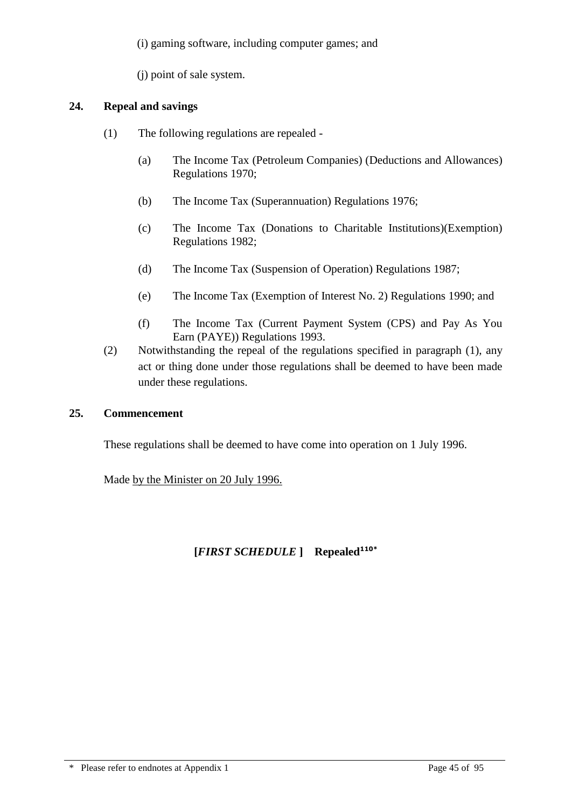(i) gaming software, including computer games; and

(j) point of sale system.

## **24. Repeal and savings**

- (1) The following regulations are repealed
	- (a) The Income Tax (Petroleum Companies) (Deductions and Allowances) Regulations 1970;
	- (b) The Income Tax (Superannuation) Regulations 1976;
	- (c) The Income Tax (Donations to Charitable Institutions)(Exemption) Regulations 1982;
	- (d) The Income Tax (Suspension of Operation) Regulations 1987;
	- (e) The Income Tax (Exemption of Interest No. 2) Regulations 1990; and
	- (f) The Income Tax (Current Payment System (CPS) and Pay As You Earn (PAYE)) Regulations 1993.
- (2) Notwithstanding the repeal of the regulations specified in paragraph (1), any act or thing done under those regulations shall be deemed to have been made under these regulations.

## **25. Commencement**

These regulations shall be deemed to have come into operation on 1 July 1996.

Made by the Minister on 20 July 1996.

## **[***FIRST SCHEDULE* **] Repealed110\***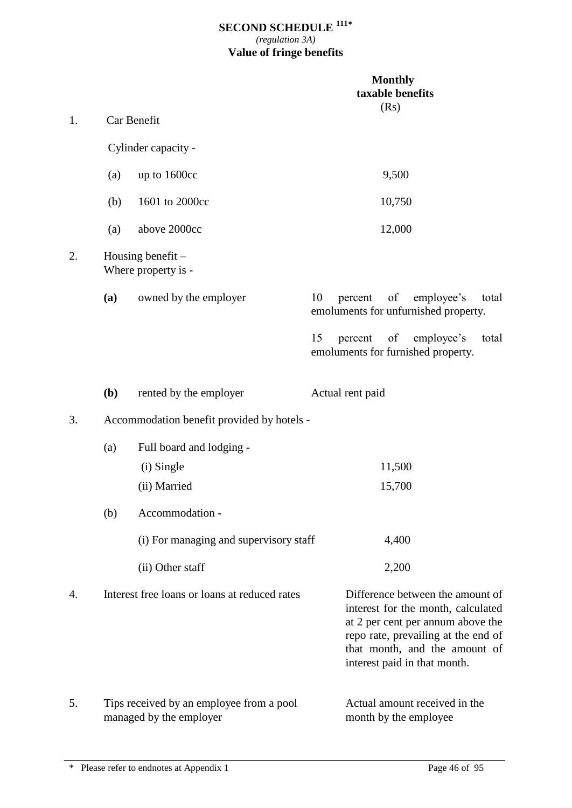### **SECOND SCHEDULE <sup>111</sup>\*** *(regulation 3A)* **Value of fringe benefits**

|    |              |                                                                     | <b>Monthly</b><br>taxable benefits<br>(Rs)                                                                                                                                                                          |
|----|--------------|---------------------------------------------------------------------|---------------------------------------------------------------------------------------------------------------------------------------------------------------------------------------------------------------------|
| 1. |              | Car Benefit                                                         |                                                                                                                                                                                                                     |
|    |              | Cylinder capacity -                                                 |                                                                                                                                                                                                                     |
|    | (a)          | up to 1600cc                                                        | 9,500                                                                                                                                                                                                               |
|    | (b)          | 1601 to 2000cc                                                      | 10,750                                                                                                                                                                                                              |
|    | (a)          | above 2000cc                                                        | 12,000                                                                                                                                                                                                              |
| 2. |              | Housing benefit $-$<br>Where property is -                          |                                                                                                                                                                                                                     |
|    | (a)          | owned by the employer                                               | of<br>10<br>employee's<br>percent<br>total<br>emoluments for unfurnished property.                                                                                                                                  |
|    |              |                                                                     | 15<br><sub>of</sub><br>percent<br>employee's<br>total<br>emoluments for furnished property.                                                                                                                         |
|    | ( <b>b</b> ) | rented by the employer                                              | Actual rent paid                                                                                                                                                                                                    |
| 3. |              | Accommodation benefit provided by hotels -                          |                                                                                                                                                                                                                     |
|    | (a)          | Full board and lodging -                                            |                                                                                                                                                                                                                     |
|    |              | (i) Single                                                          | 11,500                                                                                                                                                                                                              |
|    |              | (ii) Married                                                        | 15,700                                                                                                                                                                                                              |
|    | (b)          | Accommodation -                                                     |                                                                                                                                                                                                                     |
|    |              | (i) For managing and supervisory staff                              | 4,400                                                                                                                                                                                                               |
|    |              | (ii) Other staff                                                    | 2,200                                                                                                                                                                                                               |
| 4. |              | Interest free loans or loans at reduced rates                       | Difference between the amount of<br>interest for the month, calculated<br>at 2 per cent per annum above the<br>repo rate, prevailing at the end of<br>that month, and the amount of<br>interest paid in that month. |
| 5. |              | Tips received by an employee from a pool<br>managed by the employer | Actual amount received in the<br>month by the employee                                                                                                                                                              |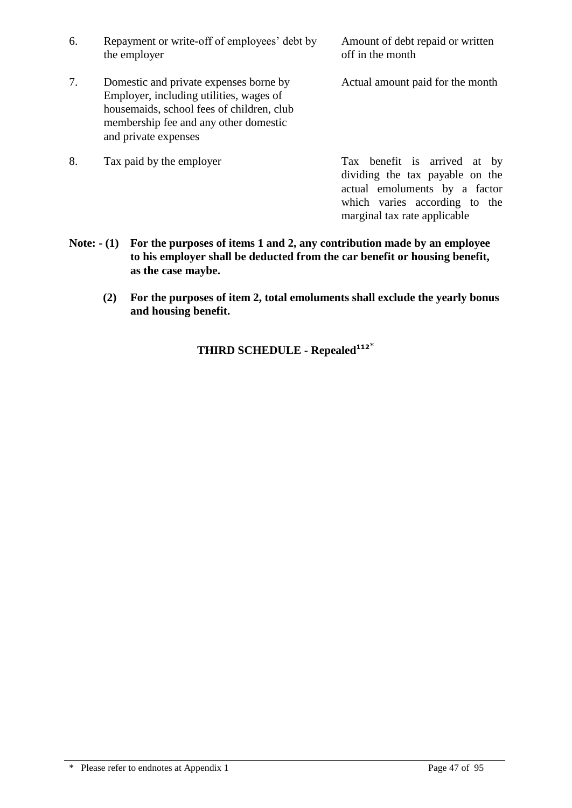7. Domestic and private expenses borne by Actual amount paid for the month Employer, including utilities, wages of housemaids, school fees of children, club membership fee and any other domestic and private expenses

8. Tax paid by the employer Tax benefit is arrived at by dividing the tax payable on the actual emoluments by a factor which varies according to the marginal tax rate applicable

- **Note: - (1) For the purposes of items 1 and 2, any contribution made by an employee to his employer shall be deducted from the car benefit or housing benefit, as the case maybe.**
	- **(2) For the purposes of item 2, total emoluments shall exclude the yearly bonus and housing benefit.**

**THIRD SCHEDULE - Repealed<sup>112</sup>**\*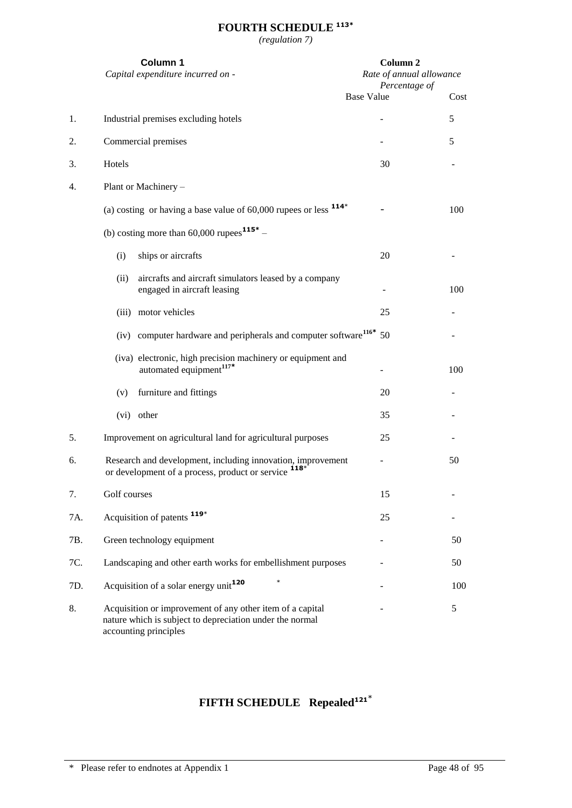# **FOURTH SCHEDULE 113\***

*(regulation 7)*

|     | Column 1                    | Capital expenditure incurred on -                                                                                     |                   | Column <sub>2</sub><br>Rate of annual allowance<br>Percentage of |      |
|-----|-----------------------------|-----------------------------------------------------------------------------------------------------------------------|-------------------|------------------------------------------------------------------|------|
|     |                             |                                                                                                                       | <b>Base Value</b> |                                                                  | Cost |
| 1.  |                             | Industrial premises excluding hotels                                                                                  |                   |                                                                  | 5    |
| 2.  | Commercial premises         |                                                                                                                       |                   |                                                                  | 5    |
| 3.  | Hotels                      |                                                                                                                       |                   | 30                                                               |      |
| 4.  | Plant or Machinery -        |                                                                                                                       |                   |                                                                  |      |
|     |                             | (a) costing or having a base value of $60,000$ rupees or less $114*$                                                  |                   |                                                                  | 100  |
|     |                             | (b) costing more than $60,000$ rupees $115^*$ –                                                                       |                   |                                                                  |      |
|     | (i)                         | ships or aircrafts                                                                                                    |                   | 20                                                               |      |
|     | (ii)                        | aircrafts and aircraft simulators leased by a company<br>engaged in aircraft leasing                                  |                   |                                                                  | 100  |
|     | (iii) motor vehicles        |                                                                                                                       |                   | 25                                                               |      |
|     |                             | (iv) computer hardware and peripherals and computer software <sup>116*</sup>                                          |                   | 50                                                               |      |
|     |                             | (iva) electronic, high precision machinery or equipment and<br>automated equipment <sup>117*</sup>                    |                   |                                                                  | 100  |
|     | (v)                         | furniture and fittings                                                                                                |                   | 20                                                               |      |
|     | (vi) other                  |                                                                                                                       |                   | 35                                                               |      |
| 5.  |                             | Improvement on agricultural land for agricultural purposes                                                            |                   | 25                                                               |      |
| 6.  |                             | Research and development, including innovation, improvement<br>or development of a process, product or service        |                   |                                                                  | 50   |
| 7.  | Golf courses                |                                                                                                                       |                   | 15                                                               |      |
| 7A. | Acquisition of patents 119* |                                                                                                                       |                   | 25                                                               |      |
| 7B. | Green technology equipment  |                                                                                                                       |                   |                                                                  | 50   |
| 7C. |                             | Landscaping and other earth works for embellishment purposes                                                          |                   |                                                                  | 50   |
| 7D. |                             | $\ast$<br>Acquisition of a solar energy unit <sup>120</sup>                                                           |                   |                                                                  | 100  |
| 8.  | accounting principles       | Acquisition or improvement of any other item of a capital<br>nature which is subject to depreciation under the normal |                   |                                                                  | 5    |

# **FIFTH SCHEDULE Repealed121**\*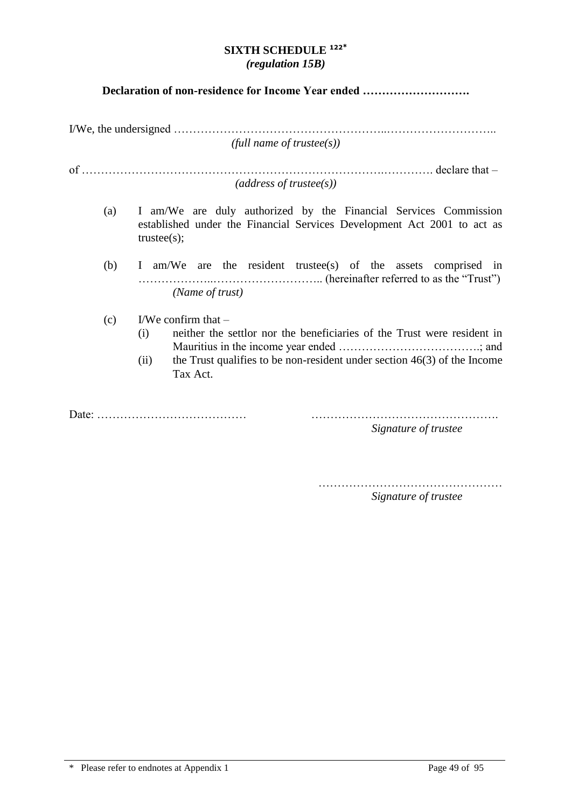### **SIXTH SCHEDULE <sup>122</sup>\*** *(regulation 15B)*

### **Declaration of non-residence for Income Year ended ……………………….**

I/We, the undersigned ………………………………………………..……………………….. *(full name of trustee(s))*

of  $\ldots$  declare that – *(address of trustee(s))*

- (a) I am/We are duly authorized by the Financial Services Commission established under the Financial Services Development Act 2001 to act as trustee(s);
- (b) I am/We are the resident trustee(s) of the assets comprised in ………………..……………………….. (hereinafter referred to as the "Trust") *(Name of trust)*
- (c) I/We confirm that  $-$ 
	- (i) neither the settlor nor the beneficiaries of the Trust were resident in Mauritius in the income year ended ……………………………….; and
	- (ii) the Trust qualifies to be non-resident under section  $46(3)$  of the Income Tax Act.

Date: ………………………………… ………………………………………….

*Signature of trustee*

…………………………………………

*Signature of trustee*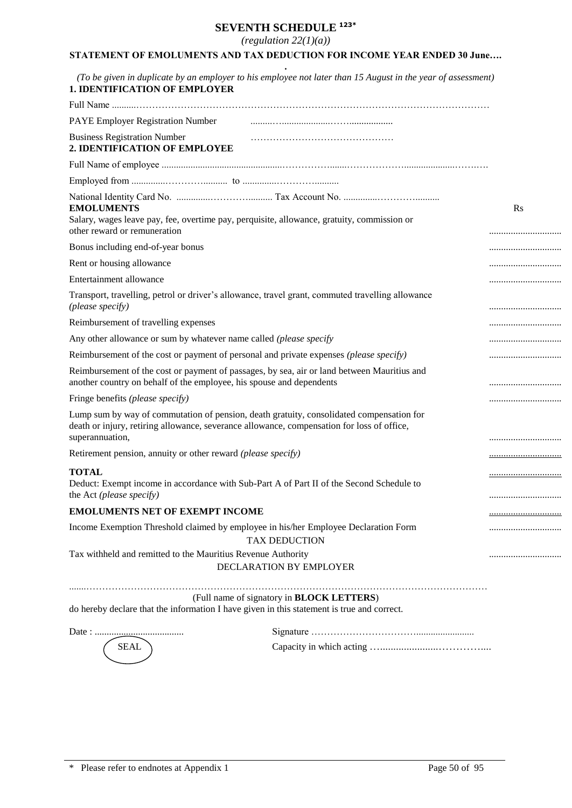# **SEVENTH SCHEDULE 123\***

*(regulation 22(1)(a))*

# **STATEMENT OF EMOLUMENTS AND TAX DEDUCTION FOR INCOME YEAR ENDED 30 June….**

| <b>1. IDENTIFICATION OF EMPLOYER</b>                                 |                                                                                                                                                                                        |                |
|----------------------------------------------------------------------|----------------------------------------------------------------------------------------------------------------------------------------------------------------------------------------|----------------|
| PAYE Employer Registration Number                                    |                                                                                                                                                                                        |                |
| <b>Business Registration Number</b>                                  |                                                                                                                                                                                        |                |
| 2. IDENTIFICATION OF EMPLOYEE                                        |                                                                                                                                                                                        |                |
|                                                                      |                                                                                                                                                                                        |                |
|                                                                      |                                                                                                                                                                                        |                |
| <b>EMOLUMENTS</b><br>other reward or remuneration                    | Salary, wages leave pay, fee, overtime pay, perquisite, allowance, gratuity, commission or                                                                                             | $\mathbf{R}$ s |
| Bonus including end-of-year bonus                                    |                                                                                                                                                                                        |                |
| Rent or housing allowance                                            |                                                                                                                                                                                        |                |
| Entertainment allowance                                              |                                                                                                                                                                                        |                |
| (please specify)                                                     | Transport, travelling, petrol or driver's allowance, travel grant, commuted travelling allowance                                                                                       |                |
| Reimbursement of travelling expenses                                 |                                                                                                                                                                                        |                |
| Any other allowance or sum by whatever name called (please specify   |                                                                                                                                                                                        |                |
|                                                                      | Reimbursement of the cost or payment of personal and private expenses (please specify)                                                                                                 |                |
| another country on behalf of the employee, his spouse and dependents | Reimbursement of the cost or payment of passages, by sea, air or land between Mauritius and                                                                                            |                |
| Fringe benefits (please specify)                                     |                                                                                                                                                                                        |                |
| superannuation,                                                      | Lump sum by way of commutation of pension, death gratuity, consolidated compensation for<br>death or injury, retiring allowance, severance allowance, compensation for loss of office, |                |
| Retirement pension, annuity or other reward (please specify)         |                                                                                                                                                                                        |                |
| <b>TOTAL</b>                                                         |                                                                                                                                                                                        |                |
| the Act (please specify)                                             | Deduct: Exempt income in accordance with Sub-Part A of Part II of the Second Schedule to                                                                                               | <u></u>        |
| <b>EMOLUMENTS NET OF EXEMPT INCOME</b>                               |                                                                                                                                                                                        |                |
|                                                                      | Income Exemption Threshold claimed by employee in his/her Employee Declaration Form<br><b>TAX DEDUCTION</b>                                                                            |                |
| Tax withheld and remitted to the Mauritius Revenue Authority         | DECLARATION BY EMPLOYER                                                                                                                                                                |                |
|                                                                      | (Full name of signatory in <b>BLOCK LETTERS</b> )<br>do hereby declare that the information I have given in this statement is true and correct.                                        |                |
|                                                                      |                                                                                                                                                                                        |                |
| <b>SEAL</b>                                                          |                                                                                                                                                                                        |                |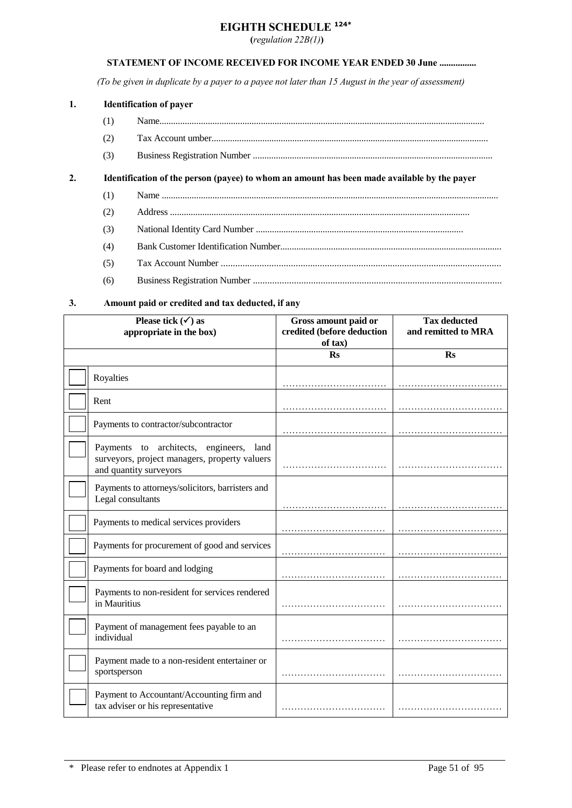### **EIGHTH SCHEDULE 124\***

**(***regulation 22B(1)***)**

#### **STATEMENT OF INCOME RECEIVED FOR INCOME YEAR ENDED 30 June ................**

*(To be given in duplicate by a payer to a payee not later than 15 August in the year of assessment)*

#### **1. Identification of payer**

(1) Name............................................................................................................................................. (2) Tax Account umber........................................................................................................................ (3) Business Registration Number ........................................................................................................

#### **2. Identification of the person (payee) to whom an amount has been made available by the payer**

- (1) Name ..................................................................................................................................................
- (2) Address ..................................................................................................................................
- (3) National Identity Card Number ..........................................................................................
- (4) Bank Customer Identification Number................................................................................................
- (5) Tax Account Number ....................................................................................................................
- (6) Business Registration Number .......................................................................................................

### **3. Amount paid or credited and tax deducted, if any**

| Please tick $(\checkmark)$ as<br>appropriate in the box) |                                                                                                                          | Gross amount paid or<br>credited (before deduction<br>of tax) | <b>Tax deducted</b><br>and remitted to MRA |  |
|----------------------------------------------------------|--------------------------------------------------------------------------------------------------------------------------|---------------------------------------------------------------|--------------------------------------------|--|
|                                                          |                                                                                                                          | $\mathbf{Rs}$                                                 | <b>Rs</b>                                  |  |
|                                                          | Royalties                                                                                                                |                                                               |                                            |  |
|                                                          | Rent                                                                                                                     |                                                               |                                            |  |
|                                                          | Payments to contractor/subcontractor                                                                                     |                                                               |                                            |  |
|                                                          | Payments<br>to architects, engineers,<br>land<br>surveyors, project managers, property valuers<br>and quantity surveyors |                                                               |                                            |  |
|                                                          | Payments to attorneys/solicitors, barristers and<br>Legal consultants                                                    |                                                               |                                            |  |
|                                                          | Payments to medical services providers                                                                                   |                                                               |                                            |  |
|                                                          | Payments for procurement of good and services                                                                            |                                                               |                                            |  |
|                                                          | Payments for board and lodging                                                                                           |                                                               |                                            |  |
|                                                          | Payments to non-resident for services rendered<br>in Mauritius                                                           |                                                               |                                            |  |
|                                                          | Payment of management fees payable to an<br>individual                                                                   |                                                               |                                            |  |
|                                                          | Payment made to a non-resident entertainer or<br>sportsperson                                                            |                                                               |                                            |  |
|                                                          | Payment to Accountant/Accounting firm and<br>tax adviser or his representative                                           |                                                               |                                            |  |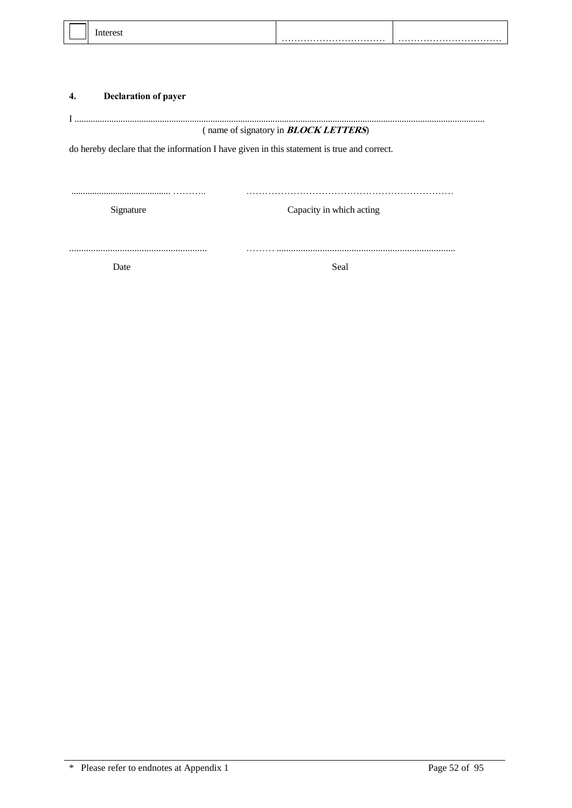## **4. Declaration of payer**

|                                                                                            | (name of signatory in <b>BLOCK LETTERS</b> ) |  |  |  |  |
|--------------------------------------------------------------------------------------------|----------------------------------------------|--|--|--|--|
| do hereby declare that the information I have given in this statement is true and correct. |                                              |  |  |  |  |
|                                                                                            |                                              |  |  |  |  |
|                                                                                            |                                              |  |  |  |  |
| Signature                                                                                  | Capacity in which acting                     |  |  |  |  |
|                                                                                            |                                              |  |  |  |  |
|                                                                                            |                                              |  |  |  |  |
| Date                                                                                       | Seal                                         |  |  |  |  |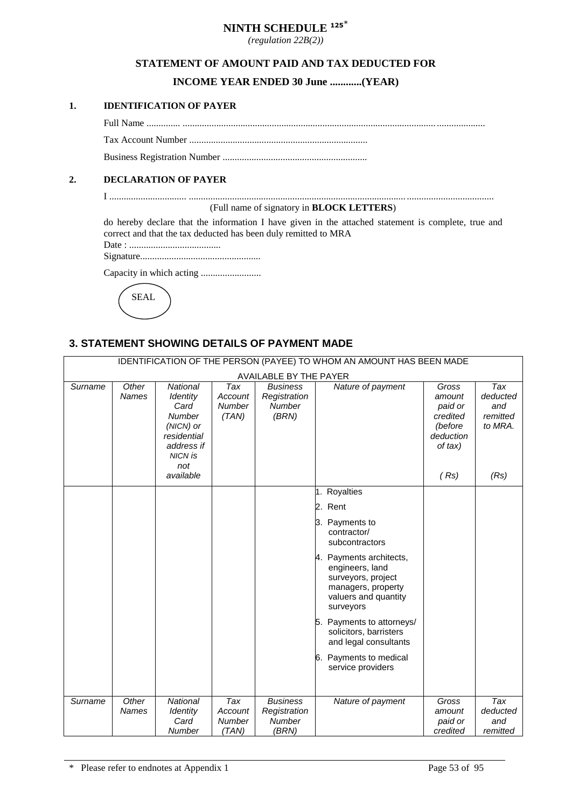# **NINTH SCHEDULE <sup>125</sup>**\*

*(regulation 22B(2))*

### **STATEMENT OF AMOUNT PAID AND TAX DEDUCTED FOR**

### **INCOME YEAR ENDED 30 June ............(YEAR)**

#### **1. IDENTIFICATION OF PAYER**

Full Name .............. ......................................................................................................... ....................

Tax Account Number ..........................................................................

Business Registration Number ............................................................

### **2. DECLARATION OF PAYER**

I ................................ .......................................................................................... ....................................

(Full name of signatory in **BLOCK LETTERS**)

do hereby declare that the information I have given in the attached statement is complete, true and correct and that the tax deducted has been duly remitted to MRA

Date : ......................................

Signature..................................................

Capacity in which acting .........................

SEAL

## **3. STATEMENT SHOWING DETAILS OF PAYMENT MADE**

| IDENTIFICATION OF THE PERSON (PAYEE) TO WHOM AN AMOUNT HAS BEEN MADE |                       |                                                                                                                         |                                          |                                                           |                                                                                                                             |                                                                           |                                               |
|----------------------------------------------------------------------|-----------------------|-------------------------------------------------------------------------------------------------------------------------|------------------------------------------|-----------------------------------------------------------|-----------------------------------------------------------------------------------------------------------------------------|---------------------------------------------------------------------------|-----------------------------------------------|
| AVAILABLE BY THE PAYER                                               |                       |                                                                                                                         |                                          |                                                           |                                                                                                                             |                                                                           |                                               |
| Surname                                                              | Other<br><b>Names</b> | <b>National</b><br>Identity<br>Card<br><b>Number</b><br>(NICN) or<br>residential<br>address if<br><b>NICN is</b><br>not | Tax<br>Account<br>Number<br>(TAN)        | <b>Business</b><br>Registration<br>Number<br>(BRN)        | Nature of payment                                                                                                           | Gross<br>amount<br>paid or<br>credited<br>(before<br>deduction<br>of tax) | Tax<br>deducted<br>and<br>remitted<br>to MRA. |
|                                                                      |                       | available                                                                                                               |                                          |                                                           |                                                                                                                             | (Rs)                                                                      | (Rs)                                          |
|                                                                      |                       |                                                                                                                         |                                          |                                                           | 1. Royalties                                                                                                                |                                                                           |                                               |
|                                                                      |                       |                                                                                                                         |                                          |                                                           | 2. Rent                                                                                                                     |                                                                           |                                               |
|                                                                      |                       |                                                                                                                         |                                          |                                                           | 3. Payments to<br>contractor/<br>subcontractors                                                                             |                                                                           |                                               |
|                                                                      |                       |                                                                                                                         |                                          |                                                           | 4. Payments architects,<br>engineers, land<br>surveyors, project<br>managers, property<br>valuers and quantity<br>surveyors |                                                                           |                                               |
|                                                                      |                       |                                                                                                                         |                                          |                                                           | 5. Payments to attorneys/<br>solicitors, barristers<br>and legal consultants                                                |                                                                           |                                               |
|                                                                      |                       |                                                                                                                         |                                          |                                                           | Payments to medical<br>6.<br>service providers                                                                              |                                                                           |                                               |
| Surname                                                              | Other<br><b>Names</b> | <b>National</b><br>Identity<br>Card<br><b>Number</b>                                                                    | Tax<br>Account<br><b>Number</b><br>(TAN) | <b>Business</b><br>Registration<br><b>Number</b><br>(BRN) | Nature of payment                                                                                                           | Gross<br>amount<br>paid or<br>credited                                    | Tax<br>deducted<br>and<br>remitted            |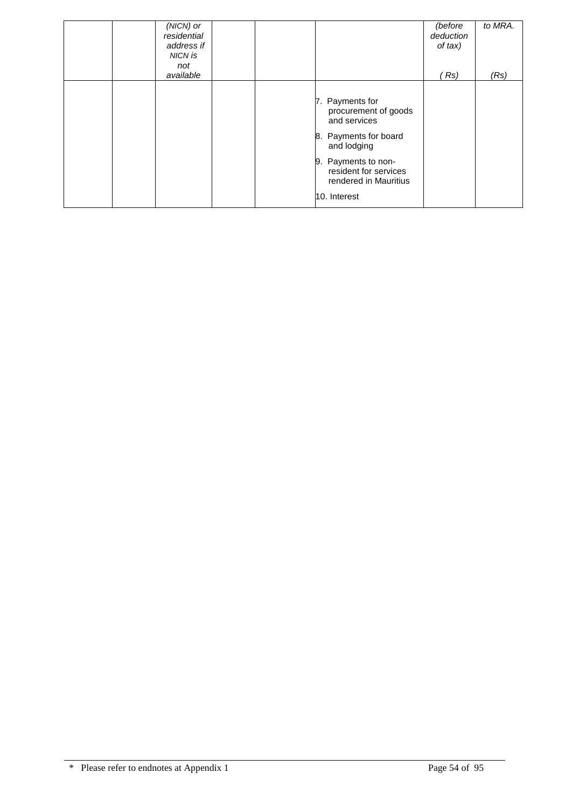| (NICN) or<br>residential<br>address if<br>NICN is<br>not<br>available |  |                                                                                                                                                                                          | (before<br>deduction<br>of tax)<br>(Rs | to MRA.<br>(Rs) |
|-----------------------------------------------------------------------|--|------------------------------------------------------------------------------------------------------------------------------------------------------------------------------------------|----------------------------------------|-----------------|
|                                                                       |  | 7. Payments for<br>procurement of goods<br>and services<br>8. Payments for board<br>and lodging<br>9. Payments to non-<br>resident for services<br>rendered in Mauritius<br>10. Interest |                                        |                 |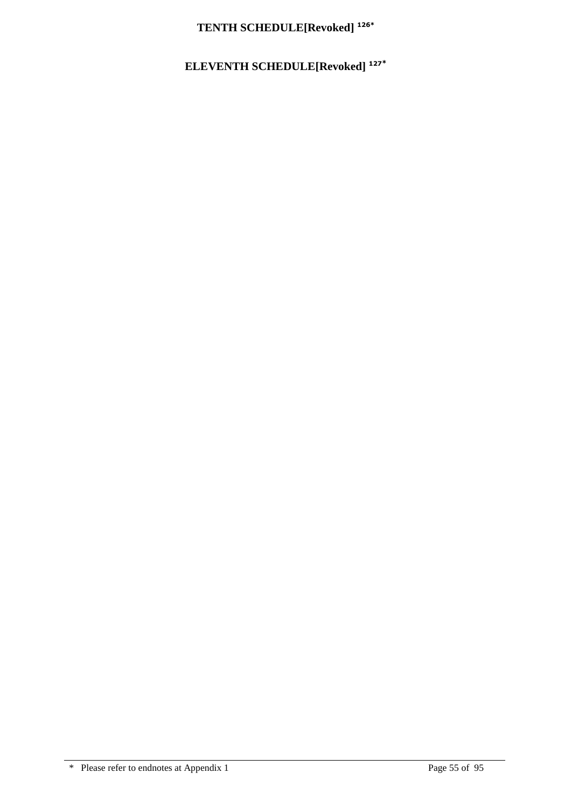# **TENTH SCHEDULE[Revoked] 126\***

# **ELEVENTH SCHEDULE[Revoked] <sup>127</sup>\***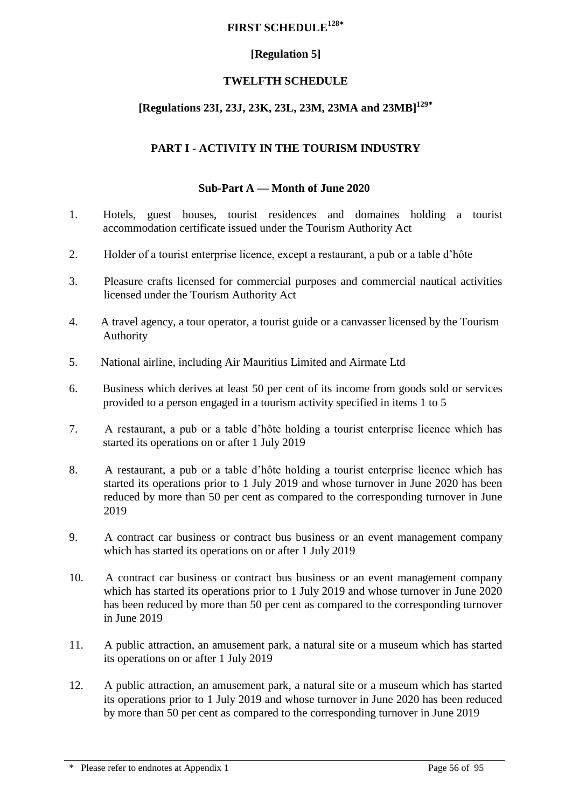### **FIRST SCHEDULE<sup>128</sup>\***

## **[Regulation 5]**

## **TWELFTH SCHEDULE**

# **[Regulations 23I, 23J, 23K, 23L, 23M, 23MA and 23MB] 129\***

## **PART I - ACTIVITY IN THE TOURISM INDUSTRY**

### **Sub-Part A — Month of June 2020**

- 1. Hotels, guest houses, tourist residences and domaines holding a tourist accommodation certificate issued under the Tourism Authority Act
- 2. Holder of a tourist enterprise licence, except a restaurant, a pub or a table d'hôte
- 3. Pleasure crafts licensed for commercial purposes and commercial nautical activities licensed under the Tourism Authority Act
- 4. A travel agency, a tour operator, a tourist guide or a canvasser licensed by the Tourism Authority
- 5. National airline, including Air Mauritius Limited and Airmate Ltd
- 6. Business which derives at least 50 per cent of its income from goods sold or services provided to a person engaged in a tourism activity specified in items 1 to 5
- 7. A restaurant, a pub or a table d'hôte holding a tourist enterprise licence which has started its operations on or after 1 July 2019
- 8. A restaurant, a pub or a table d'hôte holding a tourist enterprise licence which has started its operations prior to 1 July 2019 and whose turnover in June 2020 has been reduced by more than 50 per cent as compared to the corresponding turnover in June 2019
- 9. A contract car business or contract bus business or an event management company which has started its operations on or after 1 July 2019
- 10. A contract car business or contract bus business or an event management company which has started its operations prior to 1 July 2019 and whose turnover in June 2020 has been reduced by more than 50 per cent as compared to the corresponding turnover in June 2019
- 11. A public attraction, an amusement park, a natural site or a museum which has started its operations on or after 1 July 2019
- 12. A public attraction, an amusement park, a natural site or a museum which has started its operations prior to 1 July 2019 and whose turnover in June 2020 has been reduced by more than 50 per cent as compared to the corresponding turnover in June 2019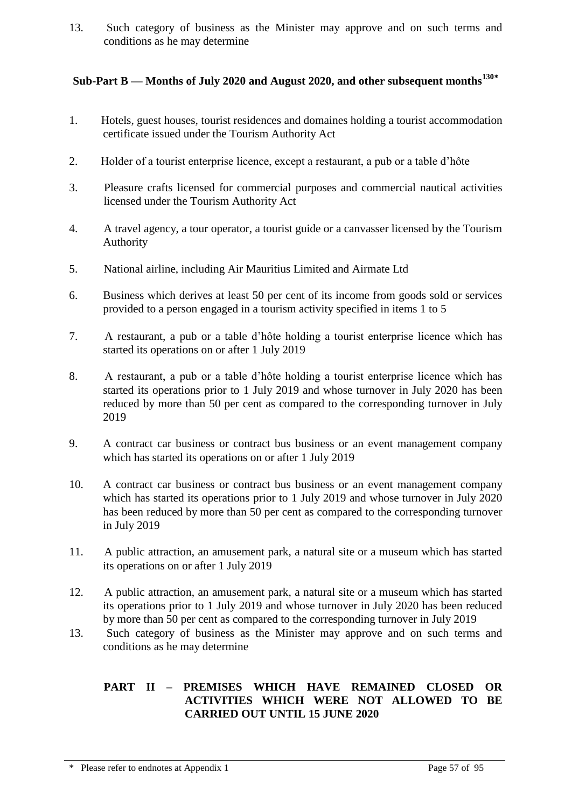13. Such category of business as the Minister may approve and on such terms and conditions as he may determine

# **Sub-Part B — Months of July 2020 and August 2020, and other subsequent months<sup>130</sup>\***

- 1. Hotels, guest houses, tourist residences and domaines holding a tourist accommodation certificate issued under the Tourism Authority Act
- 2. Holder of a tourist enterprise licence, except a restaurant, a pub or a table d'hôte
- 3. Pleasure crafts licensed for commercial purposes and commercial nautical activities licensed under the Tourism Authority Act
- 4. A travel agency, a tour operator, a tourist guide or a canvasser licensed by the Tourism Authority
- 5. National airline, including Air Mauritius Limited and Airmate Ltd
- 6. Business which derives at least 50 per cent of its income from goods sold or services provided to a person engaged in a tourism activity specified in items 1 to 5
- 7. A restaurant, a pub or a table d'hôte holding a tourist enterprise licence which has started its operations on or after 1 July 2019
- 8. A restaurant, a pub or a table d'hôte holding a tourist enterprise licence which has started its operations prior to 1 July 2019 and whose turnover in July 2020 has been reduced by more than 50 per cent as compared to the corresponding turnover in July 2019
- 9. A contract car business or contract bus business or an event management company which has started its operations on or after 1 July 2019
- 10. A contract car business or contract bus business or an event management company which has started its operations prior to 1 July 2019 and whose turnover in July 2020 has been reduced by more than 50 per cent as compared to the corresponding turnover in July 2019
- 11. A public attraction, an amusement park, a natural site or a museum which has started its operations on or after 1 July 2019
- 12. A public attraction, an amusement park, a natural site or a museum which has started its operations prior to 1 July 2019 and whose turnover in July 2020 has been reduced by more than 50 per cent as compared to the corresponding turnover in July 2019
- 13. Such category of business as the Minister may approve and on such terms and conditions as he may determine

### **PART II – PREMISES WHICH HAVE REMAINED CLOSED OR ACTIVITIES WHICH WERE NOT ALLOWED TO BE CARRIED OUT UNTIL 15 JUNE 2020**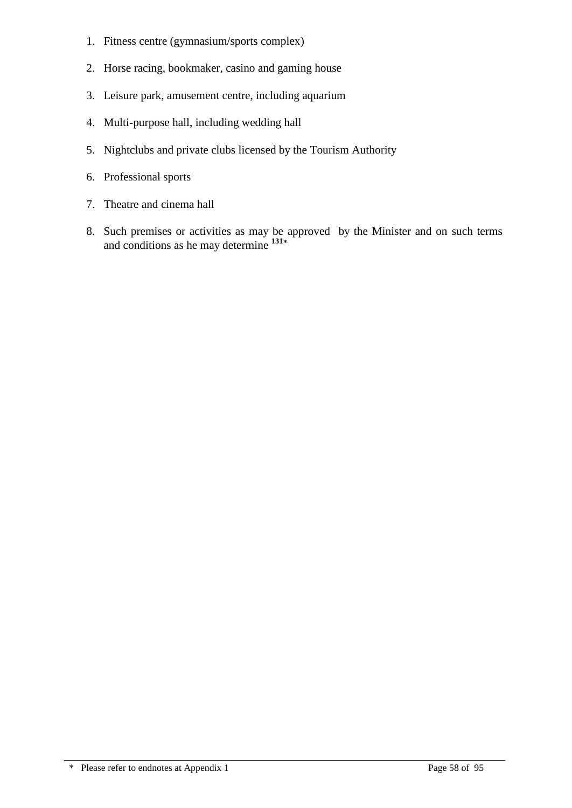- 1. Fitness centre (gymnasium/sports complex)
- 2. Horse racing, bookmaker, casino and gaming house
- 3. Leisure park, amusement centre, including aquarium
- 4. Multi-purpose hall, including wedding hall
- 5. Nightclubs and private clubs licensed by the Tourism Authority
- 6. Professional sports
- 7. Theatre and cinema hall
- 8. Such premises or activities as may be approved by the Minister and on such terms and conditions as he may determine **<sup>131</sup>\***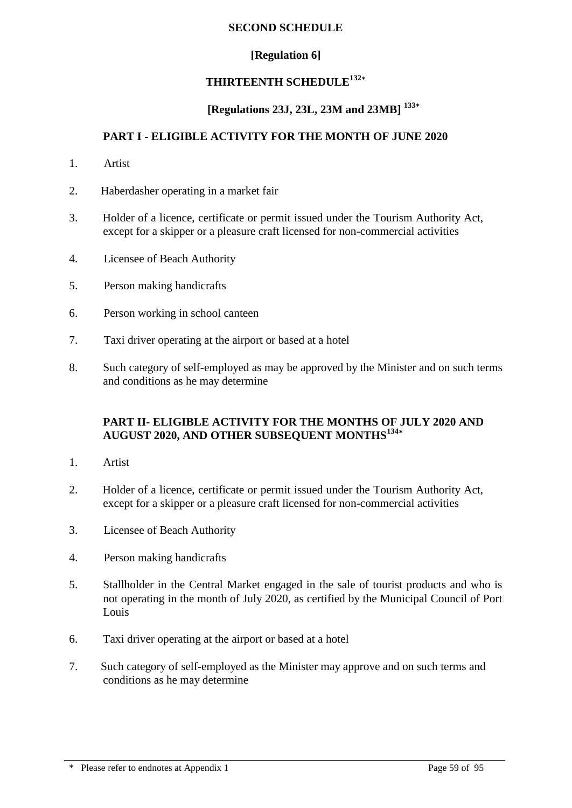### **SECOND SCHEDULE**

### **[Regulation 6]**

### **THIRTEENTH SCHEDULE<sup>132</sup>\***

## **[Regulations 23J, 23L, 23M and 23MB] 133\***

### **PART I - ELIGIBLE ACTIVITY FOR THE MONTH OF JUNE 2020**

- 1. Artist
- 2. Haberdasher operating in a market fair
- 3. Holder of a licence, certificate or permit issued under the Tourism Authority Act, except for a skipper or a pleasure craft licensed for non-commercial activities
- 4. Licensee of Beach Authority
- 5. Person making handicrafts
- 6. Person working in school canteen
- 7. Taxi driver operating at the airport or based at a hotel
- 8. Such category of self-employed as may be approved by the Minister and on such terms and conditions as he may determine

### **PART II- ELIGIBLE ACTIVITY FOR THE MONTHS OF JULY 2020 AND AUGUST 2020, AND OTHER SUBSEQUENT MONTHS<sup>134</sup>\***

- 1. Artist
- 2. Holder of a licence, certificate or permit issued under the Tourism Authority Act, except for a skipper or a pleasure craft licensed for non-commercial activities
- 3. Licensee of Beach Authority
- 4. Person making handicrafts
- 5. Stallholder in the Central Market engaged in the sale of tourist products and who is not operating in the month of July 2020, as certified by the Municipal Council of Port Louis
- 6. Taxi driver operating at the airport or based at a hotel
- 7. Such category of self-employed as the Minister may approve and on such terms and conditions as he may determine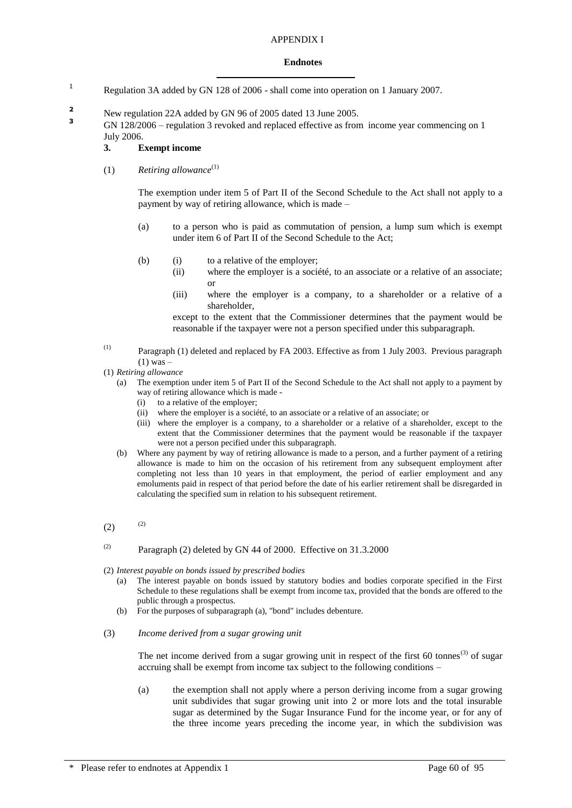#### APPENDIX I

#### **Endnotes**

- <sup>1</sup> Regulation 3A added by GN 128 of 2006 shall come into operation on 1 January 2007.
- **2** New regulation 22A added by GN 96 of 2005 dated 13 June 2005.

**<sup>3</sup>** GN 128/2006 – regulation 3 revoked and replaced effective as from income year commencing on 1 July 2006.

#### **3. Exempt income**

(1) *Retiring allowance*(1)

The exemption under item 5 of Part II of the Second Schedule to the Act shall not apply to a payment by way of retiring allowance, which is made –

- (a) to a person who is paid as commutation of pension, a lump sum which is exempt under item 6 of Part II of the Second Schedule to the Act;
- (b) (i) to a relative of the employer;
	- (ii) where the employer is a société, to an associate or a relative of an associate; or
	- (iii) where the employer is a company, to a shareholder or a relative of a shareholder,

except to the extent that the Commissioner determines that the payment would be reasonable if the taxpayer were not a person specified under this subparagraph.

- (1) Paragraph (1) deleted and replaced by FA 2003. Effective as from 1 July 2003. Previous paragraph (1) was –
- (1) *Retiring allowance*
	- (a) The exemption under item 5 of Part II of the Second Schedule to the Act shall not apply to a payment by way of retiring allowance which is made -
		- (i) to a relative of the employer;
		- (ii) where the employer is a société, to an associate or a relative of an associate; or
		- (iii) where the employer is a company, to a shareholder or a relative of a shareholder, except to the extent that the Commissioner determines that the payment would be reasonable if the taxpayer were not a person pecified under this subparagraph.
	- (b) Where any payment by way of retiring allowance is made to a person, and a further payment of a retiring allowance is made to him on the occasion of his retirement from any subsequent employment after completing not less than 10 years in that employment, the period of earlier employment and any emoluments paid in respect of that period before the date of his earlier retirement shall be disregarded in calculating the specified sum in relation to his subsequent retirement.
- $(2)$  (2)
- (2) Paragraph (2) deleted by GN 44 of 2000. Effective on  $31.3.2000$
- (2) *Interest payable on bonds issued by prescribed bodies*
	- (a) The interest payable on bonds issued by statutory bodies and bodies corporate specified in the First Schedule to these regulations shall be exempt from income tax, provided that the bonds are offered to the public through a prospectus.
	- (b) For the purposes of subparagraph (a), "bond" includes debenture.
- (3) *Income derived from a sugar growing unit*

The net income derived from a sugar growing unit in respect of the first  $60 \text{ tonnes}^{(3)}$  of sugar accruing shall be exempt from income tax subject to the following conditions –

(a) the exemption shall not apply where a person deriving income from a sugar growing unit subdivides that sugar growing unit into 2 or more lots and the total insurable sugar as determined by the Sugar Insurance Fund for the income year, or for any of the three income years preceding the income year, in which the subdivision was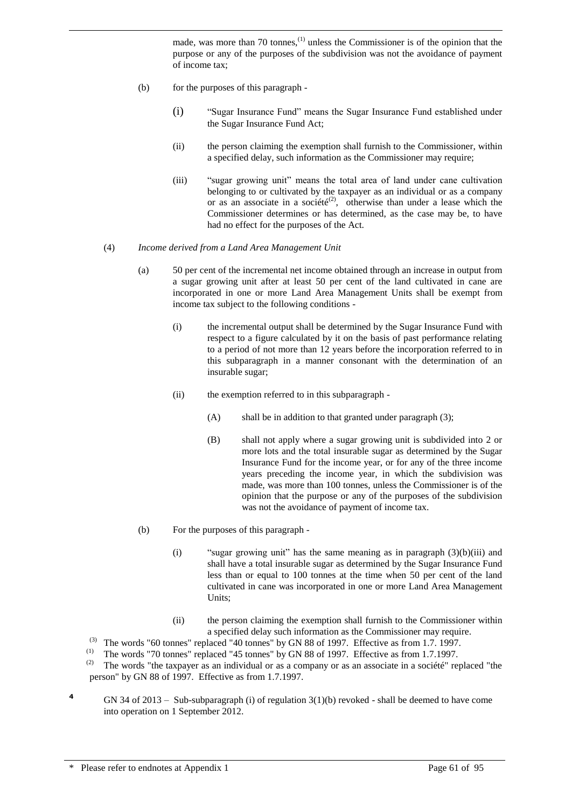made, was more than 70 tonnes,<sup>(1)</sup> unless the Commissioner is of the opinion that the purpose or any of the purposes of the subdivision was not the avoidance of payment of income tax;

(b) for the purposes of this paragraph -

- (i) "Sugar Insurance Fund" means the Sugar Insurance Fund established under the Sugar Insurance Fund Act;
- (ii) the person claiming the exemption shall furnish to the Commissioner, within a specified delay, such information as the Commissioner may require;
- (iii) "sugar growing unit" means the total area of land under cane cultivation belonging to or cultivated by the taxpayer as an individual or as a company or as an associate in a société<sup>(2)</sup>, otherwise than under a lease which the Commissioner determines or has determined, as the case may be, to have had no effect for the purposes of the Act.

#### (4) *Income derived from a Land Area Management Unit*

- (a) 50 per cent of the incremental net income obtained through an increase in output from a sugar growing unit after at least 50 per cent of the land cultivated in cane are incorporated in one or more Land Area Management Units shall be exempt from income tax subject to the following conditions -
	- (i) the incremental output shall be determined by the Sugar Insurance Fund with respect to a figure calculated by it on the basis of past performance relating to a period of not more than 12 years before the incorporation referred to in this subparagraph in a manner consonant with the determination of an insurable sugar;
	- (ii) the exemption referred to in this subparagraph
		- $(A)$  shall be in addition to that granted under paragraph  $(3)$ ;
		- (B) shall not apply where a sugar growing unit is subdivided into 2 or more lots and the total insurable sugar as determined by the Sugar Insurance Fund for the income year, or for any of the three income years preceding the income year, in which the subdivision was made, was more than 100 tonnes, unless the Commissioner is of the opinion that the purpose or any of the purposes of the subdivision was not the avoidance of payment of income tax.
- (b) For the purposes of this paragraph
	- (i) "sugar growing unit" has the same meaning as in paragraph  $(3)(b)(iii)$  and shall have a total insurable sugar as determined by the Sugar Insurance Fund less than or equal to 100 tonnes at the time when 50 per cent of the land cultivated in cane was incorporated in one or more Land Area Management Units;
	- (ii) the person claiming the exemption shall furnish to the Commissioner within a specified delay such information as the Commissioner may require.
- (3) The words "60 tonnes" replaced "40 tonnes" by GN 88 of 1997. Effective as from 1.7. 1997.
- (1) The words "70 tonnes" replaced "45 tonnes" by GN 88 of 1997. Effective as from 1.7.1997.
- The words "the taxpayer as an individual or as a company or as an associate in a société" replaced "the person" by GN 88 of 1997. Effective as from 1.7.1997.
- **<sup>4</sup>** GN 34 of 2013 Sub-subparagraph (i) of regulation 3(1)(b) revoked shall be deemed to have come into operation on 1 September 2012.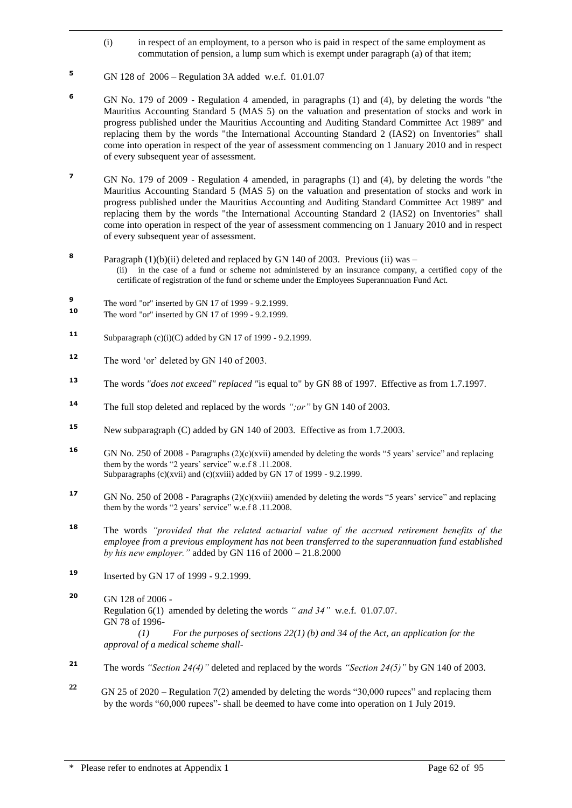- (i) in respect of an employment, to a person who is paid in respect of the same employment as commutation of pension, a lump sum which is exempt under paragraph (a) of that item;
- **<sup>5</sup>** GN 128 of 2006 Regulation 3A added w.e.f. 01.01.07

- **<sup>6</sup>** GN No. 179 of 2009 Regulation 4 amended, in paragraphs (1) and (4), by deleting the words "the Mauritius Accounting Standard 5 (MAS 5) on the valuation and presentation of stocks and work in progress published under the Mauritius Accounting and Auditing Standard Committee Act 1989" and replacing them by the words "the International Accounting Standard 2 (IAS2) on Inventories" shall come into operation in respect of the year of assessment commencing on 1 January 2010 and in respect of every subsequent year of assessment.
- **<sup>7</sup>** GN No. 179 of 2009 Regulation 4 amended, in paragraphs (1) and (4), by deleting the words "the Mauritius Accounting Standard 5 (MAS 5) on the valuation and presentation of stocks and work in progress published under the Mauritius Accounting and Auditing Standard Committee Act 1989" and replacing them by the words "the International Accounting Standard 2 (IAS2) on Inventories" shall come into operation in respect of the year of assessment commencing on 1 January 2010 and in respect of every subsequent year of assessment.
- **8** Paragraph  $(1)(b)(ii)$  deleted and replaced by GN 140 of 2003. Previous (ii) was – (ii) in the case of a fund or scheme not administered by an insurance company, a certified copy of the certificate of registration of the fund or scheme under the Employees Superannuation Fund Act.
- **9** The word "or" inserted by GN 17 of 1999 - 9.2.1999.
- **10** The word "or" inserted by GN 17 of 1999 9.2.1999.
- **11** Subparagraph (c)(i)(C) added by GN 17 of 1999 9.2.1999.
- **<sup>12</sup>** The word 'or' deleted by GN 140 of 2003.
- **<sup>13</sup>** The words *"does not exceed" replaced "*is equal to" by GN 88 of 1997. Effective as from 1.7.1997.
- **<sup>14</sup>** The full stop deleted and replaced by the words *";or"* by GN 140 of 2003.
- **<sup>15</sup>** New subparagraph (C) added by GN 140 of 2003. Effective as from 1.7.2003.
- **16** GN No. 250 of 2008 Paragraphs (2)(c)(xvii) amended by deleting the words "5 years' service" and replacing them by the words "2 years' service" w.e.f 8 .11.2008. Subparagraphs (c)(xvii) and (c)(xviii) added by GN 17 of 1999 - 9.2.1999.
- **17** GN No. 250 of 2008 Paragraphs (2)(c)(xviii) amended by deleting the words "5 years' service" and replacing them by the words "2 years' service" w.e.f 8 .11.2008.
- **<sup>18</sup>** The words *"provided that the related actuarial value of the accrued retirement benefits of the employee from a previous employment has not been transferred to the superannuation fund established by his new employer."* added by GN 116 of 2000 – 21.8.2000
- **<sup>19</sup>** Inserted by GN 17 of 1999 9.2.1999.
- **<sup>20</sup>** GN 128 of 2006 Regulation 6(1) amended by deleting the words *" and 34"* w.e.f. 01.07.07. GN 78 of 1996- *(1) For the purposes of sections 22(1) (b) and 34 of the Act, an application for the approval of a medical scheme shall-*
- **<sup>21</sup>** The words *"Section 24(4)"* deleted and replaced by the words *"Section 24(5)"* by GN 140 of 2003.
- **22** GN 25 of 2020 – Regulation 7(2) amended by deleting the words "30,000 rupees" and replacing them by the words "60,000 rupees"- shall be deemed to have come into operation on 1 July 2019.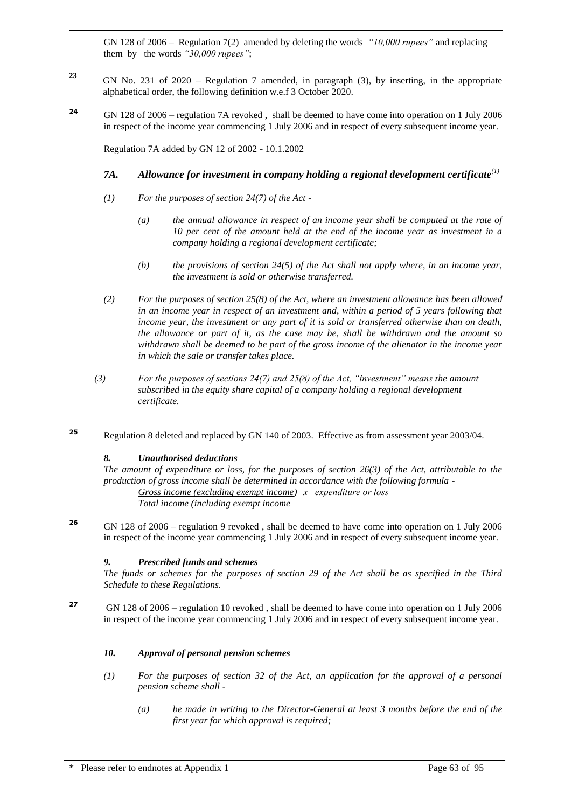GN 128 of 2006 – Regulation 7(2) amended by deleting the words *"10,000 rupees"* and replacing them by the words *"30,000 rupees"*;

- **<sup>23</sup>** GN No. 231 of 2020 Regulation 7 amended, in paragraph (3), by inserting, in the appropriate alphabetical order, the following definition w.e.f 3 October 2020.
- **<sup>24</sup>** GN 128 of 2006 regulation 7A revoked , shall be deemed to have come into operation on 1 July 2006 in respect of the income year commencing 1 July 2006 and in respect of every subsequent income year.

Regulation 7A added by GN 12 of 2002 - 10.1.2002

### *7A. Allowance for investment in company holding a regional development certificate(1)*

- *(1) For the purposes of section 24(7) of the Act -*
	- *(a) the annual allowance in respect of an income year shall be computed at the rate of 10 per cent of the amount held at the end of the income year as investment in a company holding a regional development certificate;*
	- *(b) the provisions of section 24(5) of the Act shall not apply where, in an income year, the investment is sold or otherwise transferred.*
- *(2) For the purposes of section 25(8) of the Act, where an investment allowance has been allowed in an income year in respect of an investment and, within a period of 5 years following that income year, the investment or any part of it is sold or transferred otherwise than on death, the allowance or part of it, as the case may be, shall be withdrawn and the amount so withdrawn shall be deemed to be part of the gross income of the alienator in the income year in which the sale or transfer takes place.*
- *(3) For the purposes of sections 24(7) and 25(8) of the Act, "investment" means the amount subscribed in the equity share capital of a company holding a regional development certificate.*
- **<sup>25</sup>** Regulation 8 deleted and replaced by GN 140 of 2003. Effective as from assessment year 2003/04.

#### *8. Unauthorised deductions*

```
The amount of expenditure or loss, for the purposes of section 26(3) of the Act, attributable to the 
production of gross income shall be determined in accordance with the following formula -
        Gross income (excluding exempt income) x expenditure or loss
        Total income (including exempt income
```
**<sup>26</sup>** GN 128 of 2006 – regulation 9 revoked , shall be deemed to have come into operation on 1 July 2006 in respect of the income year commencing 1 July 2006 and in respect of every subsequent income year.

#### *9. Prescribed funds and schemes*

*The funds or schemes for the purposes of section 29 of the Act shall be as specified in the Third Schedule to these Regulations.*

**<sup>27</sup>** GN 128 of 2006 – regulation 10 revoked , shall be deemed to have come into operation on 1 July 2006 in respect of the income year commencing 1 July 2006 and in respect of every subsequent income year.

#### *10. Approval of personal pension schemes*

- *(1) For the purposes of section 32 of the Act, an application for the approval of a personal pension scheme shall -*
	- *(a) be made in writing to the Director-General at least 3 months before the end of the first year for which approval is required;*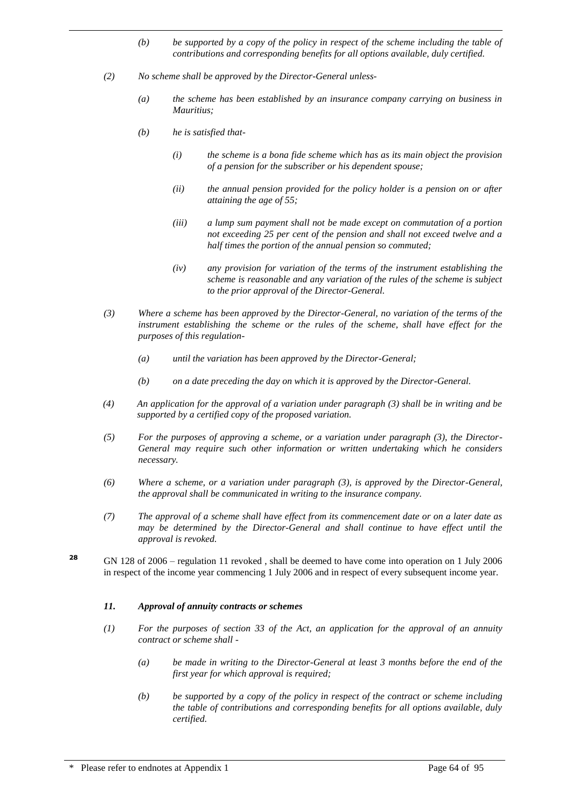- *(b) be supported by a copy of the policy in respect of the scheme including the table of contributions and corresponding benefits for all options available, duly certified.*
- *(2) No scheme shall be approved by the Director-General unless-*
	- *(a) the scheme has been established by an insurance company carrying on business in Mauritius;*
	- *(b) he is satisfied that-*

- *(i) the scheme is a bona fide scheme which has as its main object the provision of a pension for the subscriber or his dependent spouse;*
- *(ii) the annual pension provided for the policy holder is a pension on or after attaining the age of 55;*
- *(iii) a lump sum payment shall not be made except on commutation of a portion not exceeding 25 per cent of the pension and shall not exceed twelve and a half times the portion of the annual pension so commuted;*
- *(iv) any provision for variation of the terms of the instrument establishing the scheme is reasonable and any variation of the rules of the scheme is subject to the prior approval of the Director-General.*
- *(3) Where a scheme has been approved by the Director-General, no variation of the terms of the*  instrument establishing the scheme or the rules of the scheme, shall have effect for the *purposes of this regulation-*
	- *(a) until the variation has been approved by the Director-General;*
	- *(b) on a date preceding the day on which it is approved by the Director-General.*
- *(4) An application for the approval of a variation under paragraph (3) shall be in writing and be supported by a certified copy of the proposed variation.*
- *(5) For the purposes of approving a scheme, or a variation under paragraph (3), the Director-General may require such other information or written undertaking which he considers necessary.*
- *(6) Where a scheme, or a variation under paragraph (3), is approved by the Director-General, the approval shall be communicated in writing to the insurance company.*
- *(7) The approval of a scheme shall have effect from its commencement date or on a later date as may be determined by the Director-General and shall continue to have effect until the approval is revoked.*
- **<sup>28</sup>** GN 128 of 2006 regulation 11 revoked , shall be deemed to have come into operation on 1 July 2006 in respect of the income year commencing 1 July 2006 and in respect of every subsequent income year.

#### *11. Approval of annuity contracts or schemes*

- *(1) For the purposes of section 33 of the Act, an application for the approval of an annuity contract or scheme shall -*
	- *(a) be made in writing to the Director-General at least 3 months before the end of the first year for which approval is required;*
	- *(b) be supported by a copy of the policy in respect of the contract or scheme including the table of contributions and corresponding benefits for all options available, duly certified.*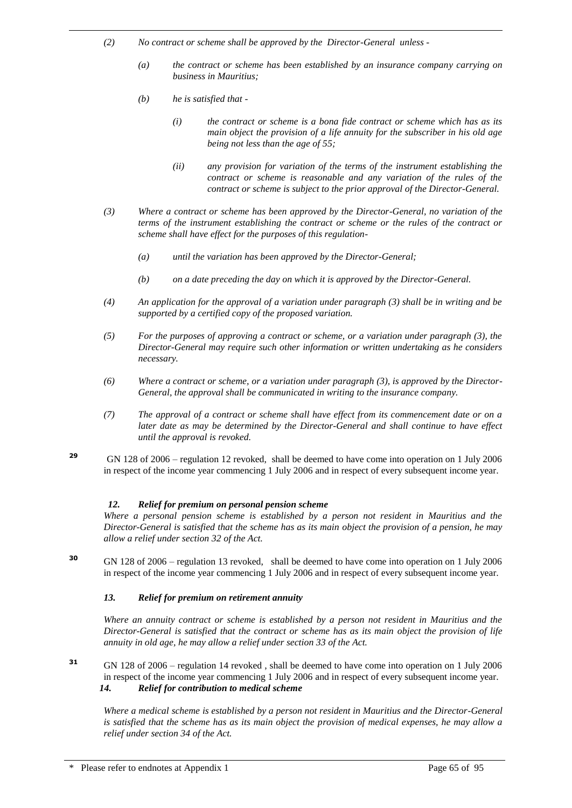- *(2) No contract or scheme shall be approved by the Director-General unless -*
	- *(a) the contract or scheme has been established by an insurance company carrying on business in Mauritius;*
	- *(b) he is satisfied that -*

- *(i) the contract or scheme is a bona fide contract or scheme which has as its main object the provision of a life annuity for the subscriber in his old age being not less than the age of 55;*
- *(ii) any provision for variation of the terms of the instrument establishing the contract or scheme is reasonable and any variation of the rules of the contract or scheme is subject to the prior approval of the Director-General.*
- *(3) Where a contract or scheme has been approved by the Director-General, no variation of the terms of the instrument establishing the contract or scheme or the rules of the contract or scheme shall have effect for the purposes of this regulation-*
	- *(a) until the variation has been approved by the Director-General;*
	- *(b) on a date preceding the day on which it is approved by the Director-General.*
- *(4) An application for the approval of a variation under paragraph (3) shall be in writing and be supported by a certified copy of the proposed variation.*
- *(5) For the purposes of approving a contract or scheme, or a variation under paragraph (3), the Director-General may require such other information or written undertaking as he considers necessary.*
- *(6) Where a contract or scheme, or a variation under paragraph (3), is approved by the Director-General, the approval shall be communicated in writing to the insurance company.*
- *(7) The approval of a contract or scheme shall have effect from its commencement date or on a later date as may be determined by the Director-General and shall continue to have effect until the approval is revoked.*
- **<sup>29</sup>** GN 128 of 2006 regulation 12 revoked, shall be deemed to have come into operation on 1 July 2006 in respect of the income year commencing 1 July 2006 and in respect of every subsequent income year.

#### *12. Relief for premium on personal pension scheme*

*Where a personal pension scheme is established by a person not resident in Mauritius and the Director-General is satisfied that the scheme has as its main object the provision of a pension, he may allow a relief under section 32 of the Act.*

**<sup>30</sup>** GN 128 of 2006 – regulation 13 revoked, shall be deemed to have come into operation on 1 July 2006 in respect of the income year commencing 1 July 2006 and in respect of every subsequent income year.

#### *13. Relief for premium on retirement annuity*

*Where an annuity contract or scheme is established by a person not resident in Mauritius and the Director-General is satisfied that the contract or scheme has as its main object the provision of life annuity in old age, he may allow a relief under section 33 of the Act.*

**<sup>31</sup>** GN 128 of 2006 – regulation 14 revoked , shall be deemed to have come into operation on 1 July 2006 in respect of the income year commencing 1 July 2006 and in respect of every subsequent income year. *14. Relief for contribution to medical scheme* 

*Where a medical scheme is established by a person not resident in Mauritius and the Director-General is satisfied that the scheme has as its main object the provision of medical expenses, he may allow a relief under section 34 of the Act.*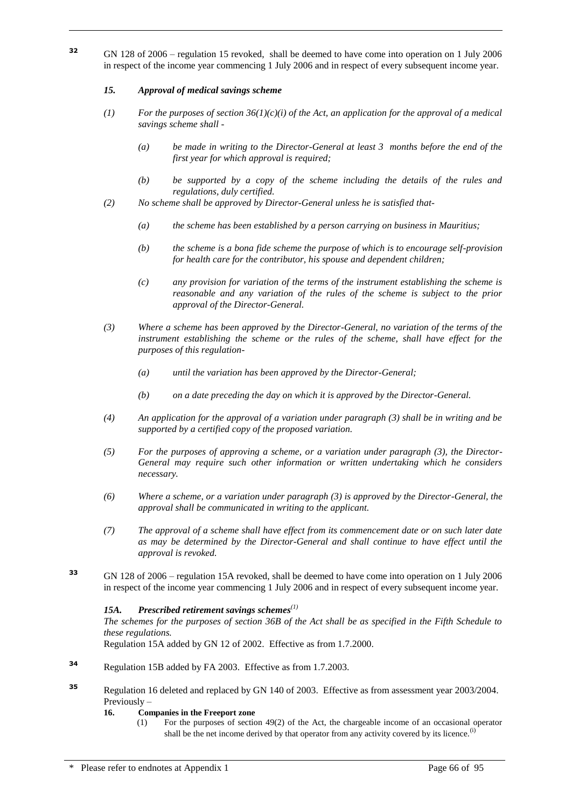**<sup>32</sup>** GN 128 of 2006 – regulation 15 revoked, shall be deemed to have come into operation on 1 July 2006 in respect of the income year commencing 1 July 2006 and in respect of every subsequent income year.

#### *15. Approval of medical savings scheme*

- (1) *For the purposes of section 36(1)(c)(i) of the Act, an application for the approval of a medical savings scheme shall -*
	- *(a) be made in writing to the Director-General at least 3 months before the end of the first year for which approval is required;*
	- *(b) be supported by a copy of the scheme including the details of the rules and regulations, duly certified.*
- *(2) No scheme shall be approved by Director-General unless he is satisfied that-*
	- *(a) the scheme has been established by a person carrying on business in Mauritius;*
	- *(b) the scheme is a bona fide scheme the purpose of which is to encourage self-provision for health care for the contributor, his spouse and dependent children;*
	- *(c) any provision for variation of the terms of the instrument establishing the scheme is reasonable and any variation of the rules of the scheme is subject to the prior approval of the Director-General.*
- *(3) Where a scheme has been approved by the Director-General, no variation of the terms of the instrument establishing the scheme or the rules of the scheme, shall have effect for the purposes of this regulation-*
	- *(a) until the variation has been approved by the Director-General;*
	- *(b) on a date preceding the day on which it is approved by the Director-General.*
- *(4) An application for the approval of a variation under paragraph (3) shall be in writing and be supported by a certified copy of the proposed variation.*
- *(5) For the purposes of approving a scheme, or a variation under paragraph (3), the Director-General may require such other information or written undertaking which he considers necessary.*
- *(6) Where a scheme, or a variation under paragraph (3) is approved by the Director-General, the approval shall be communicated in writing to the applicant.*
- *(7) The approval of a scheme shall have effect from its commencement date or on such later date as may be determined by the Director-General and shall continue to have effect until the approval is revoked.*
- **<sup>33</sup>** GN 128 of 2006 regulation 15A revoked, shall be deemed to have come into operation on 1 July 2006 in respect of the income year commencing 1 July 2006 and in respect of every subsequent income year.

#### *15A. Prescribed retirement savings schemes(1)*

*The schemes for the purposes of section 36B of the Act shall be as specified in the Fifth Schedule to these regulations.*

Regulation 15A added by GN 12 of 2002. Effective as from 1.7.2000.

- **<sup>34</sup>** Regulation 15B added by FA 2003. Effective as from 1.7.2003.
- **<sup>35</sup>** Regulation 16 deleted and replaced by GN 140 of 2003. Effective as from assessment year 2003/2004. Previously –

#### **16. Companies in the Freeport zone**

(1) For the purposes of section 49(2) of the Act, the chargeable income of an occasional operator shall be the net income derived by that operator from any activity covered by its licence.<sup>(i)</sup>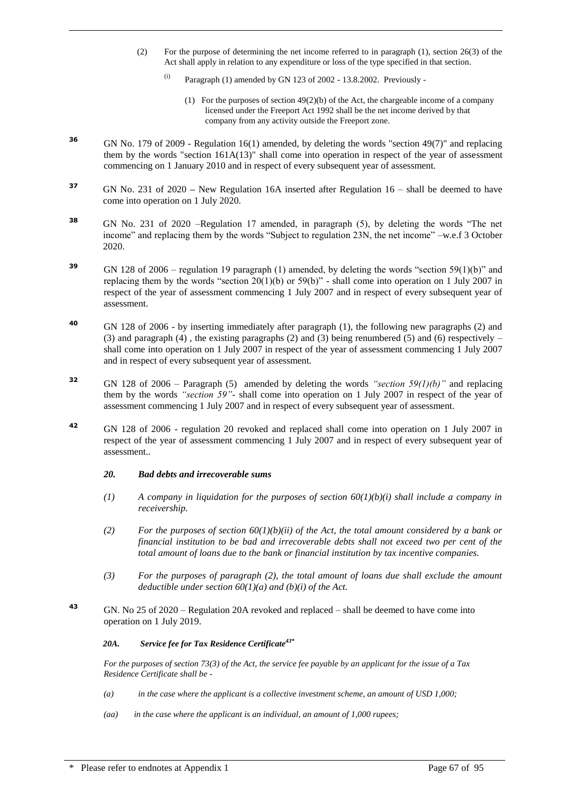- (2) For the purpose of determining the net income referred to in paragraph (1), section 26(3) of the Act shall apply in relation to any expenditure or loss of the type specified in that section.
	- $\frac{1}{10}$  Paragraph (1) amended by GN 123 of 2002 13.8.2002. Previously -
		- (1) For the purposes of section  $49(2)(b)$  of the Act, the chargeable income of a company licensed under the Freeport Act 1992 shall be the net income derived by that company from any activity outside the Freeport zone.
- **<sup>36</sup>** GN No. 179 of 2009 Regulation 16(1) amended, by deleting the words "section 49(7)" and replacing them by the words "section  $161A(13)$ " shall come into operation in respect of the year of assessment commencing on 1 January 2010 and in respect of every subsequent year of assessment.
- **37** GN No. 231 of 2020 New Regulation 16A inserted after Regulation 16 shall be deemed to have come into operation on 1 July 2020.
- **<sup>38</sup>** GN No. 231 of 2020 –Regulation 17 amended, in paragraph (5), by deleting the words "The net income" and replacing them by the words "Subject to regulation 23N, the net income" –w.e.f 3 October 2020.
- **<sup>39</sup>** GN 128 of 2006 regulation 19 paragraph (1) amended, by deleting the words "section 59(1)(b)" and replacing them by the words "section  $20(1)(b)$  or  $59(b)$ " - shall come into operation on 1 July 2007 in respect of the year of assessment commencing 1 July 2007 and in respect of every subsequent year of assessment.
- **<sup>40</sup>** GN 128 of 2006 by inserting immediately after paragraph (1), the following new paragraphs (2) and (3) and paragraph (4), the existing paragraphs (2) and (3) being renumbered (5) and (6) respectively  $$ shall come into operation on 1 July 2007 in respect of the year of assessment commencing 1 July 2007 and in respect of every subsequent year of assessment.
- **<sup>32</sup>** GN 128 of 2006 Paragraph (5) amended by deleting the words *"section 59(1)(b)"* and replacing them by the words *"section 59"-* shall come into operation on 1 July 2007 in respect of the year of assessment commencing 1 July 2007 and in respect of every subsequent year of assessment.
- **<sup>42</sup>** GN 128 of 2006 regulation 20 revoked and replaced shall come into operation on 1 July 2007 in respect of the year of assessment commencing 1 July 2007 and in respect of every subsequent year of assessment..

#### *20. Bad debts and irrecoverable sums*

- $(1)$  *A company in liquidation for the purposes of section 60(1)(b)(i) shall include a company in receivership.*
- (2) *For the purposes of section 60(1)(b)(ii) of the Act, the total amount considered by a bank or financial institution to be bad and irrecoverable debts shall not exceed two per cent of the total amount of loans due to the bank or financial institution by tax incentive companies.*
- *(3) For the purposes of paragraph (2), the total amount of loans due shall exclude the amount deductible under section 60(1)(a) and (b)(i) of the Act.*
- **<sup>43</sup>** GN. No 25 of 2020 Regulation 20A revoked and replaced shall be deemed to have come into operation on 1 July 2019.

#### *20A. Service fee for Tax Residence Certificate43\**

*For the purposes of section 73(3) of the Act, the service fee payable by an applicant for the issue of a Tax Residence Certificate shall be -*

- *(a) in the case where the applicant is a collective investment scheme, an amount of USD 1,000;*
- *(aa) in the case where the applicant is an individual, an amount of 1,000 rupees;*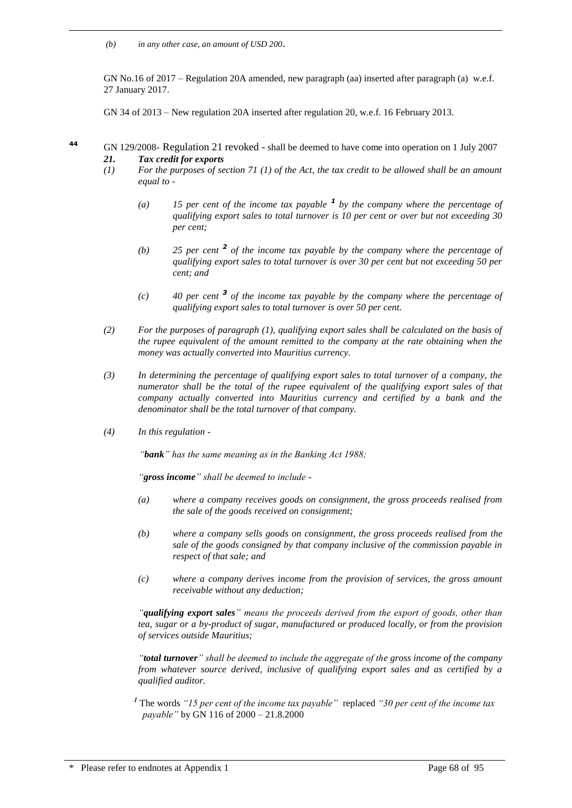*(b) in any other case, an amount of USD 200*.

GN No.16 of 2017 – Regulation 20A amended, new paragraph (aa) inserted after paragraph (a) w.e.f. 27 January 2017.

GN 34 of 2013 – New regulation 20A inserted after regulation 20, w.e.f. 16 February 2013.

- **<sup>44</sup>** GN 129/2008- Regulation 21 revoked shall be deemed to have come into operation on 1 July 2007 *21. Tax credit for exports*
	- *(1) For the purposes of section 71 (1) of the Act, the tax credit to be allowed shall be an amount equal to -*
		- *(a) 15 per cent of the income tax payable <sup>1</sup> by the company where the percentage of qualifying export sales to total turnover is 10 per cent or over but not exceeding 30 per cent;*
		- *(b) 25 per cent <sup>2</sup> of the income tax payable by the company where the percentage of qualifying export sales to total turnover is over 30 per cent but not exceeding 50 per cent; and*
		- *(c) 40 per cent <sup>3</sup> of the income tax payable by the company where the percentage of qualifying export sales to total turnover is over 50 per cent.*
	- *(2) For the purposes of paragraph (1), qualifying export sales shall be calculated on the basis of the rupee equivalent of the amount remitted to the company at the rate obtaining when the money was actually converted into Mauritius currency.*
	- *(3) In determining the percentage of qualifying export sales to total turnover of a company, the numerator shall be the total of the rupee equivalent of the qualifying export sales of that company actually converted into Mauritius currency and certified by a bank and the denominator shall be the total turnover of that company.*
	- *(4) In this regulation -*

*"bank" has the same meaning as in the Banking Act 1988;*

*"gross income" shall be deemed to include -*

- *(a) where a company receives goods on consignment, the gross proceeds realised from the sale of the goods received on consignment;*
- *(b) where a company sells goods on consignment, the gross proceeds realised from the sale of the goods consigned by that company inclusive of the commission payable in respect of that sale; and*
- *(c) where a company derives income from the provision of services, the gross amount receivable without any deduction;*

*"qualifying export sales" means the proceeds derived from the export of goods, other than tea, sugar or a by-product of sugar, manufactured or produced locally, or from the provision of services outside Mauritius;*

*"total turnover" shall be deemed to include the aggregate of the gross income of the company from whatever source derived, inclusive of qualifying export sales and as certified by a qualified auditor.*

*<sup>1</sup>* The words *"15 per cent of the income tax payable"* replaced *"30 per cent of the income tax payable"* by GN 116 of 2000 – 21.8.2000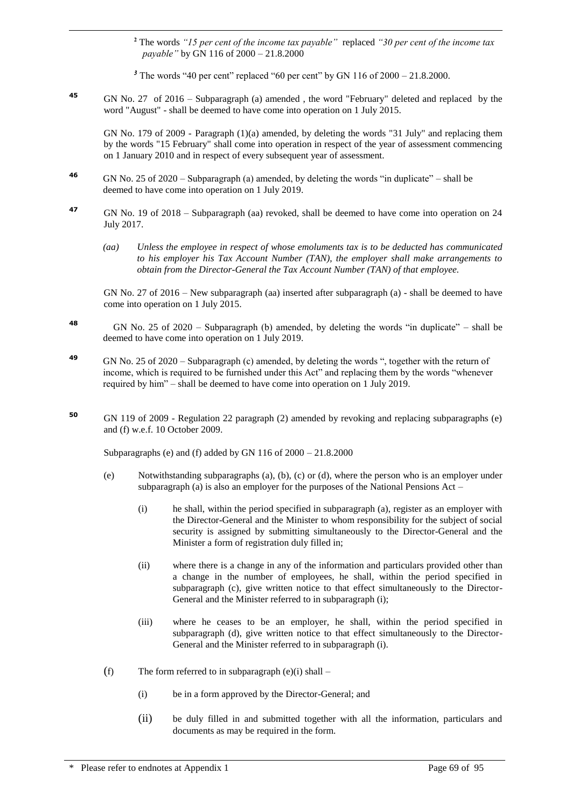**<sup>2</sup>** The words *"15 per cent of the income tax payable"* replaced *"30 per cent of the income tax payable"* by GN 116 of 2000 – 21.8.2000

<sup>3</sup> The words "40 per cent" replaced "60 per cent" by GN 116 of 2000 – 21.8.2000.

**<sup>45</sup>** GN No. 27 of 2016 – Subparagraph (a) amended , the word "February" deleted and replaced by the word "August" - shall be deemed to have come into operation on 1 July 2015.

GN No. 179 of 2009 - Paragraph (1)(a) amended, by deleting the words "31 July" and replacing them by the words "15 February" shall come into operation in respect of the year of assessment commencing on 1 January 2010 and in respect of every subsequent year of assessment.

- **<sup>46</sup>** GN No. 25 of 2020 Subparagraph (a) amended, by deleting the words "in duplicate" shall be deemed to have come into operation on 1 July 2019.
- **<sup>47</sup>** GN No. 19 of 2018 Subparagraph (aa) revoked, shall be deemed to have come into operation on 24 July 2017.
	- *(aa) Unless the employee in respect of whose emoluments tax is to be deducted has communicated to his employer his Tax Account Number (TAN), the employer shall make arrangements to obtain from the Director-General the Tax Account Number (TAN) of that employee.*

GN No. 27 of 2016 – New subparagraph (aa) inserted after subparagraph (a) - shall be deemed to have come into operation on 1 July 2015.

- **48** GN No. 25 of 2020 – Subparagraph (b) amended, by deleting the words "in duplicate" – shall be deemed to have come into operation on 1 July 2019.
- **<sup>49</sup>** GN No. 25 of 2020 Subparagraph (c) amended, by deleting the words ", together with the return of income, which is required to be furnished under this Act" and replacing them by the words "whenever required by him" – shall be deemed to have come into operation on 1 July 2019.
- **<sup>50</sup>** GN 119 of 2009 Regulation 22 paragraph (2) amended by revoking and replacing subparagraphs (e) and (f) w.e.f. 10 October 2009.

Subparagraphs (e) and (f) added by GN 116 of  $2000 - 21.8.2000$ 

- (e) Notwithstanding subparagraphs (a), (b), (c) or (d), where the person who is an employer under subparagraph (a) is also an employer for the purposes of the National Pensions Act –
	- (i) he shall, within the period specified in subparagraph (a), register as an employer with the Director-General and the Minister to whom responsibility for the subject of social security is assigned by submitting simultaneously to the Director-General and the Minister a form of registration duly filled in;
	- (ii) where there is a change in any of the information and particulars provided other than a change in the number of employees, he shall, within the period specified in subparagraph (c), give written notice to that effect simultaneously to the Director-General and the Minister referred to in subparagraph (i);
	- (iii) where he ceases to be an employer, he shall, within the period specified in subparagraph (d), give written notice to that effect simultaneously to the Director-General and the Minister referred to in subparagraph (i).
- (f) The form referred to in subparagraph (e)(i) shall
	- (i) be in a form approved by the Director-General; and
	- (ii) be duly filled in and submitted together with all the information, particulars and documents as may be required in the form.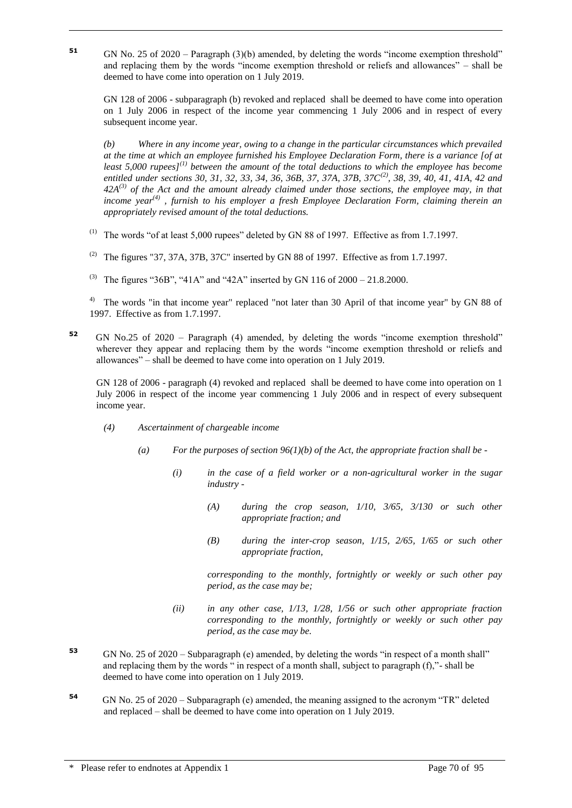**51** GN No. 25 of 2020 – Paragraph (3)(b) amended, by deleting the words "income exemption threshold" and replacing them by the words "income exemption threshold or reliefs and allowances" – shall be deemed to have come into operation on 1 July 2019.

GN 128 of 2006 - subparagraph (b) revoked and replaced shall be deemed to have come into operation on 1 July 2006 in respect of the income year commencing 1 July 2006 and in respect of every subsequent income year.

*(b) Where in any income year, owing to a change in the particular circumstances which prevailed at the time at which an employee furnished his Employee Declaration Form, there is a variance [of at least 5,000 rupees](1) between the amount of the total deductions to which the employee has become entitled under sections 30, 31, 32, 33, 34, 36, 36B, 37, 37A, 37B, 37C(2), 38, 39, 40, 41, 41A, 42 and 42A(3) of the Act and the amount already claimed under those sections, the employee may, in that income year(4) , furnish to his employer a fresh Employee Declaration Form, claiming therein an appropriately revised amount of the total deductions.* 

- (1) The words "of at least  $5,000$  rupees" deleted by GN 88 of 1997. Effective as from 1.7.1997.
- <sup>(2)</sup> The figures "37, 37A, 37B, 37C" inserted by GN 88 of 1997. Effective as from 1.7.1997.
- <sup>(3)</sup> The figures "36B", "41A" and "42A" inserted by GN 116 of  $2000 21.8.2000$ .

<sup>4)</sup> The words "in that income year" replaced "not later than 30 April of that income year" by GN 88 of 1997. Effective as from 1.7.1997.

**52** GN No.25 of 2020 – Paragraph (4) amended, by deleting the words "income exemption threshold" wherever they appear and replacing them by the words "income exemption threshold or reliefs and allowances" – shall be deemed to have come into operation on 1 July 2019.

GN 128 of 2006 - paragraph (4) revoked and replaced shall be deemed to have come into operation on 1 July 2006 in respect of the income year commencing 1 July 2006 and in respect of every subsequent income year.

*(4) Ascertainment of chargeable income*

- *(a) For the purposes of section 96(1)(b) of the Act, the appropriate fraction shall be -*
	- *(i) in the case of a field worker or a non-agricultural worker in the sugar industry -*
		- *(A) during the crop season, 1/10, 3/65, 3/130 or such other appropriate fraction; and*
		- *(B) during the inter-crop season, 1/15, 2/65, 1/65 or such other appropriate fraction,*

*corresponding to the monthly, fortnightly or weekly or such other pay period, as the case may be;*

- *(ii) in any other case, 1/13, 1/28, 1/56 or such other appropriate fraction corresponding to the monthly, fortnightly or weekly or such other pay period, as the case may be.*
- **<sup>53</sup>** GN No. 25 of 2020 Subparagraph (e) amended, by deleting the words "in respect of a month shall" and replacing them by the words " in respect of a month shall, subject to paragraph (f),"- shall be deemed to have come into operation on 1 July 2019.
- **54** GN No. 25 of 2020 – Subparagraph (e) amended, the meaning assigned to the acronym "TR" deleted and replaced – shall be deemed to have come into operation on 1 July 2019.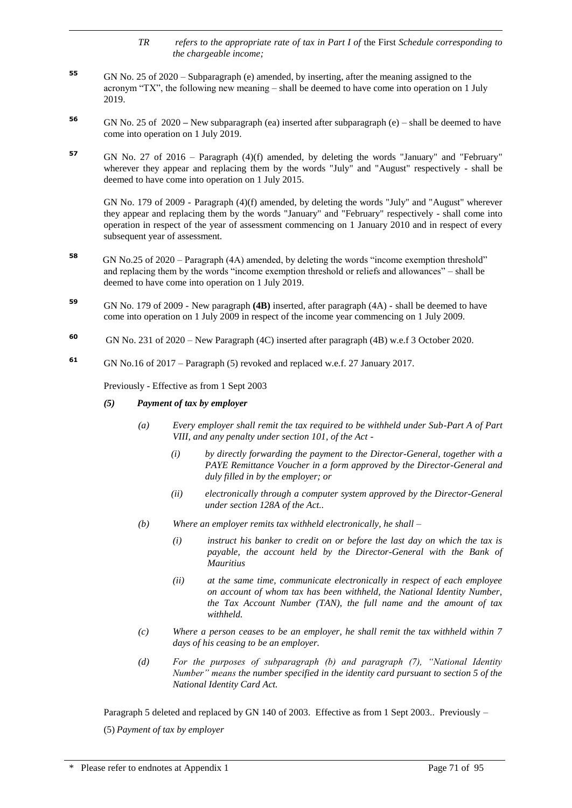- *TR refers to the appropriate rate of tax in Part I of* the First *Schedule corresponding to the chargeable income;*
- **<sup>55</sup>** GN No. 25 of 2020 Subparagraph (e) amended, by inserting, after the meaning assigned to the acronym "TX", the following new meaning – shall be deemed to have come into operation on 1 July 2019.
- **<sup>56</sup>** GN No. 25 of 2020 **–** New subparagraph (ea) inserted after subparagraph (e) shall be deemed to have come into operation on 1 July 2019.
- **<sup>57</sup>** GN No. 27 of 2016 Paragraph (4)(f) amended, by deleting the words "January" and "February" wherever they appear and replacing them by the words "July" and "August" respectively - shall be deemed to have come into operation on 1 July 2015.

GN No. 179 of 2009 - Paragraph (4)(f) amended, by deleting the words "July" and "August" wherever they appear and replacing them by the words "January" and "February" respectively - shall come into operation in respect of the year of assessment commencing on 1 January 2010 and in respect of every subsequent year of assessment.

- **58** GN No.25 of 2020 Paragraph (4A) amended, by deleting the words "income exemption threshold" and replacing them by the words "income exemption threshold or reliefs and allowances" – shall be deemed to have come into operation on 1 July 2019.
- **<sup>59</sup>** GN No. 179 of 2009 New paragraph **(4B)** inserted, after paragraph (4A) shall be deemed to have come into operation on 1 July 2009 in respect of the income year commencing on 1 July 2009.
- **60** GN No. 231 of 2020 – New Paragraph (4C) inserted after paragraph (4B) w.e.f 3 October 2020.
- **<sup>61</sup>** GN No.16 of 2017 Paragraph (5) revoked and replaced w.e.f. 27 January 2017.

Previously - Effective as from 1 Sept 2003

*(5) Payment of tax by employer*

- *(a) Every employer shall remit the tax required to be withheld under Sub-Part A of Part VIII, and any penalty under section 101, of the Act -*
	- *(i) by directly forwarding the payment to the Director-General, together with a PAYE Remittance Voucher in a form approved by the Director-General and duly filled in by the employer; or*
	- *(ii) electronically through a computer system approved by the Director-General under section 128A of the Act..*
- *(b)* Where an employer remits tax withheld electronically, he shall
	- *(i) instruct his banker to credit on or before the last day on which the tax is payable, the account held by the Director-General with the Bank of Mauritius*
	- *(ii) at the same time, communicate electronically in respect of each employee on account of whom tax has been withheld, the National Identity Number, the Tax Account Number (TAN), the full name and the amount of tax withheld.*
- *(c) Where a person ceases to be an employer, he shall remit the tax withheld within 7 days of his ceasing to be an employer.*
- *(d) For the purposes of subparagraph (b) and paragraph (7), "National Identity Number" means the number specified in the identity card pursuant to section 5 of the National Identity Card Act.*

Paragraph 5 deleted and replaced by GN 140 of 2003. Effective as from 1 Sept 2003.. Previously – (5) *Payment of tax by employer*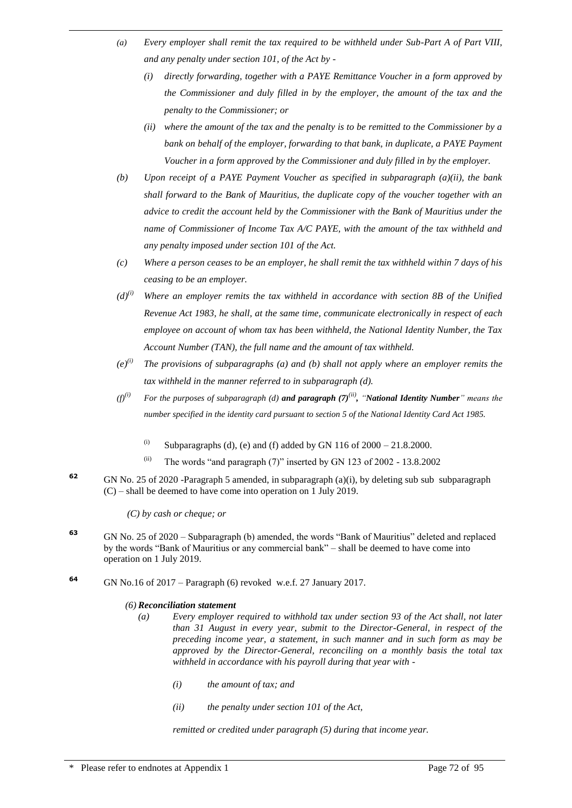- *(a) Every employer shall remit the tax required to be withheld under Sub-Part A of Part VIII, and any penalty under section 101, of the Act by -*
	- *(i) directly forwarding, together with a PAYE Remittance Voucher in a form approved by the Commissioner and duly filled in by the employer, the amount of the tax and the penalty to the Commissioner; or*
	- *(ii) where the amount of the tax and the penalty is to be remitted to the Commissioner by a bank on behalf of the employer, forwarding to that bank, in duplicate, a PAYE Payment Voucher in a form approved by the Commissioner and duly filled in by the employer.*
- *(b) Upon receipt of a PAYE Payment Voucher as specified in subparagraph (a)(ii), the bank shall forward to the Bank of Mauritius, the duplicate copy of the voucher together with an advice to credit the account held by the Commissioner with the Bank of Mauritius under the name of Commissioner of Income Tax A/C PAYE, with the amount of the tax withheld and any penalty imposed under section 101 of the Act.*
- *(c) Where a person ceases to be an employer, he shall remit the tax withheld within 7 days of his ceasing to be an employer.*
- $(d)^{(i)}$  *Where an employer remits the tax withheld in accordance with section 8B of the Unified Revenue Act 1983, he shall, at the same time, communicate electronically in respect of each employee on account of whom tax has been withheld, the National Identity Number, the Tax Account Number (TAN), the full name and the amount of tax withheld.*
- *(e)(i) The provisions of subparagraphs (a) and (b) shall not apply where an employer remits the tax withheld in the manner referred to in subparagraph (d).*
- *(f)(i) For the purposes of subparagraph (d) and paragraph (7)(ii) , "National Identity Number" means the number specified in the identity card pursuant to section 5 of the National Identity Card Act 1985.*
	- (i) Subparagraphs (d), (e) and (f) added by GN 116 of  $2000 21.8.2000$ .
	- $(iii)$  The words "and paragraph (7)" inserted by GN 123 of 2002 13.8.2002
- **<sup>62</sup>** GN No. 25 of 2020 -Paragraph 5 amended, in subparagraph (a)(i), by deleting sub sub subparagraph (C) – shall be deemed to have come into operation on 1 July 2019.

*(C) by cash or cheque; or*

- **<sup>63</sup>** GN No. 25 of 2020 Subparagraph (b) amended, the words "Bank of Mauritius" deleted and replaced by the words "Bank of Mauritius or any commercial bank" – shall be deemed to have come into operation on 1 July 2019.
- **<sup>64</sup>** GN No.16 of 2017 Paragraph (6) revoked w.e.f. 27 January 2017.

#### *(6) Reconciliation statement*

- *(a) Every employer required to withhold tax under section 93 of the Act shall, not later than 31 August in every year, submit to the Director-General, in respect of the preceding income year, a statement, in such manner and in such form as may be approved by the Director-General, reconciling on a monthly basis the total tax withheld in accordance with his payroll during that year with -*
	- *(i) the amount of tax; and*
	- *(ii) the penalty under section 101 of the Act,*

*remitted or credited under paragraph (5) during that income year.*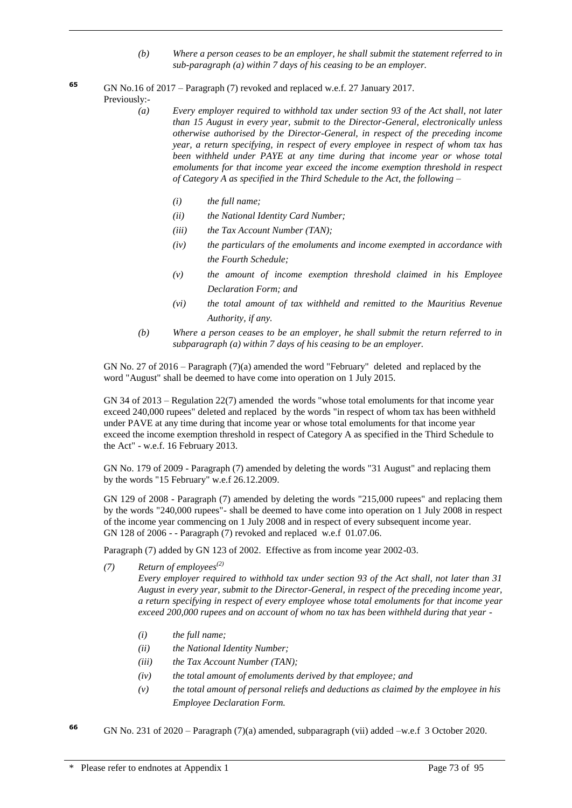- *(b) Where a person ceases to be an employer, he shall submit the statement referred to in sub-paragraph (a) within 7 days of his ceasing to be an employer.*
- **<sup>65</sup>** GN No.16 of 2017 Paragraph (7) revoked and replaced w.e.f. 27 January 2017. Previously:-
	- *(a) Every employer required to withhold tax under section 93 of the Act shall, not later than 15 August in every year, submit to the Director-General, electronically unless otherwise authorised by the Director-General, in respect of the preceding income year, a return specifying, in respect of every employee in respect of whom tax has been withheld under PAYE at any time during that income year or whose total emoluments for that income year exceed the income exemption threshold in respect of Category A as specified in the Third Schedule to the Act, the following –* 
		- *(i) the full name;*

- *(ii) the National Identity Card Number;*
- *(iii) the Tax Account Number (TAN);*
- *(iv) the particulars of the emoluments and income exempted in accordance with the Fourth Schedule;*
- *(v) the amount of income exemption threshold claimed in his Employee Declaration Form; and*
- *(vi) the total amount of tax withheld and remitted to the Mauritius Revenue Authority, if any.*
- *(b) Where a person ceases to be an employer, he shall submit the return referred to in subparagraph (a) within 7 days of his ceasing to be an employer.*

GN No. 27 of 2016 – Paragraph (7)(a) amended the word "February" deleted and replaced by the word "August" shall be deemed to have come into operation on 1 July 2015.

GN 34 of 2013 – Regulation 22(7) amended the words "whose total emoluments for that income year exceed 240,000 rupees" deleted and replaced by the words "in respect of whom tax has been withheld under PAVE at any time during that income year or whose total emoluments for that income year exceed the income exemption threshold in respect of Category A as specified in the Third Schedule to the Act" - w.e.f. 16 February 2013.

GN No. 179 of 2009 - Paragraph (7) amended by deleting the words "31 August" and replacing them by the words "15 February" w.e.f 26.12.2009.

GN 129 of 2008 - Paragraph (7) amended by deleting the words "215,000 rupees" and replacing them by the words "240,000 rupees"- shall be deemed to have come into operation on 1 July 2008 in respect of the income year commencing on 1 July 2008 and in respect of every subsequent income year. GN 128 of 2006 - - Paragraph (7) revoked and replaced w.e.f 01.07.06.

Paragraph (7) added by GN 123 of 2002. Effective as from income year 2002-03.

*(7) Return of employees(2)*

*Every employer required to withhold tax under section 93 of the Act shall, not later than 31 August in every year, submit to the Director-General, in respect of the preceding income year, a return specifying in respect of every employee whose total emoluments for that income year exceed 200,000 rupees and on account of whom no tax has been withheld during that year -*

- *(i) the full name;*
- *(ii) the National Identity Number;*
- *(iii) the Tax Account Number (TAN);*
- *(iv) the total amount of emoluments derived by that employee; and*
- *(v) the total amount of personal reliefs and deductions as claimed by the employee in his Employee Declaration Form.*
- **<sup>66</sup>** GN No. 231 of 2020 Paragraph (7)(a) amended, subparagraph (vii) added –w.e.f 3 October 2020.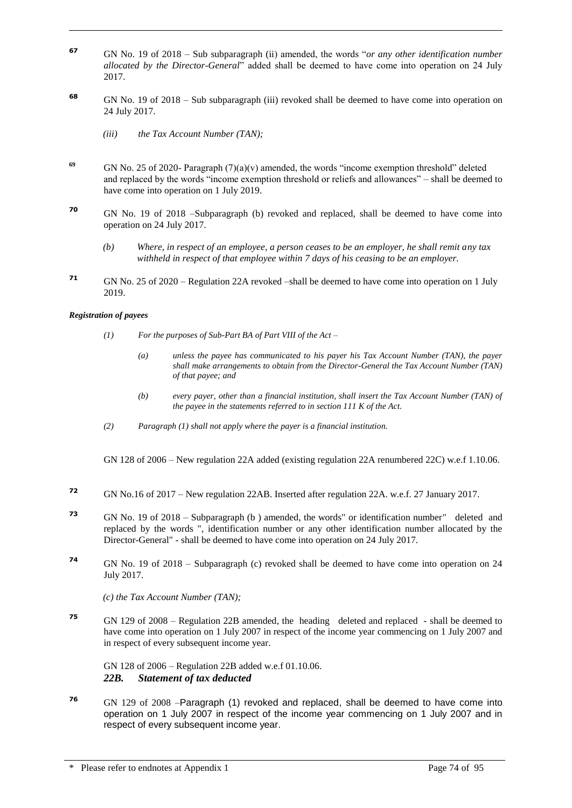- **<sup>67</sup>** GN No. 19 of 2018 Sub subparagraph (ii) amended, the words "*or any other identification number allocated by the Director-General*" added shall be deemed to have come into operation on 24 July 2017.
- **<sup>68</sup>** GN No. 19 of 2018 Sub subparagraph (iii) revoked shall be deemed to have come into operation on 24 July 2017.
	- *(iii) the Tax Account Number (TAN);*
- **<sup>69</sup>** GN No. 25 of 2020- Paragraph (7)(a)(v) amended, the words "income exemption threshold" deleted and replaced by the words "income exemption threshold or reliefs and allowances" – shall be deemed to have come into operation on 1 July 2019.
- **<sup>70</sup>** GN No. 19 of 2018 –Subparagraph (b) revoked and replaced, shall be deemed to have come into operation on 24 July 2017.
	- *(b) Where, in respect of an employee, a person ceases to be an employer, he shall remit any tax withheld in respect of that employee within 7 days of his ceasing to be an employer.*
- **<sup>71</sup>** GN No. 25 of 2020 Regulation 22A revoked –shall be deemed to have come into operation on 1 July 2019.

#### *Registration of payees*

- *(1) For the purposes of Sub-Part BA of Part VIII of the Act* 
	- *(a) unless the payee has communicated to his payer his Tax Account Number (TAN), the payer shall make arrangements to obtain from the Director-General the Tax Account Number (TAN) of that payee; and*
	- *(b) every payer, other than a financial institution, shall insert the Tax Account Number (TAN) of the payee in the statements referred to in section 111 K of the Act.*
- *(2) Paragraph (1) shall not apply where the payer is a financial institution.*
- GN 128 of 2006 New regulation 22A added (existing regulation 22A renumbered 22C) w.e.f 1.10.06.
- **<sup>72</sup>** GN No.16 of 2017 New regulation 22AB. Inserted after regulation 22A. w.e.f. 27 January 2017.
- **<sup>73</sup>** GN No. 19 of 2018 Subparagraph (b ) amended, the words" or identification number" deleted and replaced by the words ", identification number or any other identification number allocated by the Director-General" - shall be deemed to have come into operation on 24 July 2017.
- **<sup>74</sup>** GN No. 19 of 2018 Subparagraph (c) revoked shall be deemed to have come into operation on 24 July 2017.

*(c) the Tax Account Number (TAN);* 

**<sup>75</sup>** GN 129 of 2008 – Regulation 22B amended, the heading deleted and replaced - shall be deemed to have come into operation on 1 July 2007 in respect of the income year commencing on 1 July 2007 and in respect of every subsequent income year.

GN 128 of 2006 – Regulation 22B added w.e.f 01.10.06. *22B. Statement of tax deducted* 

**<sup>76</sup>** GN 129 of 2008 –Paragraph (1) revoked and replaced, shall be deemed to have come into operation on 1 July 2007 in respect of the income year commencing on 1 July 2007 and in respect of every subsequent income year.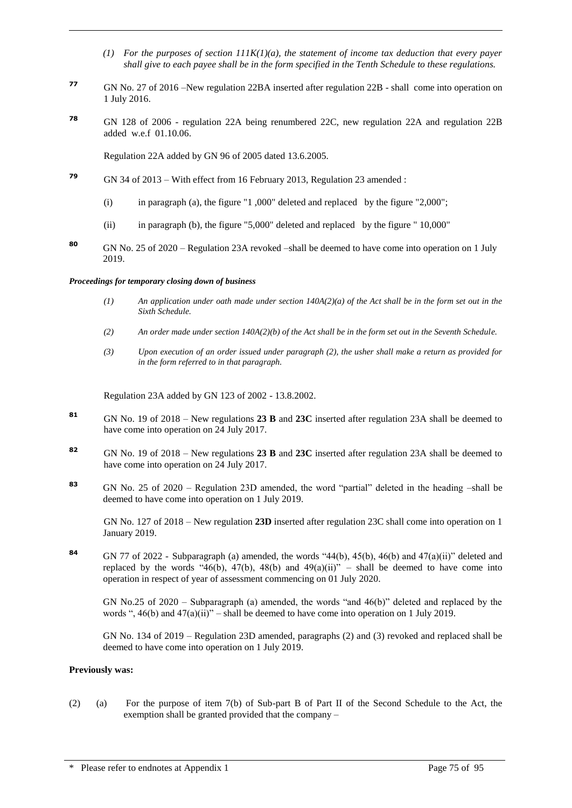- *(1) For the purposes of section 111K(1)(a), the statement of income tax deduction that every payer shall give to each payee shall be in the form specified in the Tenth Schedule to these regulations.*
- **<sup>77</sup>** GN No. 27 of 2016 –New regulation 22BA inserted after regulation 22B shall come into operation on 1 July 2016.
- **<sup>78</sup>** GN 128 of 2006 regulation 22A being renumbered 22C, new regulation 22A and regulation 22B added w.e.f 01.10.06.

Regulation 22A added by GN 96 of 2005 dated 13.6.2005.

- **<sup>79</sup>** GN 34 of 2013 With effect from 16 February 2013, Regulation 23 amended :
	- (i) in paragraph (a), the figure "1 ,000" deleted and replaced by the figure "2,000";
	- (ii) in paragraph (b), the figure "5,000" deleted and replaced by the figure " 10,000"
- **<sup>80</sup>** GN No. 25 of 2020 Regulation 23A revoked –shall be deemed to have come into operation on 1 July 2019.

#### *Proceedings for temporary closing down of business*

- *(1) An application under oath made under section 140A(2)(a) of the Act shall be in the form set out in the Sixth Schedule.*
- *(2) An order made under section 140A(2)(b) of the Act shall be in the form set out in the Seventh Schedule.*
- *(3) Upon execution of an order issued under paragraph (2), the usher shall make a return as provided for in the form referred to in that paragraph.*

Regulation 23A added by GN 123 of 2002 - 13.8.2002.

- **<sup>81</sup>** GN No. 19 of 2018 New regulations **23 B** and **23C** inserted after regulation 23A shall be deemed to have come into operation on 24 July 2017.
- **<sup>82</sup>** GN No. 19 of 2018 New regulations **23 B** and **23C** inserted after regulation 23A shall be deemed to have come into operation on 24 July 2017.
- **<sup>83</sup>** GN No. 25 of 2020 Regulation 23D amended, the word "partial" deleted in the heading –shall be deemed to have come into operation on 1 July 2019.

GN No. 127 of 2018 – New regulation **23D** inserted after regulation 23C shall come into operation on 1 January 2019.

**<sup>84</sup>** GN 77 of 2022 - Subparagraph (a) amended, the words "44(b), 45(b), 46(b) and 47(a)(ii)" deleted and replaced by the words "46(b), 47(b), 48(b) and 49(a)(ii)" – shall be deemed to have come into operation in respect of year of assessment commencing on 01 July 2020.

GN No.25 of 2020 – Subparagraph (a) amended, the words "and 46(b)" deleted and replaced by the words ", 46(b) and 47(a)(ii)" – shall be deemed to have come into operation on 1 July 2019.

GN No. 134 of 2019 – Regulation 23D amended, paragraphs (2) and (3) revoked and replaced shall be deemed to have come into operation on 1 July 2019.

#### **Previously was:**

(2) (a) For the purpose of item 7(b) of Sub-part B of Part II of the Second Schedule to the Act, the exemption shall be granted provided that the company –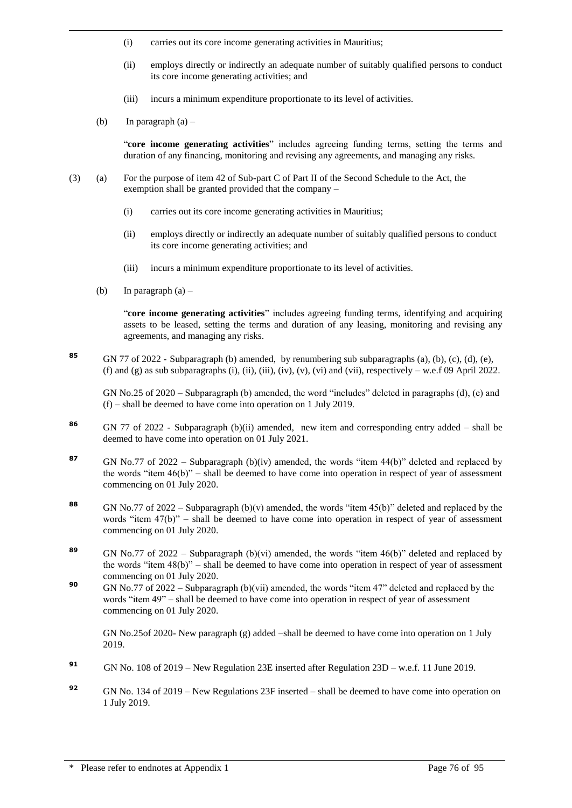- (i) carries out its core income generating activities in Mauritius;
- (ii) employs directly or indirectly an adequate number of suitably qualified persons to conduct its core income generating activities; and
- (iii) incurs a minimum expenditure proportionate to its level of activities.
- (b) In paragraph  $(a)$  –

"**core income generating activities**" includes agreeing funding terms, setting the terms and duration of any financing, monitoring and revising any agreements, and managing any risks.

- (3) (a) For the purpose of item 42 of Sub-part C of Part II of the Second Schedule to the Act, the exemption shall be granted provided that the company –
	- (i) carries out its core income generating activities in Mauritius;
	- (ii) employs directly or indirectly an adequate number of suitably qualified persons to conduct its core income generating activities; and
	- (iii) incurs a minimum expenditure proportionate to its level of activities.
	- (b) In paragraph  $(a)$  –

"**core income generating activities**" includes agreeing funding terms, identifying and acquiring assets to be leased, setting the terms and duration of any leasing, monitoring and revising any agreements, and managing any risks.

**<sup>85</sup>** GN 77 of 2022 - Subparagraph (b) amended, by renumbering sub subparagraphs (a), (b), (c), (d), (e), (f) and (g) as sub subparagraphs (i), (ii), (iii), (iv), (v), (vi) and (vii), respectively  $-$  w.e.f 09 April 2022.

GN No.25 of 2020 – Subparagraph (b) amended, the word "includes" deleted in paragraphs (d), (e) and (f) – shall be deemed to have come into operation on 1 July 2019.

- **<sup>86</sup>** GN 77 of 2022 Subparagraph (b)(ii) amended, new item and corresponding entry added shall be deemed to have come into operation on 01 July 2021.
- 87 GN No.77 of 2022 Subparagraph (b)(iv) amended, the words "item 44(b)" deleted and replaced by the words "item 46(b)" – shall be deemed to have come into operation in respect of year of assessment commencing on 01 July 2020.
- **<sup>88</sup>** GN No.77 of 2022 Subparagraph (b)(v) amended, the words "item 45(b)" deleted and replaced by the words "item  $47(b)$ " – shall be deemed to have come into operation in respect of year of assessment commencing on 01 July 2020.
- **<sup>89</sup>** GN No.77 of 2022 Subparagraph (b)(vi) amended, the words "item 46(b)" deleted and replaced by the words "item 48(b)" – shall be deemed to have come into operation in respect of year of assessment commencing on 01 July 2020.
- **<sup>90</sup>** GN No.77 of 2022 Subparagraph (b)(vii) amended, the words "item 47" deleted and replaced by the words "item 49" – shall be deemed to have come into operation in respect of year of assessment commencing on 01 July 2020.

GN No.25of 2020- New paragraph (g) added –shall be deemed to have come into operation on 1 July 2019.

- **<sup>91</sup>** GN No. 108 of 2019 New Regulation 23E inserted after Regulation 23D w.e.f. 11 June 2019.
- **<sup>92</sup>** GN No. 134 of 2019 New Regulations 23F inserted shall be deemed to have come into operation on 1 July 2019.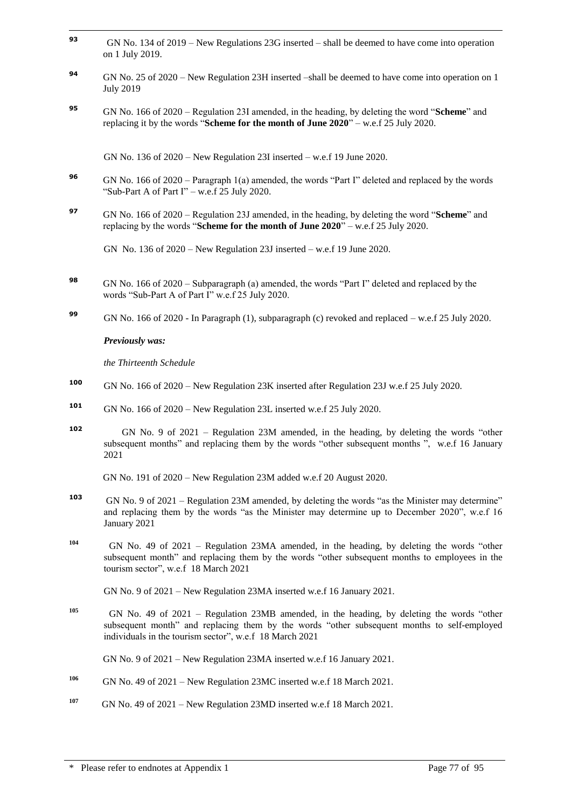- **93** GN No. 134 of 2019 – New Regulations 23G inserted – shall be deemed to have come into operation on 1 July 2019.
- **<sup>94</sup>** GN No. 25 of 2020 New Regulation 23H inserted –shall be deemed to have come into operation on 1 July 2019
- **<sup>95</sup>** GN No. 166 of 2020 Regulation 23I amended, in the heading, by deleting the word "**Scheme**" and replacing it by the words "**Scheme for the month of June 2020**" – w.e.f 25 July 2020.

GN No. 136 of 2020 – New Regulation 23I inserted – w.e.f 19 June 2020.

- **<sup>96</sup>** GN No. 166 of 2020 Paragraph 1(a) amended, the words "Part I" deleted and replaced by the words "Sub-Part A of Part I" – w.e.f 25 July 2020.
- **<sup>97</sup>** GN No. 166 of 2020 Regulation 23J amended, in the heading, by deleting the word "**Scheme**" and replacing by the words "**Scheme for the month of June 2020**" – w.e.f 25 July 2020.

GN No. 136 of 2020 – New Regulation 23J inserted – w.e.f 19 June 2020.

- **<sup>98</sup>** GN No. 166 of 2020 Subparagraph (a) amended, the words "Part I" deleted and replaced by the words "Sub-Part A of Part I" w.e.f 25 July 2020.
- **<sup>99</sup>** GN No. 166 of 2020 In Paragraph (1), subparagraph (c) revoked and replaced w.e.f 25 July 2020.

*Previously was:*

*the Thirteenth Schedule*

- **<sup>100</sup>** GN No. 166 of 2020 New Regulation 23K inserted after Regulation 23J w.e.f 25 July 2020.
- **<sup>101</sup>** GN No. 166 of 2020 New Regulation 23L inserted w.e.f 25 July 2020.
- **102** GN No. 9 of 2021 – Regulation 23M amended, in the heading, by deleting the words "other subsequent months" and replacing them by the words "other subsequent months ", w.e.f 16 January 2021

GN No. 191 of 2020 – New Regulation 23M added w.e.f 20 August 2020.

- **103** GN No. 9 of 2021 – Regulation 23M amended, by deleting the words "as the Minister may determine" and replacing them by the words "as the Minister may determine up to December 2020", w.e.f 16 January 2021
- **104** GN No. 49 of 2021 – Regulation 23MA amended, in the heading, by deleting the words "other subsequent month" and replacing them by the words "other subsequent months to employees in the tourism sector", w.e.f 18 March 2021

GN No. 9 of 2021 – New Regulation 23MA inserted w.e.f 16 January 2021.

**105** GN No. 49 of 2021 – Regulation 23MB amended, in the heading, by deleting the words "other subsequent month" and replacing them by the words "other subsequent months to self-employed individuals in the tourism sector", w.e.f 18 March 2021

GN No. 9 of 2021 – New Regulation 23MA inserted w.e.f 16 January 2021.

- **106** GN No. 49 of 2021 – New Regulation 23MC inserted w.e.f 18 March 2021.
- **107** GN No. 49 of 2021 – New Regulation 23MD inserted w.e.f 18 March 2021.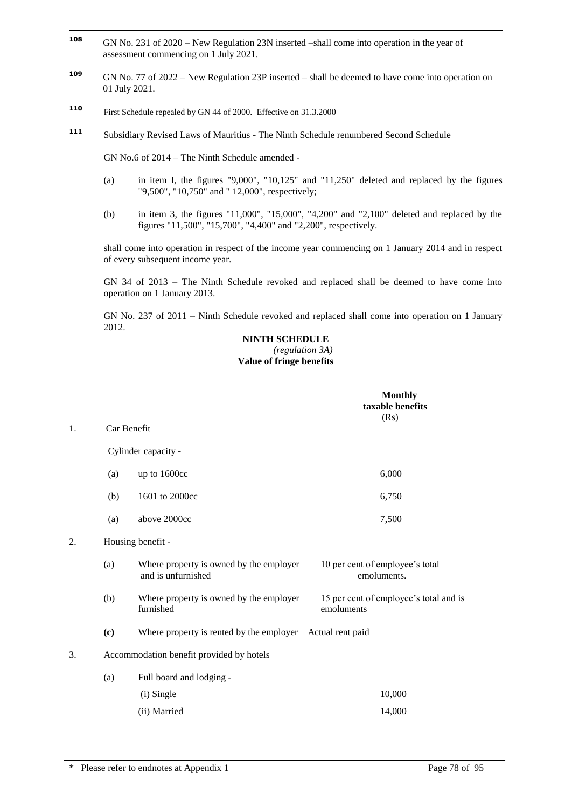- **108 <sup>108</sup>** GN No. 231 of 2020 – New Regulation 23N inserted –shall come into operation in the year of assessment commencing on 1 July 2021.
- **<sup>109</sup>** GN No. 77 of 2022 New Regulation 23P inserted shall be deemed to have come into operation on 01 July 2021.
- **<sup>110</sup>** First Schedule repealed by GN 44 of 2000. Effective on 31.3.2000
- **<sup>111</sup>** Subsidiary Revised Laws of Mauritius The Ninth Schedule renumbered Second Schedule

GN No.6 of 2014 – The Ninth Schedule amended -

- (a) in item I, the figures "9,000", "10,125" and "11,250" deleted and replaced by the figures "9,500", "10,750" and " 12,000", respectively;
- (b) in item 3, the figures "11,000", "15,000", "4,200" and "2,100" deleted and replaced by the figures "11,500", "15,700", "4,400" and "2,200", respectively.

shall come into operation in respect of the income year commencing on 1 January 2014 and in respect of every subsequent income year.

GN 34 of 2013 – The Ninth Schedule revoked and replaced shall be deemed to have come into operation on 1 January 2013.

GN No. 237 of 2011 – Ninth Schedule revoked and replaced shall come into operation on 1 January 2012.

#### **NINTH SCHEDULE** *(regulation 3A)* **Value of fringe benefits**

|    |             |                                                               | <b>Monthly</b><br>taxable benefits<br>(Rs)           |
|----|-------------|---------------------------------------------------------------|------------------------------------------------------|
| 1. | Car Benefit |                                                               |                                                      |
|    |             | Cylinder capacity -                                           |                                                      |
|    | (a)         | up to 1600cc                                                  | 6,000                                                |
|    | (b)         | 1601 to 2000cc                                                | 6,750                                                |
|    | (a)         | above 2000cc                                                  | 7,500                                                |
| 2. |             | Housing benefit -                                             |                                                      |
|    | (a)         | Where property is owned by the employer<br>and is unfurnished | 10 per cent of employee's total<br>emoluments.       |
|    | (b)         | Where property is owned by the employer<br>furnished          | 15 per cent of employee's total and is<br>emoluments |
|    | (c)         | Where property is rented by the employer                      | Actual rent paid                                     |
| 3. |             | Accommodation benefit provided by hotels                      |                                                      |
|    | (a)         | Full board and lodging -                                      |                                                      |
|    |             | (i) Single                                                    | 10,000                                               |
|    |             | (ii) Married                                                  | 14,000                                               |
|    |             |                                                               |                                                      |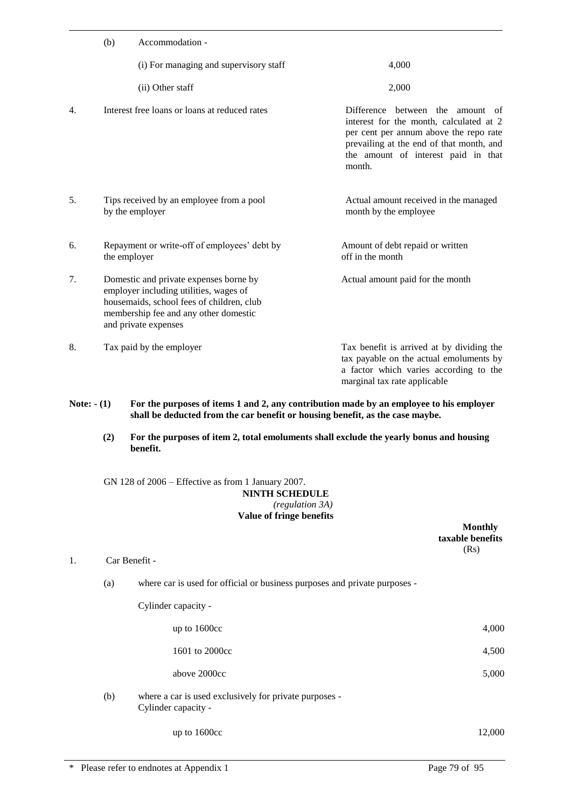|    | (b) | Accommodation -                                                                                                                                                                                |                                                                                                                                                                                                                            |
|----|-----|------------------------------------------------------------------------------------------------------------------------------------------------------------------------------------------------|----------------------------------------------------------------------------------------------------------------------------------------------------------------------------------------------------------------------------|
|    |     | (i) For managing and supervisory staff                                                                                                                                                         | 4,000                                                                                                                                                                                                                      |
|    |     | (ii) Other staff                                                                                                                                                                               | 2,000                                                                                                                                                                                                                      |
| 4. |     | Interest free loans or loans at reduced rates                                                                                                                                                  | Difference between the<br>amount<br>- of<br>interest for the month, calculated at 2<br>per cent per annum above the repo rate<br>prevailing at the end of that month, and<br>the amount of interest paid in that<br>month. |
| 5. |     | Tips received by an employee from a pool<br>by the employer                                                                                                                                    | Actual amount received in the managed<br>month by the employee                                                                                                                                                             |
| 6. |     | Repayment or write-off of employees' debt by<br>the employer                                                                                                                                   | Amount of debt repaid or written<br>off in the month                                                                                                                                                                       |
| 7. |     | Domestic and private expenses borne by<br>employer including utilities, wages of<br>housemaids, school fees of children, club<br>membership fee and any other domestic<br>and private expenses | Actual amount paid for the month                                                                                                                                                                                           |
| 8. |     | Tax paid by the employer                                                                                                                                                                       | Tax benefit is arrived at by dividing the<br>tax payable on the actual emoluments by<br>a factor which varies according to the<br>marginal tax rate applicable                                                             |

- Note:  $\cdot$  **(1)** For the purposes of items 1 and 2, any contribution made by an employee to his employer **shall be deducted from the car benefit or housing benefit, as the case maybe.**
	- **(2) For the purposes of item 2, total emoluments shall exclude the yearly bonus and housing benefit.**

GN 128 of 2006 – Effective as from 1 January 2007.

## **NINTH SCHEDULE**

#### *(regulation 3A)* **Value of fringe benefits**

|    |     |                                                                               | <b>Monthly</b><br>taxable benefits<br>(Rs) |
|----|-----|-------------------------------------------------------------------------------|--------------------------------------------|
| 1. |     | Car Benefit -                                                                 |                                            |
|    | (a) | where car is used for official or business purposes and private purposes -    |                                            |
|    |     | Cylinder capacity -                                                           |                                            |
|    |     | up to 1600cc                                                                  | 4,000                                      |
|    |     | 1601 to 2000cc                                                                | 4,500                                      |
|    |     | above 2000cc                                                                  | 5,000                                      |
|    | (b) | where a car is used exclusively for private purposes -<br>Cylinder capacity - |                                            |
|    |     | up to 1600cc                                                                  | 12,000                                     |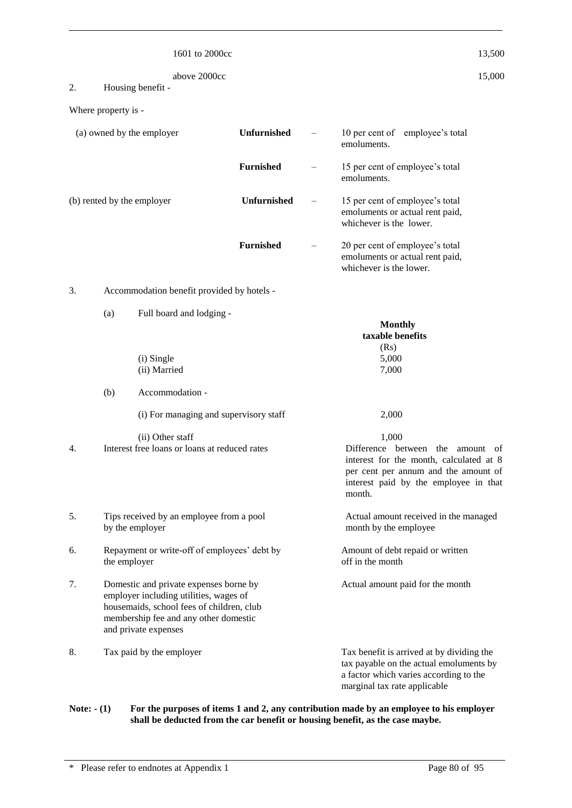|                     |                 | 1601 to 2000cc                                                                                                                                                                                 |                  | 13,500                                                                                                                                                                               |
|---------------------|-----------------|------------------------------------------------------------------------------------------------------------------------------------------------------------------------------------------------|------------------|--------------------------------------------------------------------------------------------------------------------------------------------------------------------------------------|
| 2.                  |                 | above 2000cc<br>Housing benefit -                                                                                                                                                              |                  | 15,000                                                                                                                                                                               |
| Where property is - |                 |                                                                                                                                                                                                |                  |                                                                                                                                                                                      |
|                     |                 | (a) owned by the employer                                                                                                                                                                      | Unfurnished      | 10 per cent of employee's total<br>emoluments.                                                                                                                                       |
|                     |                 |                                                                                                                                                                                                | <b>Furnished</b> | 15 per cent of employee's total<br>emoluments.                                                                                                                                       |
|                     |                 | (b) rented by the employer                                                                                                                                                                     | Unfurnished      | 15 per cent of employee's total<br>emoluments or actual rent paid,<br>whichever is the lower.                                                                                        |
|                     |                 |                                                                                                                                                                                                | <b>Furnished</b> | 20 per cent of employee's total<br>emoluments or actual rent paid,<br>whichever is the lower.                                                                                        |
| 3.                  |                 | Accommodation benefit provided by hotels -                                                                                                                                                     |                  |                                                                                                                                                                                      |
|                     | (a)             | Full board and lodging -<br>(i) Single<br>(ii) Married                                                                                                                                         |                  | <b>Monthly</b><br>taxable benefits<br>(Rs)<br>5,000<br>7,000                                                                                                                         |
|                     | (b)             | Accommodation -                                                                                                                                                                                |                  |                                                                                                                                                                                      |
|                     |                 | (i) For managing and supervisory staff                                                                                                                                                         |                  | 2,000                                                                                                                                                                                |
| 4.                  |                 | (ii) Other staff<br>Interest free loans or loans at reduced rates                                                                                                                              |                  | 1,000<br>Difference between the amount<br>- of<br>interest for the month, calculated at 8<br>per cent per annum and the amount of<br>interest paid by the employee in that<br>month. |
| 5.                  | by the employer | Tips received by an employee from a pool                                                                                                                                                       |                  | Actual amount received in the managed<br>month by the employee                                                                                                                       |
| 6.                  | the employer    | Repayment or write-off of employees' debt by                                                                                                                                                   |                  | Amount of debt repaid or written<br>off in the month                                                                                                                                 |
| 7.                  |                 | Domestic and private expenses borne by<br>employer including utilities, wages of<br>housemaids, school fees of children, club<br>membership fee and any other domestic<br>and private expenses |                  | Actual amount paid for the month                                                                                                                                                     |
| 8.                  |                 | Tax paid by the employer                                                                                                                                                                       |                  | Tax benefit is arrived at by dividing the<br>tax payable on the actual emoluments by<br>a factor which varies according to the<br>marginal tax rate applicable                       |

Note:  $\cdot$  **(1)** For the purposes of items 1 and 2, any contribution made by an employee to his employer **shall be deducted from the car benefit or housing benefit, as the case maybe.**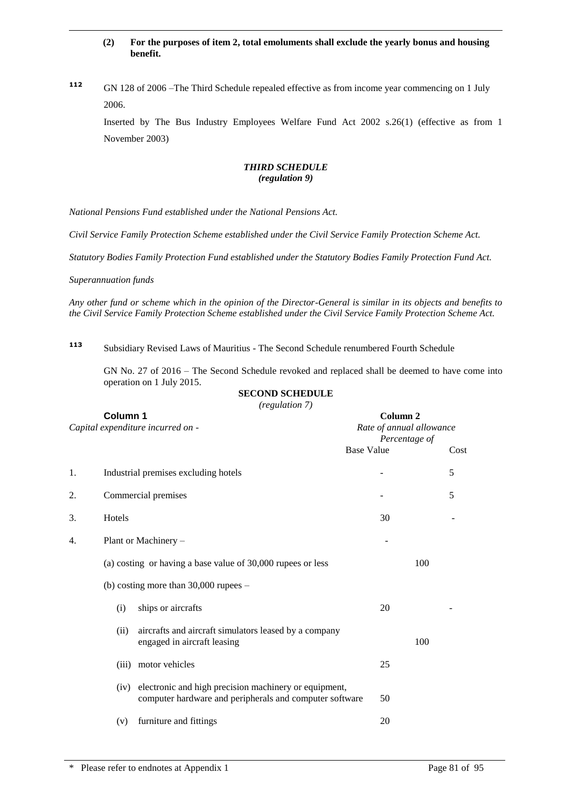#### **(2) For the purposes of item 2, total emoluments shall exclude the yearly bonus and housing benefit.**

**<sup>112</sup>** GN 128 of 2006 –The Third Schedule repealed effective as from income year commencing on 1 July 2006.

Inserted by The Bus Industry Employees Welfare Fund Act 2002 s.26(1) (effective as from 1 November 2003)

#### *THIRD SCHEDULE (regulation 9)*

*National Pensions Fund established under the National Pensions Act.*

*Civil Service Family Protection Scheme established under the Civil Service Family Protection Scheme Act.*

*Statutory Bodies Family Protection Fund established under the Statutory Bodies Family Protection Fund Act.*

*Superannuation funds*

*Any other fund or scheme which in the opinion of the Director-General is similar in its objects and benefits to the Civil Service Family Protection Scheme established under the Civil Service Family Protection Scheme Act.*

**<sup>113</sup>** Subsidiary Revised Laws of Mauritius - The Second Schedule renumbered Fourth Schedule

GN No. 27 of 2016 – The Second Schedule revoked and replaced shall be deemed to have come into operation on 1 July 2015.

#### **SECOND SCHEDULE**

*(regulation 7)*

| Column 1<br>Capital expenditure incurred on - |        | Column <sub>2</sub><br>Rate of annual allowance<br>Percentage of                                                 |                   |      |
|-----------------------------------------------|--------|------------------------------------------------------------------------------------------------------------------|-------------------|------|
|                                               |        |                                                                                                                  | <b>Base Value</b> | Cost |
| 1.                                            |        | Industrial premises excluding hotels                                                                             |                   | 5    |
| 2.                                            |        | Commercial premises                                                                                              |                   | 5    |
| 3.                                            | Hotels |                                                                                                                  | 30                |      |
| 4.                                            |        | Plant or Machinery -                                                                                             |                   |      |
|                                               |        | (a) costing or having a base value of 30,000 rupees or less                                                      | 100               |      |
|                                               |        | (b) costing more than $30,000$ rupees $-$                                                                        |                   |      |
|                                               | (i)    | ships or aircrafts                                                                                               | 20                |      |
|                                               | (ii)   | aircrafts and aircraft simulators leased by a company<br>engaged in aircraft leasing                             | 100               |      |
|                                               | (iii)  | motor vehicles                                                                                                   | 25                |      |
|                                               | (iv)   | electronic and high precision machinery or equipment,<br>computer hardware and peripherals and computer software | 50                |      |
|                                               | (v)    | furniture and fittings                                                                                           | 20                |      |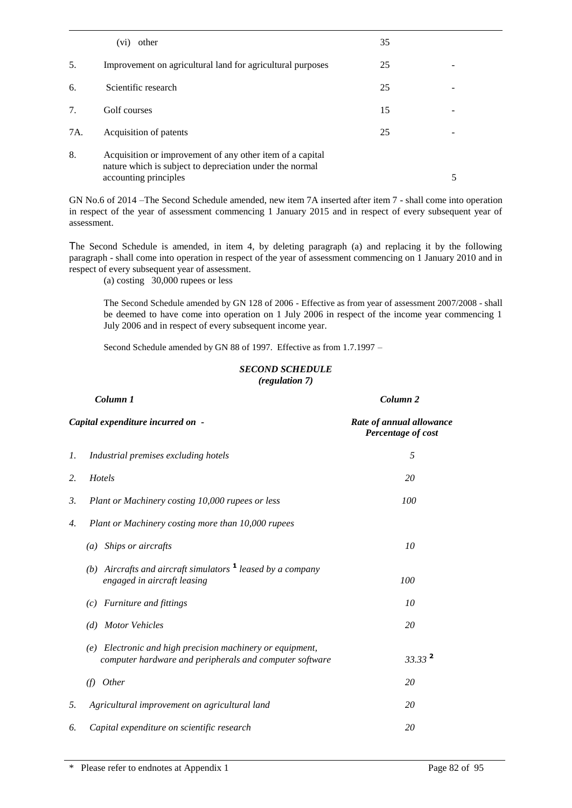|     | (vi)<br>other                                                                                                         | 35 |   |  |
|-----|-----------------------------------------------------------------------------------------------------------------------|----|---|--|
| .5. | Improvement on agricultural land for agricultural purposes                                                            | 25 | - |  |
| 6.  | Scientific research                                                                                                   | 25 |   |  |
| 7.  | Golf courses                                                                                                          | 15 |   |  |
| 7A. | Acquisition of patents                                                                                                | 25 |   |  |
| 8.  | Acquisition or improvement of any other item of a capital<br>nature which is subject to depreciation under the normal |    |   |  |
|     | accounting principles                                                                                                 |    | 5 |  |
|     |                                                                                                                       |    |   |  |

GN No.6 of 2014 –The Second Schedule amended, new item 7A inserted after item 7 - shall come into operation in respect of the year of assessment commencing 1 January 2015 and in respect of every subsequent year of assessment.

The Second Schedule is amended, in item 4, by deleting paragraph (a) and replacing it by the following paragraph - shall come into operation in respect of the year of assessment commencing on 1 January 2010 and in respect of every subsequent year of assessment.

(a) costing 30,000 rupees or less

The Second Schedule amended by GN 128 of 2006 - Effective as from year of assessment 2007/2008 - shall be deemed to have come into operation on 1 July 2006 in respect of the income year commencing 1 July 2006 and in respect of every subsequent income year.

Second Schedule amended by GN 88 of 1997. Effective as from 1.7.1997 –

#### *SECOND SCHEDULE (regulation 7)*

|    | Column 1                                                                                                             | Column <sub>2</sub>                            |
|----|----------------------------------------------------------------------------------------------------------------------|------------------------------------------------|
|    | Capital expenditure incurred on -                                                                                    | Rate of annual allowance<br>Percentage of cost |
| 1. | Industrial premises excluding hotels                                                                                 | 5                                              |
| 2. | Hotels                                                                                                               | 20                                             |
| 3. | Plant or Machinery costing 10,000 rupees or less                                                                     | 100                                            |
| 4. | Plant or Machinery costing more than 10,000 rupees                                                                   |                                                |
|    | (a) Ships or aircrafts                                                                                               | 10                                             |
|    | (b) Aircrafts and aircraft simulators $\mathbf{1}$ leased by a company<br>engaged in aircraft leasing                | 100                                            |
|    | $(c)$ Furniture and fittings                                                                                         | 10                                             |
|    | (d) Motor Vehicles                                                                                                   | 20                                             |
|    | (e) Electronic and high precision machinery or equipment,<br>computer hardware and peripherals and computer software | $33.33^2$                                      |
|    | <i>Other</i><br>(f)                                                                                                  | 20                                             |
| 5. | Agricultural improvement on agricultural land                                                                        | 20                                             |
| 6. | Capital expenditure on scientific research                                                                           | 20                                             |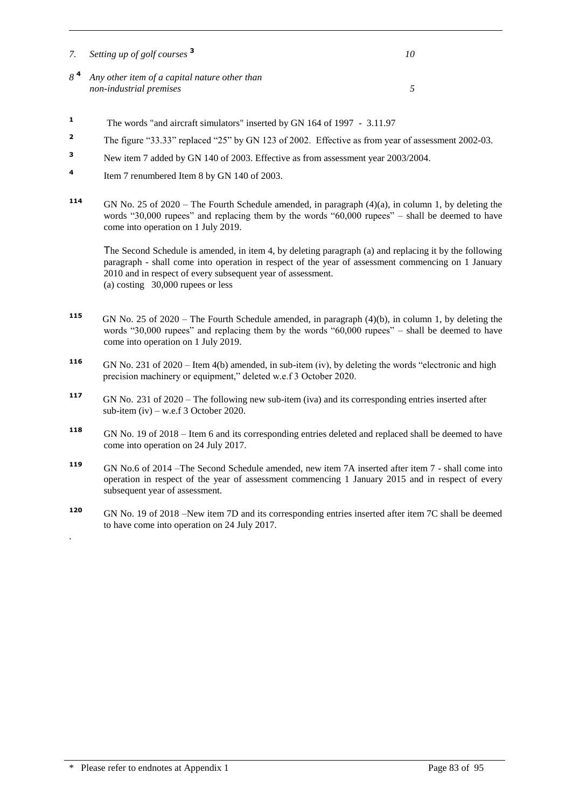- *7. Setting up of golf courses* **<sup>3</sup>** *10 8* **<sup>4</sup>** *Any other item of a capital nature other than non-industrial premises 5*
- <sup>1</sup> The words "and aircraft simulators" inserted by GN 164 of 1997 3.11.97
- <sup>2</sup> The figure "33.33" replaced "25" by GN 123 of 2002. Effective as from year of assessment 2002-03.
- **<sup>3</sup>** New item 7 added by GN 140 of 2003. Effective as from assessment year 2003/2004.
- **4** Item 7 renumbered Item 8 by GN 140 of 2003.
- **<sup>114</sup>** GN No. 25 of 2020 The Fourth Schedule amended, in paragraph (4)(a), in column 1, by deleting the words "30,000 rupees" and replacing them by the words "60,000 rupees" – shall be deemed to have come into operation on 1 July 2019.

The Second Schedule is amended, in item 4, by deleting paragraph (a) and replacing it by the following paragraph - shall come into operation in respect of the year of assessment commencing on 1 January 2010 and in respect of every subsequent year of assessment. (a) costing 30,000 rupees or less

- **115**  GN No. 25 of 2020 – The Fourth Schedule amended, in paragraph (4)(b), in column 1, by deleting the words "30,000 rupees" and replacing them by the words "60,000 rupees" – shall be deemed to have come into operation on 1 July 2019.
- **116** GN No. 231 of 2020 Item 4(b) amended, in sub-item (iv), by deleting the words "electronic and high precision machinery or equipment," deleted w.e.f 3 October 2020.
- **<sup>117</sup>** GN No. 231 of 2020 The following new sub-item (iva) and its corresponding entries inserted after sub-item (iv) – w.e.f 3 October 2020.
- **<sup>118</sup>** GN No. 19 of 2018 Item 6 and its corresponding entries deleted and replaced shall be deemed to have come into operation on 24 July 2017.
- **<sup>119</sup>** GN No.6 of 2014 –The Second Schedule amended, new item 7A inserted after item 7 shall come into operation in respect of the year of assessment commencing 1 January 2015 and in respect of every subsequent year of assessment.
- **<sup>120</sup>** GN No. 19 of 2018 –New item 7D and its corresponding entries inserted after item 7C shall be deemed to have come into operation on 24 July 2017.

.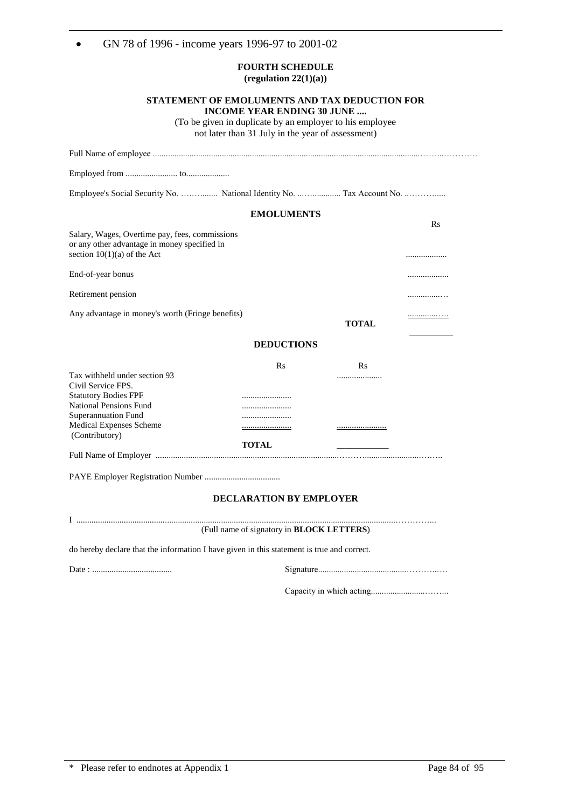| GN 78 of 1996 - income years 1996-97 to 2001-02                                                                                                                                                |                                                                                        |                                                                                                           |                     |
|------------------------------------------------------------------------------------------------------------------------------------------------------------------------------------------------|----------------------------------------------------------------------------------------|-----------------------------------------------------------------------------------------------------------|---------------------|
|                                                                                                                                                                                                | <b>FOURTH SCHEDULE</b><br>(regulation $22(1)(a)$ )                                     |                                                                                                           |                     |
|                                                                                                                                                                                                | <b>INCOME YEAR ENDING 30 JUNE</b><br>not later than 31 July in the year of assessment) | STATEMENT OF EMOLUMENTS AND TAX DEDUCTION FOR<br>(To be given in duplicate by an employer to his employee |                     |
|                                                                                                                                                                                                |                                                                                        |                                                                                                           |                     |
|                                                                                                                                                                                                |                                                                                        |                                                                                                           |                     |
| Employee's Social Security No.  National Identity No.  Tax Account No.                                                                                                                         |                                                                                        |                                                                                                           |                     |
|                                                                                                                                                                                                | <b>EMOLUMENTS</b>                                                                      |                                                                                                           |                     |
| Salary, Wages, Overtime pay, fees, commissions<br>or any other advantage in money specified in<br>section $10(1)(a)$ of the Act                                                                |                                                                                        |                                                                                                           | R <sub>S</sub><br>. |
| End-of-year bonus                                                                                                                                                                              |                                                                                        |                                                                                                           |                     |
| Retirement pension                                                                                                                                                                             |                                                                                        |                                                                                                           | .                   |
| Any advantage in money's worth (Fringe benefits)                                                                                                                                               |                                                                                        | <b>TOTAL</b>                                                                                              | .                   |
|                                                                                                                                                                                                | <b>DEDUCTIONS</b>                                                                      |                                                                                                           |                     |
| Tax withheld under section 93<br>Civil Service FPS.<br><b>Statutory Bodies FPF</b><br><b>National Pensions Fund</b><br><b>Superannuation Fund</b><br>Medical Expenses Scheme<br>(Contributory) | Rs<br><br><u></u><br><b>TOTAL</b>                                                      | $\rm Rs$<br><br><u></u>                                                                                   |                     |
|                                                                                                                                                                                                |                                                                                        |                                                                                                           |                     |
|                                                                                                                                                                                                | <b>DECLARATION BY EMPLOYER</b><br>(Full name of signatory in <b>BLOCK LETTERS</b> )    |                                                                                                           |                     |

do hereby declare that the information I have given in this statement is true and correct.

Date : ..................................... Signature.........................................………..….

Capacity in which acting.........................……...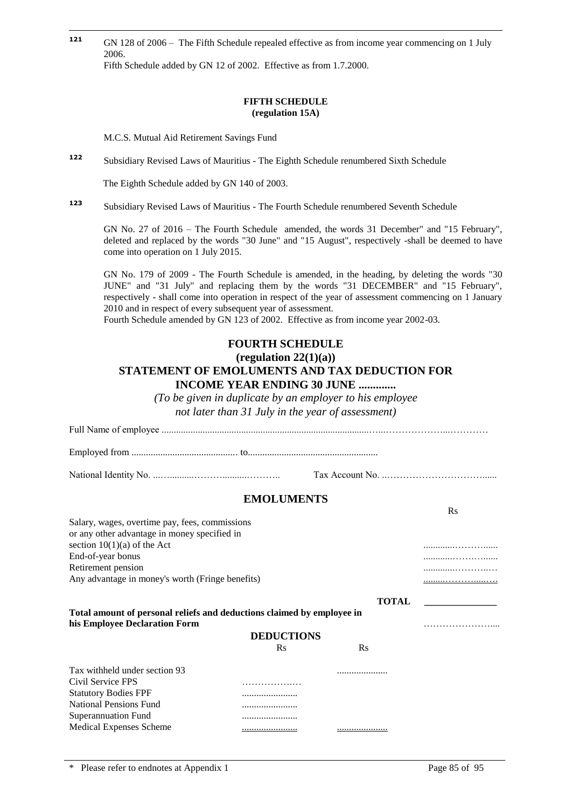**121 <sup>121</sup>** GN 128 of 2006 – The Fifth Schedule repealed effective as from income year commencing on 1 July 2006. Fifth Schedule added by GN 12 of 2002. Effective as from 1.7.2000.

#### **FIFTH SCHEDULE (regulation 15A)**

M.C.S. Mutual Aid Retirement Savings Fund

**<sup>122</sup>** Subsidiary Revised Laws of Mauritius - The Eighth Schedule renumbered Sixth Schedule

The Eighth Schedule added by GN 140 of 2003.

**<sup>123</sup>** Subsidiary Revised Laws of Mauritius - The Fourth Schedule renumbered Seventh Schedule

GN No. 27 of 2016 – The Fourth Schedule amended, the words 31 December" and "15 February", deleted and replaced by the words "30 June" and "15 August", respectively -shall be deemed to have come into operation on 1 July 2015.

GN No. 179 of 2009 - The Fourth Schedule is amended, in the heading, by deleting the words "30 JUNE" and "31 July" and replacing them by the words "31 DECEMBER" and "15 February", respectively - shall come into operation in respect of the year of assessment commencing on 1 January 2010 and in respect of every subsequent year of assessment.

Fourth Schedule amended by GN 123 of 2002. Effective as from income year 2002-03.

### **FOURTH SCHEDULE (regulation 22(1)(a))**

## **STATEMENT OF EMOLUMENTS AND TAX DEDUCTION FOR INCOME YEAR ENDING 30 JUNE .............**

*(To be given in duplicate by an employer to his employee not later than 31 July in the year of assessment)*

Full Name of employee ......................................................................................…...………………...…………

Employed from ............................................ to......................................................

National Identity No. ...…..........………..........……….. Tax Account No. ..…………………………......

## **EMOLUMENTS**

| Salary, wages, overtime pay, fees, commissions<br>or any other advantage in money specified in          |                   |              |   |
|---------------------------------------------------------------------------------------------------------|-------------------|--------------|---|
| section $10(1)(a)$ of the Act                                                                           |                   |              |   |
| End-of-year bonus                                                                                       |                   |              |   |
| Retirement pension                                                                                      |                   |              |   |
| Any advantage in money's worth (Fringe benefits)                                                        |                   |              |   |
|                                                                                                         |                   | <b>TOTAL</b> |   |
| Total amount of personal reliefs and deductions claimed by employee in<br>his Employee Declaration Form |                   |              | . |
|                                                                                                         | <b>DEDUCTIONS</b> |              |   |
|                                                                                                         | R <sub>S</sub>    | $\rm Rs$     |   |
| Tax withheld under section 93                                                                           |                   |              |   |
| Civil Service FPS                                                                                       |                   |              |   |
| <b>Statutory Bodies FPF</b>                                                                             |                   |              |   |
| <b>National Pensions Fund</b>                                                                           |                   |              |   |
| Superannuation Fund                                                                                     |                   |              |   |
| Medical Expenses Scheme                                                                                 |                   |              |   |

 $\mathbf{p}_c$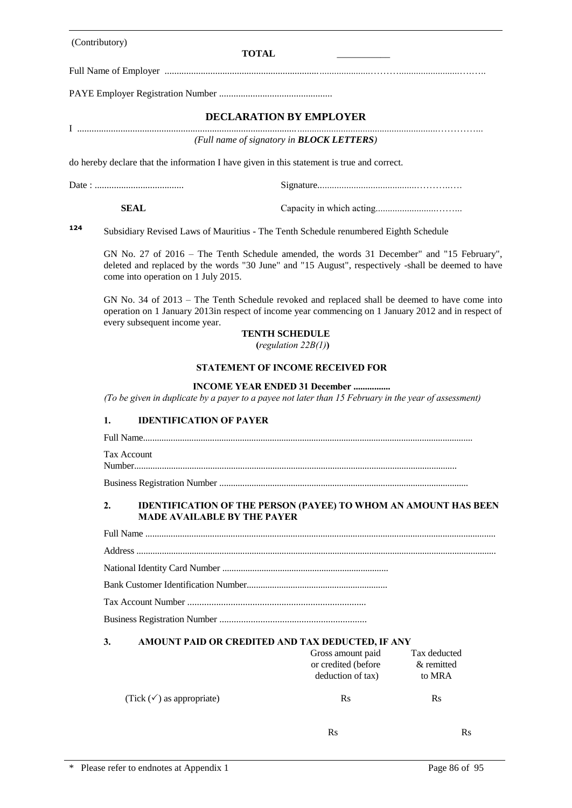|     | (Contributory) | <b>TOTAL</b>                                                                                                                                                                                                                                                   |                                                                                                                                                                                                 |                                      |  |  |  |  |
|-----|----------------|----------------------------------------------------------------------------------------------------------------------------------------------------------------------------------------------------------------------------------------------------------------|-------------------------------------------------------------------------------------------------------------------------------------------------------------------------------------------------|--------------------------------------|--|--|--|--|
|     |                |                                                                                                                                                                                                                                                                |                                                                                                                                                                                                 |                                      |  |  |  |  |
|     |                |                                                                                                                                                                                                                                                                |                                                                                                                                                                                                 |                                      |  |  |  |  |
|     |                |                                                                                                                                                                                                                                                                | <b>DECLARATION BY EMPLOYER</b>                                                                                                                                                                  |                                      |  |  |  |  |
|     |                |                                                                                                                                                                                                                                                                | (Full name of signatory in <b>BLOCK LETTERS</b> )                                                                                                                                               |                                      |  |  |  |  |
|     |                |                                                                                                                                                                                                                                                                | do hereby declare that the information I have given in this statement is true and correct.                                                                                                      |                                      |  |  |  |  |
|     |                |                                                                                                                                                                                                                                                                |                                                                                                                                                                                                 |                                      |  |  |  |  |
|     |                |                                                                                                                                                                                                                                                                |                                                                                                                                                                                                 |                                      |  |  |  |  |
|     | <b>SEAL</b>    |                                                                                                                                                                                                                                                                |                                                                                                                                                                                                 |                                      |  |  |  |  |
| 124 |                |                                                                                                                                                                                                                                                                | Subsidiary Revised Laws of Mauritius - The Tenth Schedule renumbered Eighth Schedule                                                                                                            |                                      |  |  |  |  |
|     |                | come into operation on 1 July 2015.                                                                                                                                                                                                                            | GN No. 27 of 2016 – The Tenth Schedule amended, the words 31 December" and "15 February",<br>deleted and replaced by the words "30 June" and "15 August", respectively -shall be deemed to have |                                      |  |  |  |  |
|     |                | GN No. 34 of 2013 – The Tenth Schedule revoked and replaced shall be deemed to have come into<br>operation on 1 January 2013in respect of income year commencing on 1 January 2012 and in respect of<br>every subsequent income year.<br><b>TENTH SCHEDULE</b> |                                                                                                                                                                                                 |                                      |  |  |  |  |
|     |                |                                                                                                                                                                                                                                                                | (regulation $22B(1)$ )                                                                                                                                                                          |                                      |  |  |  |  |
|     |                | <b>STATEMENT OF INCOME RECEIVED FOR</b>                                                                                                                                                                                                                        |                                                                                                                                                                                                 |                                      |  |  |  |  |
|     |                | <b>INCOME YEAR ENDED 31 December </b><br>(To be given in duplicate by a payer to a payee not later than 15 February in the year of assessment)                                                                                                                 |                                                                                                                                                                                                 |                                      |  |  |  |  |
|     | 1.             | <b>IDENTIFICATION OF PAYER</b>                                                                                                                                                                                                                                 |                                                                                                                                                                                                 |                                      |  |  |  |  |
|     |                |                                                                                                                                                                                                                                                                |                                                                                                                                                                                                 |                                      |  |  |  |  |
|     |                | Tax Account                                                                                                                                                                                                                                                    |                                                                                                                                                                                                 |                                      |  |  |  |  |
|     |                |                                                                                                                                                                                                                                                                |                                                                                                                                                                                                 |                                      |  |  |  |  |
|     | 2.             | <b>IDENTIFICATION OF THE PERSON (PAYEE) TO WHOM AN AMOUNT HAS BEEN</b><br><b>MADE AVAILABLE BY THE PAYER</b>                                                                                                                                                   |                                                                                                                                                                                                 |                                      |  |  |  |  |
|     |                |                                                                                                                                                                                                                                                                |                                                                                                                                                                                                 |                                      |  |  |  |  |
|     |                |                                                                                                                                                                                                                                                                |                                                                                                                                                                                                 |                                      |  |  |  |  |
|     |                |                                                                                                                                                                                                                                                                |                                                                                                                                                                                                 |                                      |  |  |  |  |
|     |                |                                                                                                                                                                                                                                                                |                                                                                                                                                                                                 |                                      |  |  |  |  |
|     |                |                                                                                                                                                                                                                                                                |                                                                                                                                                                                                 |                                      |  |  |  |  |
|     |                |                                                                                                                                                                                                                                                                |                                                                                                                                                                                                 |                                      |  |  |  |  |
|     | 3.             |                                                                                                                                                                                                                                                                | AMOUNT PAID OR CREDITED AND TAX DEDUCTED, IF ANY                                                                                                                                                |                                      |  |  |  |  |
|     |                |                                                                                                                                                                                                                                                                | Gross amount paid<br>or credited (before<br>deduction of tax)                                                                                                                                   | Tax deducted<br>& remitted<br>to MRA |  |  |  |  |
|     |                | (Tick $(\checkmark)$ as appropriate)                                                                                                                                                                                                                           | $\mathbf{R}$ s                                                                                                                                                                                  | $\mathbf{R}$ s                       |  |  |  |  |
|     |                |                                                                                                                                                                                                                                                                | <b>Rs</b>                                                                                                                                                                                       | $\mathbf{R}$ s                       |  |  |  |  |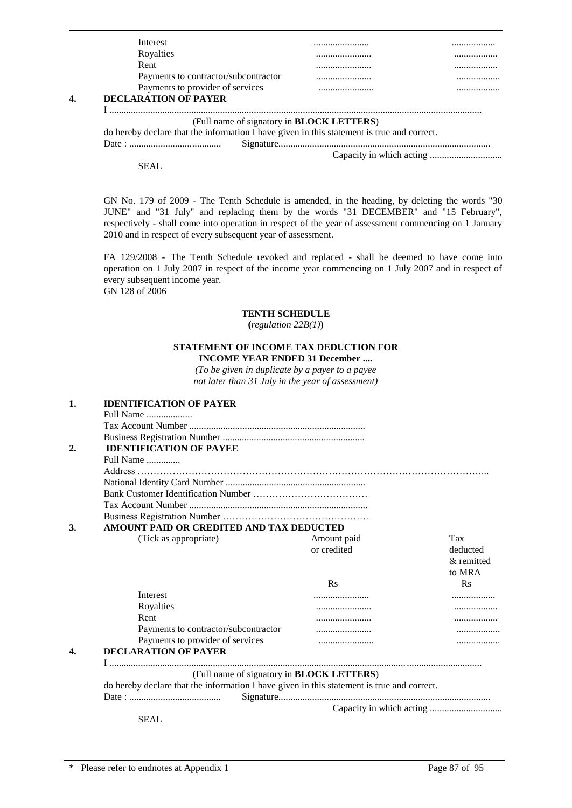| Interest                                                                                   | .    |
|--------------------------------------------------------------------------------------------|------|
| Royalties                                                                                  |      |
| Rent                                                                                       | <br> |
| Payments to contractor/subcontractor                                                       | <br> |
| Payments to provider of services                                                           | <br> |
| <b>DECLARATION OF PAYER</b>                                                                |      |
|                                                                                            |      |
| (Full name of signatory in <b>BLOCK LETTERS</b> )                                          |      |
| do hereby declare that the information I have given in this statement is true and correct. |      |
|                                                                                            |      |
|                                                                                            |      |

SEAL

GN No. 179 of 2009 - The Tenth Schedule is amended, in the heading, by deleting the words "30 JUNE" and "31 July" and replacing them by the words "31 DECEMBER" and "15 February", respectively - shall come into operation in respect of the year of assessment commencing on 1 January 2010 and in respect of every subsequent year of assessment.

FA 129/2008 - The Tenth Schedule revoked and replaced - shall be deemed to have come into operation on 1 July 2007 in respect of the income year commencing on 1 July 2007 and in respect of every subsequent income year. GN 128 of 2006

#### **TENTH SCHEDULE**

**(***regulation 22B(1)***)**

#### **STATEMENT OF INCOME TAX DEDUCTION FOR INCOME YEAR ENDED 31 December ....**

*(To be given in duplicate by a payer to a payee not later than 31 July in the year of assessment)*

| 1.               | <b>IDENTIFICATION OF PAYER</b>                                                             |                |                |
|------------------|--------------------------------------------------------------------------------------------|----------------|----------------|
|                  | Full Name                                                                                  |                |                |
|                  |                                                                                            |                |                |
|                  |                                                                                            |                |                |
| $\overline{2}$ . | <b>IDENTIFICATION OF PAYEE</b>                                                             |                |                |
|                  | Full Name                                                                                  |                |                |
|                  |                                                                                            |                |                |
|                  |                                                                                            |                |                |
|                  |                                                                                            |                |                |
|                  |                                                                                            |                |                |
|                  |                                                                                            |                |                |
| 3.               | AMOUNT PAID OR CREDITED AND TAX DEDUCTED                                                   |                |                |
|                  | (Tick as appropriate)                                                                      | Amount paid    | Tax            |
|                  |                                                                                            | or credited    | deducted       |
|                  |                                                                                            |                | & remitted     |
|                  |                                                                                            |                | to MRA         |
|                  |                                                                                            | R <sub>S</sub> | $\mathbf{R}$ s |
|                  | Interest                                                                                   | .              |                |
|                  | Royalties                                                                                  |                | .              |
|                  | Rent                                                                                       |                |                |
|                  | Payments to contractor/subcontractor                                                       |                |                |
|                  | Payments to provider of services                                                           |                | .              |
| 4.               | <b>DECLARATION OF PAYER</b>                                                                |                |                |
|                  |                                                                                            |                |                |
|                  | (Full name of signatory in <b>BLOCK LETTERS</b> )                                          |                |                |
|                  | do hereby declare that the information I have given in this statement is true and correct. |                |                |
|                  |                                                                                            |                |                |
|                  |                                                                                            |                |                |
|                  | <b>SEAL</b>                                                                                |                |                |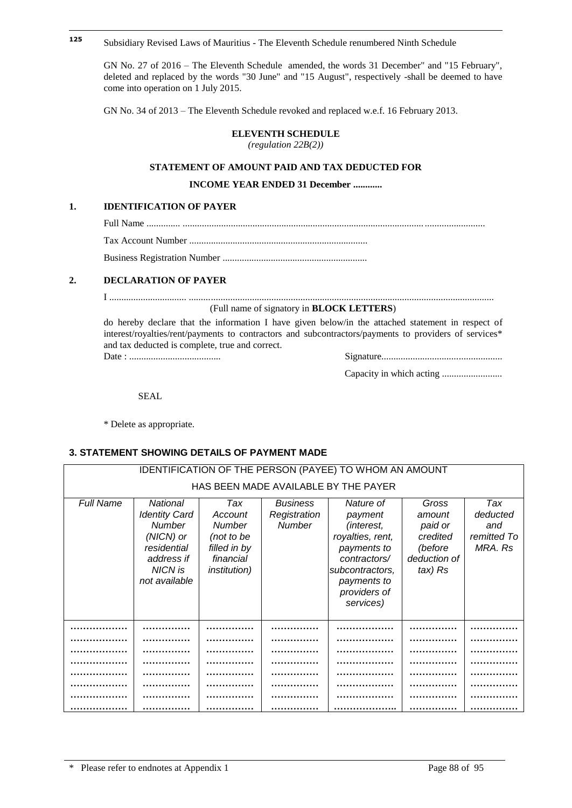#### **125 <sup>125</sup>** Subsidiary Revised Laws of Mauritius - The Eleventh Schedule renumbered Ninth Schedule

GN No. 27 of 2016 – The Eleventh Schedule amended, the words 31 December" and "15 February", deleted and replaced by the words "30 June" and "15 August", respectively -shall be deemed to have come into operation on 1 July 2015.

GN No. 34 of 2013 – The Eleventh Schedule revoked and replaced w.e.f. 16 February 2013.

#### **ELEVENTH SCHEDULE**

*(regulation 22B(2))*

#### **STATEMENT OF AMOUNT PAID AND TAX DEDUCTED FOR**

#### **INCOME YEAR ENDED 31 December ............**

#### **1. IDENTIFICATION OF PAYER**

Full Name .............. .................................................................................................... .........................

Tax Account Number ..........................................................................

Business Registration Number ............................................................

#### **2. DECLARATION OF PAYER**

I ................................ ..............................................................................................................................

#### (Full name of signatory in **BLOCK LETTERS**)

do hereby declare that the information I have given below/in the attached statement in respect of interest/royalties/rent/payments to contractors and subcontractors/payments to providers of services\* and tax deducted is complete, true and correct.

Date : ...................................... Signature..................................................

|--|

Capacity in which acting .........................

SEAL

\* Delete as appropriate.

### **3. STATEMENT SHOWING DETAILS OF PAYMENT MADE**

| IDENTIFICATION OF THE PERSON (PAYEE) TO WHOM AN AMOUNT |                                                                                                                         |                                                                                             |                                                  |                                                                                                                                                             |                                                                              |                                                  |  |  |  |  |  |  |
|--------------------------------------------------------|-------------------------------------------------------------------------------------------------------------------------|---------------------------------------------------------------------------------------------|--------------------------------------------------|-------------------------------------------------------------------------------------------------------------------------------------------------------------|------------------------------------------------------------------------------|--------------------------------------------------|--|--|--|--|--|--|
| HAS BEEN MADE AVAILABLE BY THE PAYER                   |                                                                                                                         |                                                                                             |                                                  |                                                                                                                                                             |                                                                              |                                                  |  |  |  |  |  |  |
| Full Name                                              | National<br><b>Identity Card</b><br><b>Number</b><br>(NICN) or<br>residential<br>address if<br>NICN is<br>not available | Tax<br>Account<br>Number<br>(not to be<br>filled in by<br>financial<br><i>institution</i> ) | <b>Business</b><br>Registration<br><b>Number</b> | Nature of<br>payment<br><i>(interest,</i><br>royalties, rent,<br>payments to<br>contractors/<br>subcontractors,<br>payments to<br>providers of<br>services) | Gross<br>amount<br>paid or<br>credited<br>(before<br>deduction of<br>tax) Rs | Tax<br>deducted<br>and<br>remitted To<br>MRA. Rs |  |  |  |  |  |  |
|                                                        |                                                                                                                         |                                                                                             |                                                  |                                                                                                                                                             |                                                                              |                                                  |  |  |  |  |  |  |
|                                                        |                                                                                                                         |                                                                                             |                                                  |                                                                                                                                                             |                                                                              |                                                  |  |  |  |  |  |  |
|                                                        |                                                                                                                         |                                                                                             |                                                  |                                                                                                                                                             |                                                                              |                                                  |  |  |  |  |  |  |
|                                                        |                                                                                                                         |                                                                                             |                                                  |                                                                                                                                                             |                                                                              |                                                  |  |  |  |  |  |  |
|                                                        |                                                                                                                         |                                                                                             |                                                  |                                                                                                                                                             |                                                                              |                                                  |  |  |  |  |  |  |
|                                                        |                                                                                                                         |                                                                                             |                                                  |                                                                                                                                                             |                                                                              |                                                  |  |  |  |  |  |  |
|                                                        |                                                                                                                         |                                                                                             |                                                  |                                                                                                                                                             |                                                                              |                                                  |  |  |  |  |  |  |
|                                                        |                                                                                                                         |                                                                                             |                                                  |                                                                                                                                                             |                                                                              |                                                  |  |  |  |  |  |  |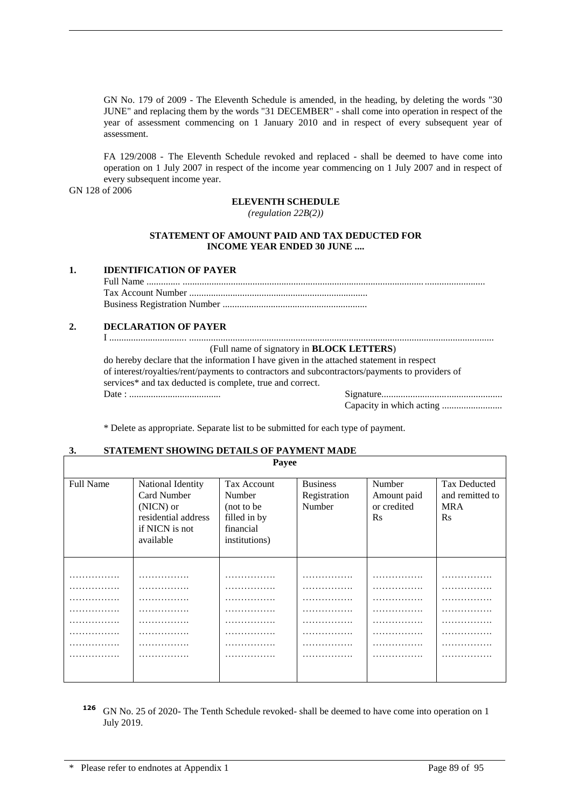GN No. 179 of 2009 - The Eleventh Schedule is amended, in the heading, by deleting the words "30 JUNE" and replacing them by the words "31 DECEMBER" - shall come into operation in respect of the year of assessment commencing on 1 January 2010 and in respect of every subsequent year of assessment.

FA 129/2008 - The Eleventh Schedule revoked and replaced - shall be deemed to have come into operation on 1 July 2007 in respect of the income year commencing on 1 July 2007 and in respect of every subsequent income year.

GN 128 of 2006

#### **ELEVENTH SCHEDULE**

*(regulation 22B(2))*

#### **STATEMENT OF AMOUNT PAID AND TAX DEDUCTED FOR INCOME YEAR ENDED 30 JUNE ....**

#### **1. IDENTIFICATION OF PAYER**

#### **2. DECLARATION OF PAYER**

I ................................ .............................................................................................................................. (Full name of signatory in **BLOCK LETTERS**)

do hereby declare that the information I have given in the attached statement in respect of interest/royalties/rent/payments to contractors and subcontractors/payments to providers of services\* and tax deducted is complete, true and correct. Date : ...................................... Signature..................................................

**Payee**

Capacity in which acting .........................

\* Delete as appropriate. Separate list to be submitted for each type of payment.

#### **3. STATEMENT SHOWING DETAILS OF PAYMENT MADE**

|                  |                                                                                                     | $\mathbf{u}_J \mathbf{v}$                                                                 |                                           |                                                  |                                                                  |
|------------------|-----------------------------------------------------------------------------------------------------|-------------------------------------------------------------------------------------------|-------------------------------------------|--------------------------------------------------|------------------------------------------------------------------|
| <b>Full Name</b> | National Identity<br>Card Number<br>(NICN) or<br>residential address<br>if NICN is not<br>available | <b>Tax Account</b><br>Number<br>(not to be)<br>filled in by<br>financial<br>institutions) | <b>Business</b><br>Registration<br>Number | Number<br>Amount paid<br>or credited<br>$\rm Rs$ | <b>Tax Deducted</b><br>and remitted to<br><b>MRA</b><br>$\rm Rs$ |
|                  |                                                                                                     |                                                                                           |                                           |                                                  |                                                                  |
| .                | .                                                                                                   |                                                                                           | .                                         | .                                                | .                                                                |
| .                | .                                                                                                   | .                                                                                         | .                                         | .                                                | .                                                                |
| .                | .                                                                                                   | .                                                                                         | .                                         | .                                                | .                                                                |
| .                | .                                                                                                   | .                                                                                         | .                                         | .                                                | .                                                                |
| .                | .                                                                                                   | .                                                                                         | .                                         | .                                                | .                                                                |
| .                | .                                                                                                   | .                                                                                         | .                                         | .                                                | .                                                                |
| .                | .                                                                                                   | .                                                                                         | .                                         | .                                                | .                                                                |
| .                | .                                                                                                   | .                                                                                         | .                                         | .                                                | .                                                                |
|                  |                                                                                                     |                                                                                           |                                           |                                                  |                                                                  |

**<sup>126</sup>** GN No. 25 of 2020- The Tenth Schedule revoked- shall be deemed to have come into operation on 1 July 2019.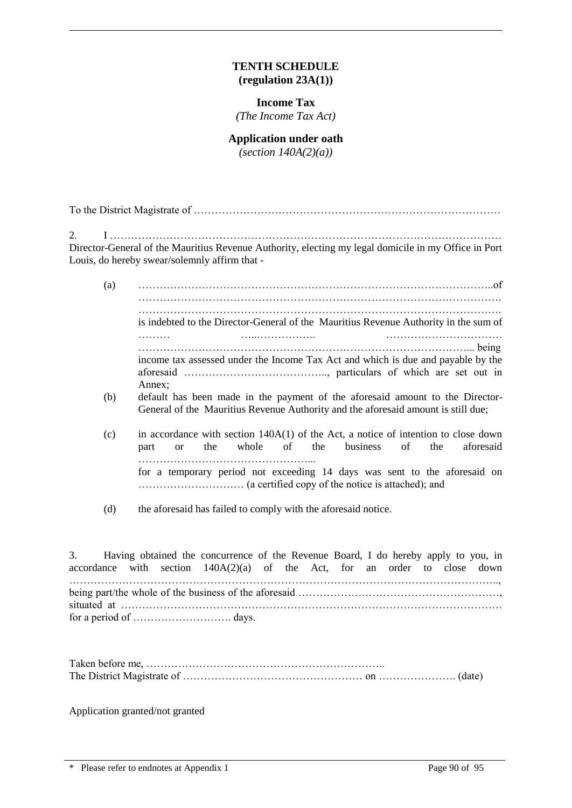## **TENTH SCHEDULE (regulation 23A(1))**

## **Income Tax**

*(The Income Tax Act)*

## **Application under oath**

*(section 140A(2)(a))*

To the District Magistrate of ……………………………………………………………………………

2. I ………………………………………………………………………………………………… Director-General of the Mauritius Revenue Authority, electing my legal domicile in my Office in Port Louis, do hereby swear/solemnly affirm that -

- (a) ………………………………………………………………………………………..of …………………………………………………………………………………………. …………………………………………………………………………………………. is indebted to the Director-General of the Mauritius Revenue Authority in the sum of ……… …..…………….. …………………………… …………………………………………………………………………………... being income tax assessed under the Income Tax Act and which is due and payable by the aforesaid ………………………………….., particulars of which are set out in Annex;
- (b) default has been made in the payment of the aforesaid amount to the Director-General of the Mauritius Revenue Authority and the aforesaid amount is still due;
- (c) in accordance with section 140A(1) of the Act, a notice of intention to close down part or the whole of the business of the aforesaid …………………………………………... for a temporary period not exceeding 14 days was sent to the aforesaid on ………………………… (a certified copy of the notice is attached); and
- (d) the aforesaid has failed to comply with the aforesaid notice.

3. Having obtained the concurrence of the Revenue Board, I do hereby apply to you, in accordance with section  $140A(2)(a)$  of the Act, for an order to close down ………………………………………………………………………………………………………….., being part/the whole of the business of the aforesaid ……………………………………………………… situated at ……………………………………………………………………………………………… for a period of ………………………. days.

Application granted/not granted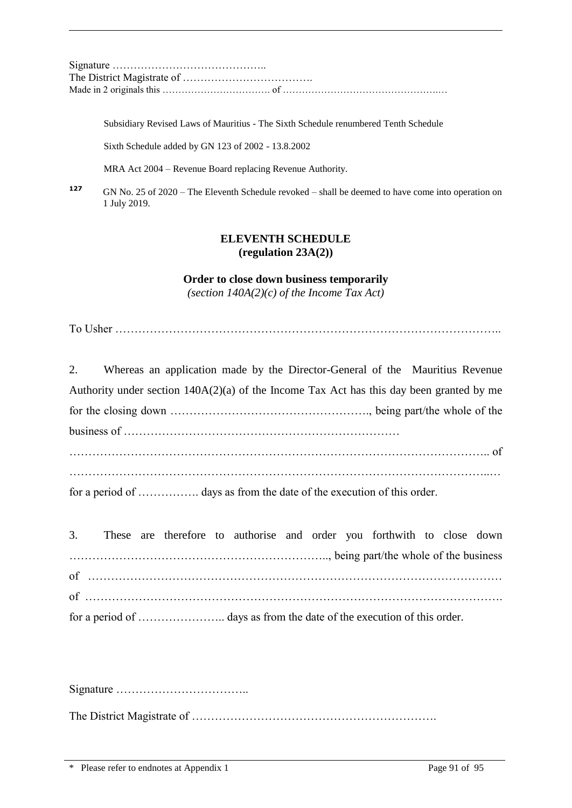Signature …………………………………….. The District Magistrate of ………………………………. Made in 2 originals this ……………………………. of ………………………………………….…

Subsidiary Revised Laws of Mauritius - The Sixth Schedule renumbered Tenth Schedule

Sixth Schedule added by GN 123 of 2002 - 13.8.2002

MRA Act 2004 – Revenue Board replacing Revenue Authority.

**<sup>127</sup>** GN No. 25 of 2020 – The Eleventh Schedule revoked – shall be deemed to have come into operation on 1 July 2019.

## **ELEVENTH SCHEDULE (regulation 23A(2))**

**Order to close down business temporarily**

*(section 140A(2)(c) of the Income Tax Act)*

To Usher ………………………………………………………………………………………..

|  | 2. Whereas an application made by the Director-General of the Mauritius Revenue            |  |  |
|--|--------------------------------------------------------------------------------------------|--|--|
|  | Authority under section $140A(2)(a)$ of the Income Tax Act has this day been granted by me |  |  |
|  |                                                                                            |  |  |
|  |                                                                                            |  |  |
|  |                                                                                            |  |  |
|  |                                                                                            |  |  |
|  | for a period of  days as from the date of the execution of this order.                     |  |  |

|  |  | 3. These are therefore to authorise and order you forthwith to close down |  |  |  |  |
|--|--|---------------------------------------------------------------------------|--|--|--|--|
|  |  |                                                                           |  |  |  |  |
|  |  |                                                                           |  |  |  |  |
|  |  |                                                                           |  |  |  |  |
|  |  |                                                                           |  |  |  |  |

Signature ……………………………..

The District Magistrate of ……………………………………………………….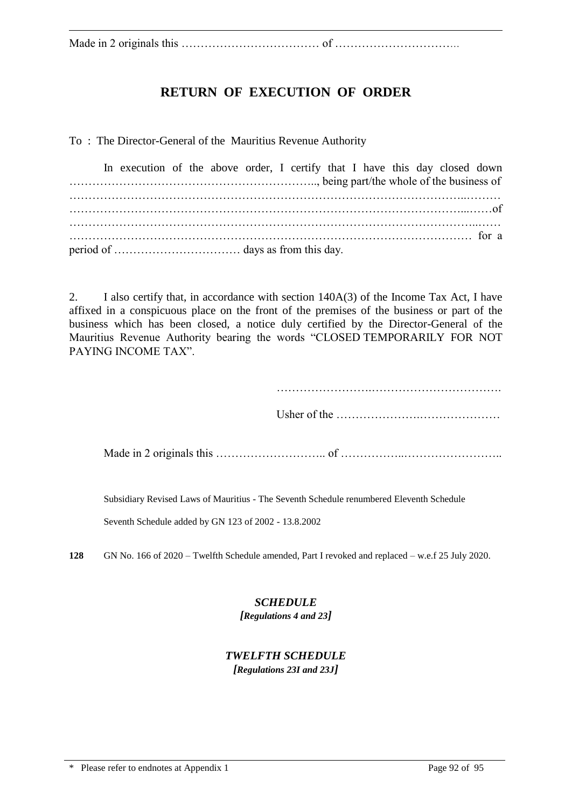Made in 2 originals this ……………………………… of ……………………………

## **RETURN OF EXECUTION OF ORDER**

To : The Director-General of the Mauritius Revenue Authority

|  |  |  | In execution of the above order, I certify that I have this day closed down |  |  |  |  |  |
|--|--|--|-----------------------------------------------------------------------------|--|--|--|--|--|
|  |  |  |                                                                             |  |  |  |  |  |
|  |  |  |                                                                             |  |  |  |  |  |

2. I also certify that, in accordance with section 140A(3) of the Income Tax Act, I have affixed in a conspicuous place on the front of the premises of the business or part of the business which has been closed, a notice duly certified by the Director-General of the Mauritius Revenue Authority bearing the words "CLOSED TEMPORARILY FOR NOT PAYING INCOME TAX".

…………………….…………………………….

Usher of the ………………….…………………

Made in 2 originals this ……………………….. of ……………..……………………..

Subsidiary Revised Laws of Mauritius - The Seventh Schedule renumbered Eleventh Schedule

Seventh Schedule added by GN 123 of 2002 - 13.8.2002

**128** GN No. 166 of 2020 – Twelfth Schedule amended, Part I revoked and replaced – w.e.f 25 July 2020.

## *SCHEDULE*

*[Regulations 4 and 23]*

# *TWELFTH SCHEDULE*

*[Regulations 23I and 23J]*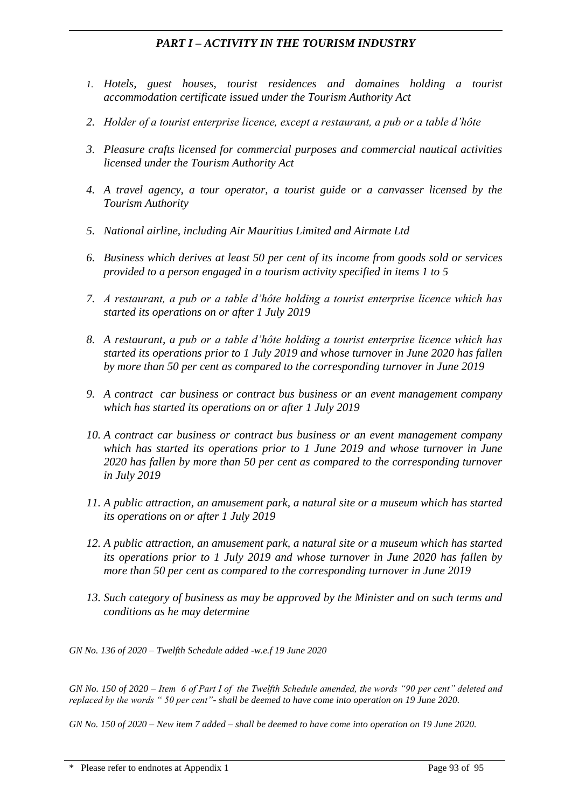## *PART I – ACTIVITY IN THE TOURISM INDUSTRY*

- *1. Hotels, guest houses, tourist residences and domaines holding a tourist accommodation certificate issued under the Tourism Authority Act*
- *2. Holder of a tourist enterprise licence, except a restaurant, a pub or a table d'hôte*
- *3. Pleasure crafts licensed for commercial purposes and commercial nautical activities licensed under the Tourism Authority Act*
- *4. A travel agency, a tour operator, a tourist guide or a canvasser licensed by the Tourism Authority*
- *5. National airline, including Air Mauritius Limited and Airmate Ltd*
- *6. Business which derives at least 50 per cent of its income from goods sold or services provided to a person engaged in a tourism activity specified in items 1 to 5*
- *7. A restaurant, a pub or a table d'hôte holding a tourist enterprise licence which has started its operations on or after 1 July 2019*
- *8. A restaurant, a pub or a table d'hôte holding a tourist enterprise licence which has started its operations prior to 1 July 2019 and whose turnover in June 2020 has fallen by more than 50 per cent as compared to the corresponding turnover in June 2019*
- *9. A contract car business or contract bus business or an event management company which has started its operations on or after 1 July 2019*
- *10. A contract car business or contract bus business or an event management company which has started its operations prior to 1 June 2019 and whose turnover in June 2020 has fallen by more than 50 per cent as compared to the corresponding turnover in July 2019*
- *11. A public attraction, an amusement park, a natural site or a museum which has started its operations on or after 1 July 2019*
- *12. A public attraction, an amusement park, a natural site or a museum which has started its operations prior to 1 July 2019 and whose turnover in June 2020 has fallen by more than 50 per cent as compared to the corresponding turnover in June 2019*
- *13. Such category of business as may be approved by the Minister and on such terms and conditions as he may determine*

*GN No. 136 of 2020 – Twelfth Schedule added -w.e.f 19 June 2020*

*GN No. 150 of 2020 – Item 6 of Part I of the Twelfth Schedule amended, the words "90 per cent" deleted and replaced by the words " 50 per cent"- shall be deemed to have come into operation on 19 June 2020.*

*GN No. 150 of 2020 – New item 7 added – shall be deemed to have come into operation on 19 June 2020.*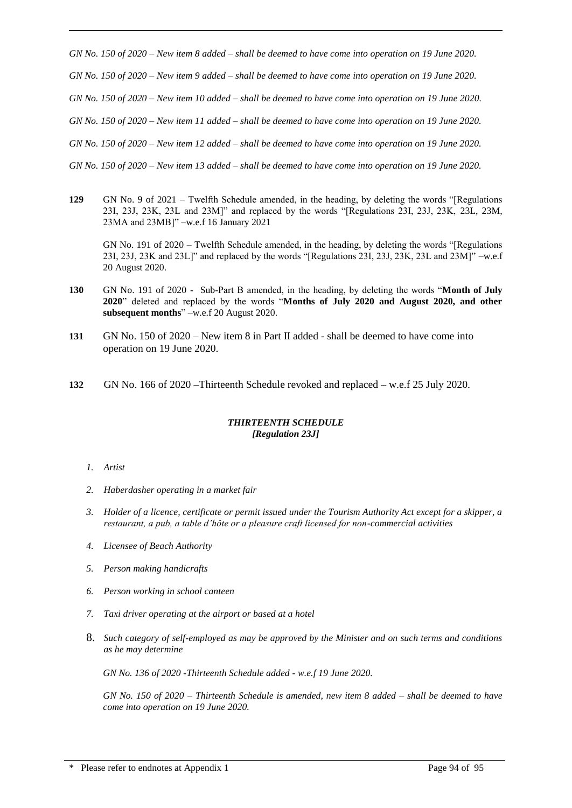*GN No. 150 of 2020 – New item 8 added – shall be deemed to have come into operation on 19 June 2020. GN No. 150 of 2020 – New item 9 added – shall be deemed to have come into operation on 19 June 2020. GN No. 150 of 2020 – New item 10 added – shall be deemed to have come into operation on 19 June 2020. GN No. 150 of 2020 – New item 11 added – shall be deemed to have come into operation on 19 June 2020. GN No. 150 of 2020 – New item 12 added – shall be deemed to have come into operation on 19 June 2020. GN No. 150 of 2020 – New item 13 added – shall be deemed to have come into operation on 19 June 2020.*

**129** GN No. 9 of 2021 – Twelfth Schedule amended, in the heading, by deleting the words "[Regulations 23I, 23J, 23K, 23L and 23M]" and replaced by the words "[Regulations 23I, 23J, 23K, 23L, 23M, 23MA and 23MB]" –w.e.f 16 January 2021

GN No. 191 of 2020 – Twelfth Schedule amended, in the heading, by deleting the words "[Regulations 23I, 23J, 23K and 23L]" and replaced by the words "[Regulations 23I, 23J, 23K, 23L and 23M]" –w.e.f 20 August 2020.

- **130** GN No. 191 of 2020 Sub-Part B amended, in the heading, by deleting the words "**Month of July 2020**" deleted and replaced by the words "**Months of July 2020 and August 2020, and other subsequent months**" –w.e.f 20 August 2020.
- **131** GN No. 150 of 2020 New item 8 in Part II added shall be deemed to have come into operation on 19 June 2020.
- **132** GN No. 166 of 2020 –Thirteenth Schedule revoked and replaced w.e.f 25 July 2020.

#### *THIRTEENTH SCHEDULE [Regulation 23J]*

#### *1. Artist*

- *2. Haberdasher operating in a market fair*
- *3. Holder of a licence, certificate or permit issued under the Tourism Authority Act except for a skipper, a restaurant, a pub, a table d'hôte or a pleasure craft licensed for non-commercial activities*
- *4. Licensee of Beach Authority*
- *5. Person making handicrafts*
- *6. Person working in school canteen*
- *7. Taxi driver operating at the airport or based at a hotel*
- 8. *Such category of self-employed as may be approved by the Minister and on such terms and conditions as he may determine*

*GN No. 136 of 2020 -Thirteenth Schedule added - w.e.f 19 June 2020.*

*GN No. 150 of 2020 – Thirteenth Schedule is amended, new item 8 added – shall be deemed to have come into operation on 19 June 2020.*